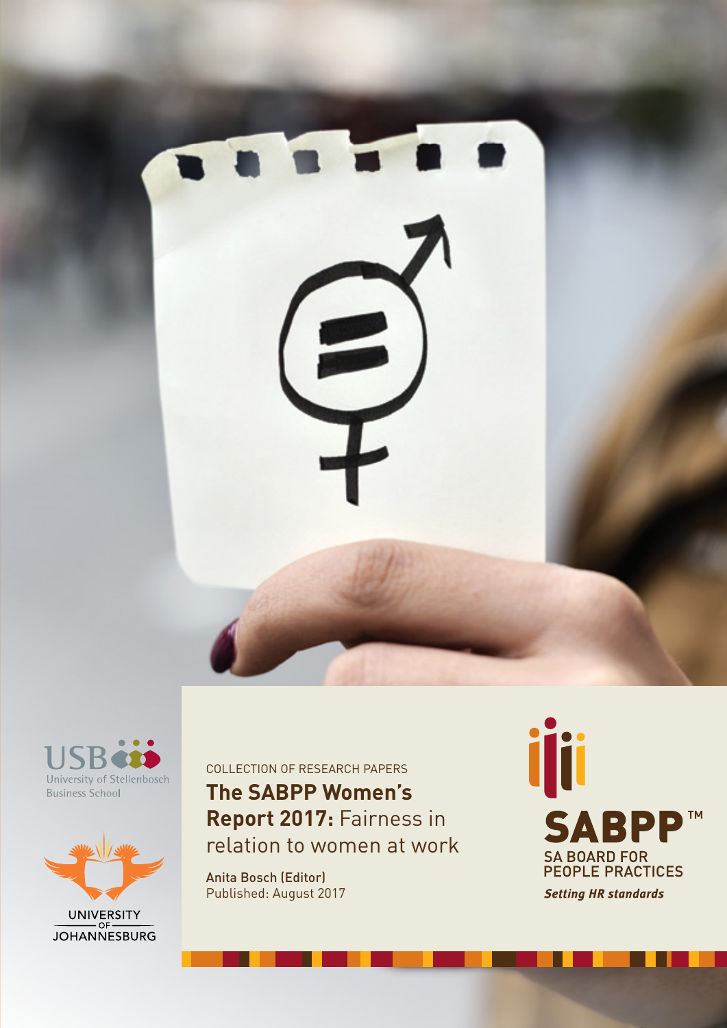





UNIVERSITY<br>JOHANNESBURG

**The SABPP Women's Report 2017:** Fairness in relation to women at work COLLECTION OF RESEARCH PAPERS

Anita Bosch (Editor) Published: August 2017 **ijii SABPP TM** SA BOARD FOR<br>PEOPLE PRACTICES **Setting HR standards**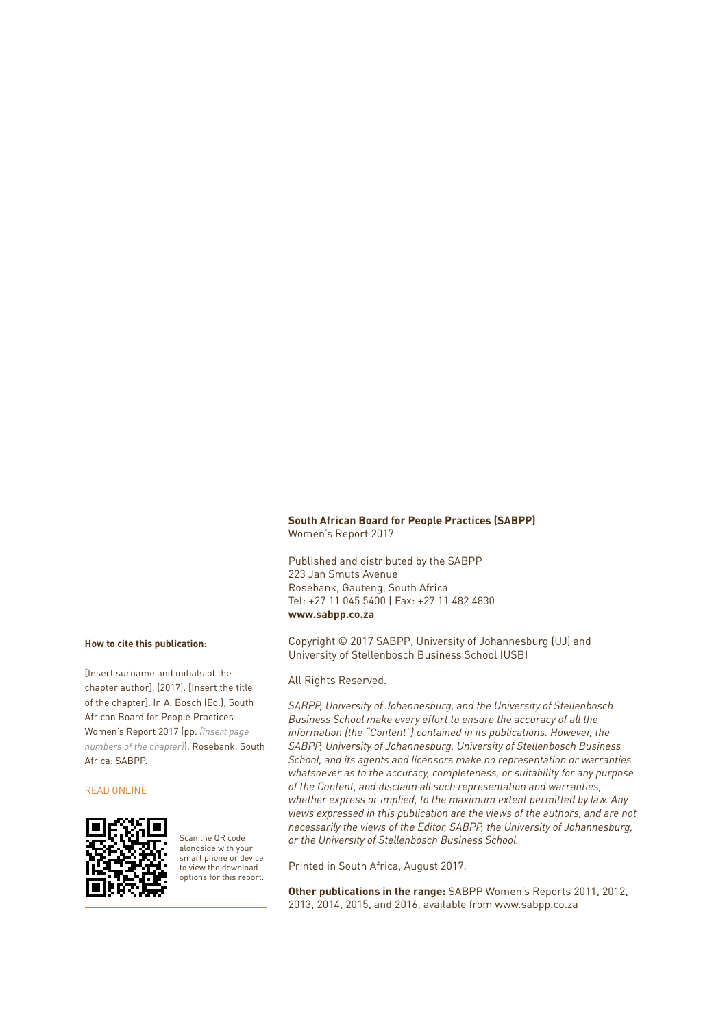## **South African Board for People Practices (SABPP)** Women's Report 2017

Published and distributed by the SABPP 223 Jan Smuts Avenue Rosebank, Gauteng, South Africa Tel: +27 11 045 5400 | Fax: +27 11 482 4830 **www.sabpp.co.za**

Copyright © 2017 SABPP, University of Johannesburg (UJ) and University of Stellenbosch Business School (USB)

## All Rights Reserved.

*SABPP, University of Johannesburg, and the University of Stellenbosch Business School make every effort to ensure the accuracy of all the information (the "Content") contained in its publications. However, the SABPP, University of Johannesburg, University of Stellenbosch Business School, and its agents and licensors make no representation or warranties whatsoever as to the accuracy, completeness, or suitability for any purpose of the Content, and disclaim all such representation and warranties, whether express or implied, to the maximum extent permitted by law. Any views expressed in this publication are the views of the authors, and are not necessarily the views of the Editor, SABPP, the University of Johannesburg, or the University of Stellenbosch Business School.*

Printed in South Africa, August 2017.

**Other publications in the range:** SABPP Women's Reports 2011, 2012, 2013, 2014, 2015, and 2016, available from www.sabpp.co.za

## **How to cite this publication:**

[Insert surname and initials of the chapter author]. (2017). [Insert the title of the chapter]. In A. Bosch (Ed.), South African Board for People Practices Women's Report 2017 (pp. *[insert page numbers of the chapter]*). Rosebank, South Africa: SABPP.

### READ ONLINE



Scan the QR code alongside with your smart phone or device to view the download options for this report.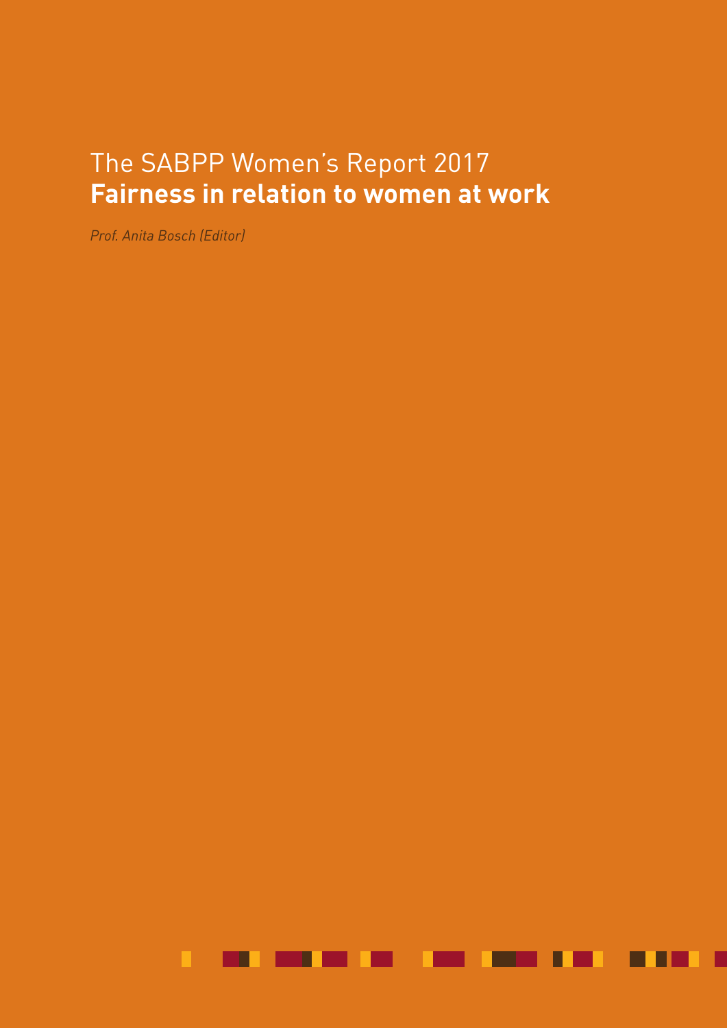# The SABPP Women's Report 2017 **Fairness in relation to women at work**

**The SABPP Women's Report 2017: Fairness in relation to women at work**

*Prof. Anita Bosch (Editor)*

ш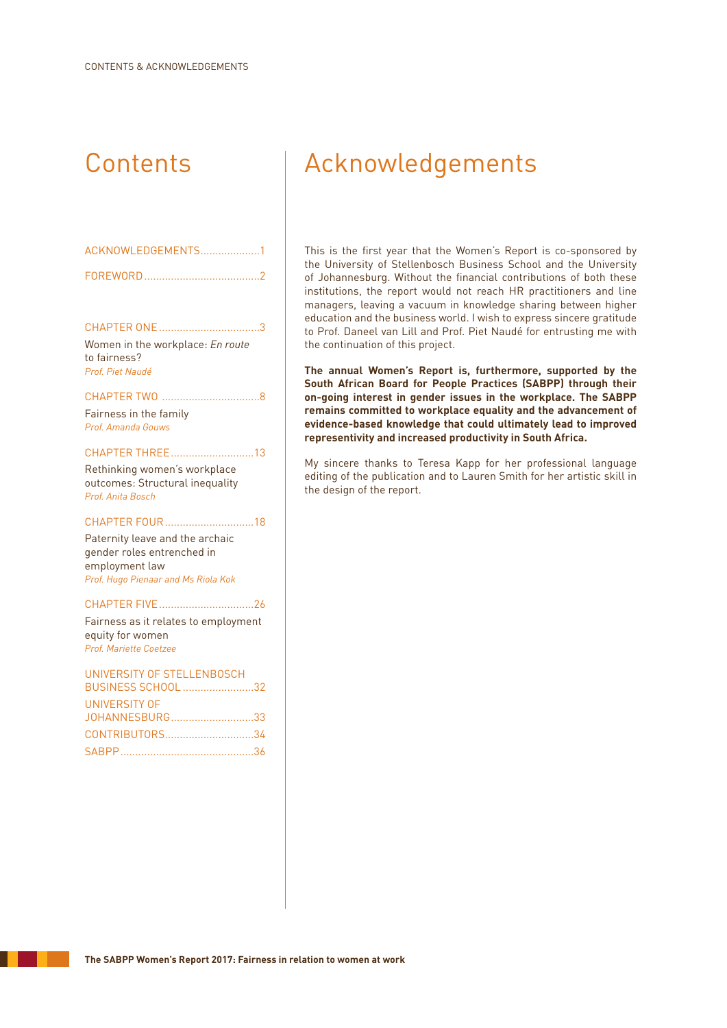| ACKNOWLEDGEMENTS1 |  |
|-------------------|--|
|                   |  |

CHAPTER ONE..................................3 Women in the workplace: *En route* to fairness? *Prof. Piet Naudé*

# CHAPTER TWO .................................8

Fairness in the family *Prof. Amanda Gouws*

## CHAPTER THREE............................13

Rethinking women's workplace outcomes: Structural inequality *Prof. Anita Bosch*

## CHAPTER FOUR..............................18

Paternity leave and the archaic gender roles entrenched in employment law *Prof. Hugo Pienaar and Ms Riola Kok*

## CHAPTER FIVE................................26

Fairness as it relates to employment equity for women *Prof. Mariette Coetzee*

# UNIVERSITY OF STELLENBOSCH BUSINESS SCHOOL ........................32 UNIVERSITY OF JOHANNESBURG............................33 CONTRIBUTORS..............................34 SABPP.............................................36

# Contents | Acknowledgements

This is the first year that the Women's Report is co-sponsored by the University of Stellenbosch Business School and the University of Johannesburg. Without the financial contributions of both these institutions, the report would not reach HR practitioners and line managers, leaving a vacuum in knowledge sharing between higher education and the business world. I wish to express sincere gratitude to Prof. Daneel van Lill and Prof. Piet Naudé for entrusting me with the continuation of this project.

**The annual Women's Report is, furthermore, supported by the South African Board for People Practices (SABPP) through their on-going interest in gender issues in the workplace. The SABPP remains committed to workplace equality and the advancement of evidence-based knowledge that could ultimately lead to improved representivity and increased productivity in South Africa.**

My sincere thanks to Teresa Kapp for her professional language editing of the publication and to Lauren Smith for her artistic skill in the design of the report.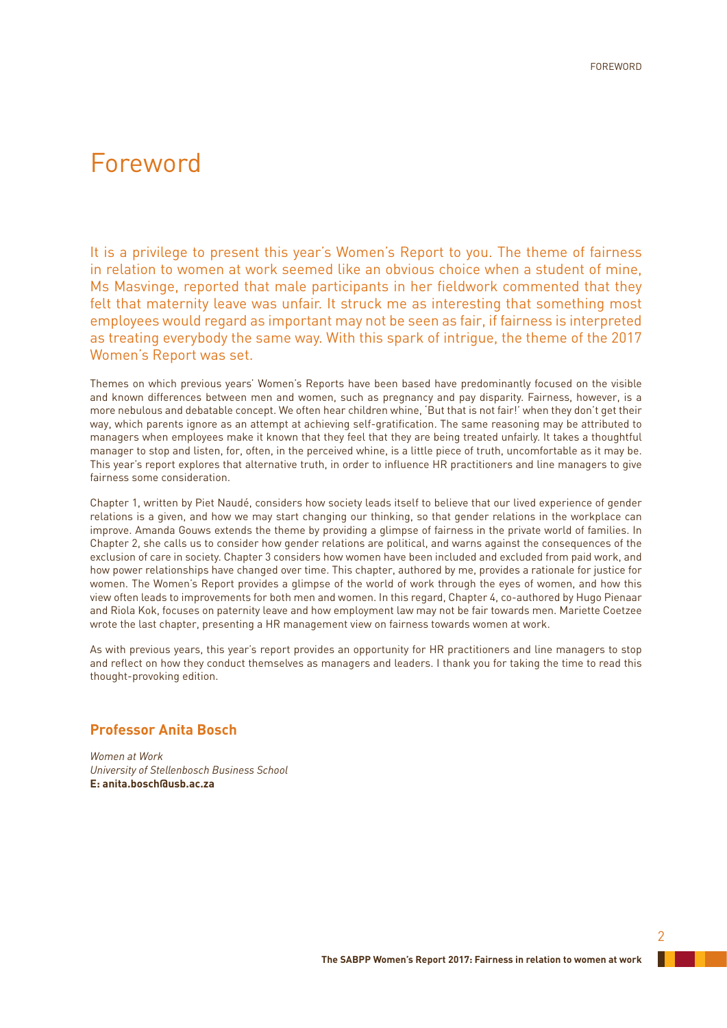# Foreword

It is a privilege to present this year's Women's Report to you. The theme of fairness in relation to women at work seemed like an obvious choice when a student of mine, Ms Masvinge, reported that male participants in her fieldwork commented that they felt that maternity leave was unfair. It struck me as interesting that something most employees would regard as important may not be seen as fair, if fairness is interpreted as treating everybody the same way. With this spark of intrigue, the theme of the 2017 Women's Report was set.

Themes on which previous years' Women's Reports have been based have predominantly focused on the visible and known differences between men and women, such as pregnancy and pay disparity. Fairness, however, is a more nebulous and debatable concept. We often hear children whine, 'But that is not fair!' when they don't get their way, which parents ignore as an attempt at achieving self-gratification. The same reasoning may be attributed to managers when employees make it known that they feel that they are being treated unfairly. It takes a thoughtful manager to stop and listen, for, often, in the perceived whine, is a little piece of truth, uncomfortable as it may be. This year's report explores that alternative truth, in order to influence HR practitioners and line managers to give fairness some consideration.

Chapter 1, written by Piet Naudé, considers how society leads itself to believe that our lived experience of gender relations is a given, and how we may start changing our thinking, so that gender relations in the workplace can improve. Amanda Gouws extends the theme by providing a glimpse of fairness in the private world of families. In Chapter 2, she calls us to consider how gender relations are political, and warns against the consequences of the exclusion of care in society. Chapter 3 considers how women have been included and excluded from paid work, and how power relationships have changed over time. This chapter, authored by me, provides a rationale for justice for women. The Women's Report provides a glimpse of the world of work through the eyes of women, and how this view often leads to improvements for both men and women. In this regard, Chapter 4, co-authored by Hugo Pienaar and Riola Kok, focuses on paternity leave and how employment law may not be fair towards men. Mariette Coetzee wrote the last chapter, presenting a HR management view on fairness towards women at work.

As with previous years, this year's report provides an opportunity for HR practitioners and line managers to stop and reflect on how they conduct themselves as managers and leaders. I thank you for taking the time to read this thought-provoking edition.

# **Professor Anita Bosch**

*Women at Work University of Stellenbosch Business School* **E: anita.bosch@usb.ac.za**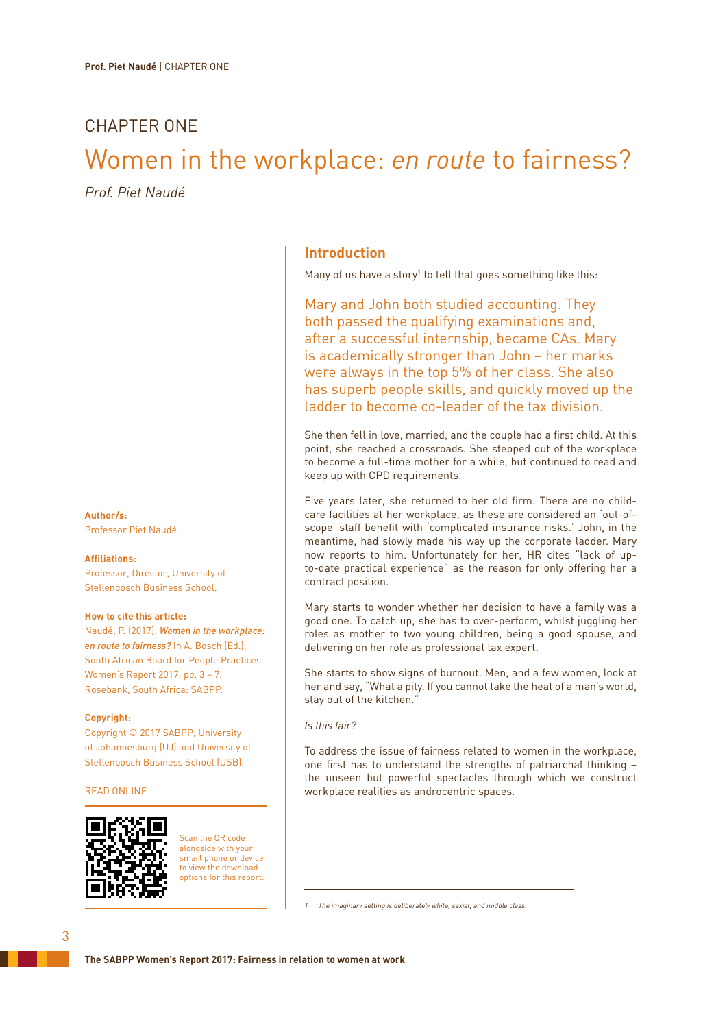# CHAPTER ONE

# Women in the workplace: *en route* to fairness?

*Prof. Piet Naudé*

**Author/s:** Professor Piet Naudé

### **Affiliations:**

Professor, Director, University of Stellenbosch Business School.

## **How to cite this article:**

Naudé, P. (2017). *Women in the workplace: en route to fairness?* In A. Bosch (Ed.), South African Board for People Practices Women's Report 2017, pp. 3 – 7. Rosebank, South Africa: SABPP.

## **Copyright:**

Copyright © 2017 SABPP, University of Johannesburg (UJ) and University of Stellenbosch Business School (USB).

## READ ONLINE



Scan the QR code alongside with your smart phone or device to view the download options for this report.

# **Introduction**

Many of us have a story<sup>1</sup> to tell that goes something like this:

Mary and John both studied accounting. They both passed the qualifying examinations and, after a successful internship, became CAs. Mary is academically stronger than John – her marks were always in the top 5% of her class. She also has superb people skills, and quickly moved up the ladder to become co-leader of the tax division.

She then fell in love, married, and the couple had a first child. At this point, she reached a crossroads. She stepped out of the workplace to become a full-time mother for a while, but continued to read and keep up with CPD requirements.

Five years later, she returned to her old firm. There are no childcare facilities at her workplace, as these are considered an 'out-ofscope' staff benefit with 'complicated insurance risks.' John, in the meantime, had slowly made his way up the corporate ladder. Mary now reports to him. Unfortunately for her, HR cites "lack of upto-date practical experience" as the reason for only offering her a contract position.

Mary starts to wonder whether her decision to have a family was a good one. To catch up, she has to over-perform, whilst juggling her roles as mother to two young children, being a good spouse, and delivering on her role as professional tax expert.

She starts to show signs of burnout. Men, and a few women, look at her and say, "What a pity. If you cannot take the heat of a man's world, stay out of the kitchen."

*Is this fair?*

To address the issue of fairness related to women in the workplace, one first has to understand the strengths of patriarchal thinking – the unseen but powerful spectacles through which we construct workplace realities as androcentric spaces.

*1 The imaginary setting is deliberately white, sexist, and middle class.*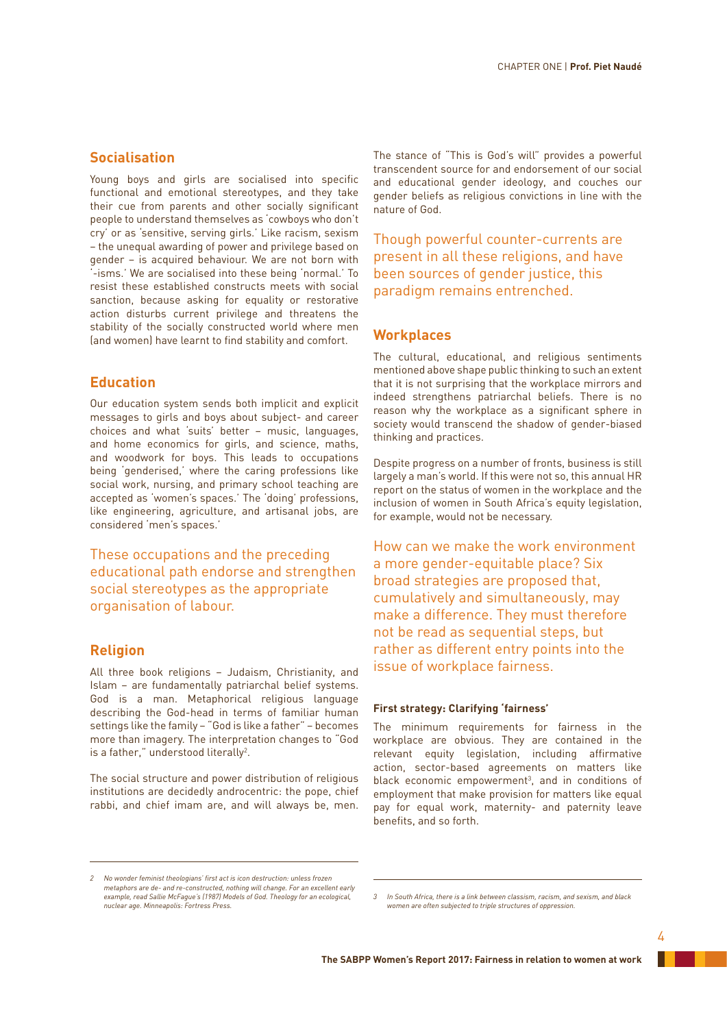# **Socialisation**

Young boys and girls are socialised into specific functional and emotional stereotypes, and they take their cue from parents and other socially significant people to understand themselves as 'cowboys who don't cry' or as 'sensitive, serving girls.' Like racism, sexism – the unequal awarding of power and privilege based on gender – is acquired behaviour. We are not born with -isms.' We are socialised into these being 'normal.' To resist these established constructs meets with social sanction, because asking for equality or restorative action disturbs current privilege and threatens the stability of the socially constructed world where men (and women) have learnt to find stability and comfort.

# **Education**

Our education system sends both implicit and explicit messages to girls and boys about subject- and career choices and what 'suits' better – music, languages, and home economics for girls, and science, maths, and woodwork for boys. This leads to occupations being 'genderised,' where the caring professions like social work, nursing, and primary school teaching are accepted as 'women's spaces.' The 'doing' professions, like engineering, agriculture, and artisanal jobs, are considered 'men's spaces.'

These occupations and the preceding educational path endorse and strengthen social stereotypes as the appropriate organisation of labour.

# **Religion**

All three book religions – Judaism, Christianity, and Islam – are fundamentally patriarchal belief systems. God is a man. Metaphorical religious language describing the God-head in terms of familiar human settings like the family – "God is like a father" – becomes more than imagery. The interpretation changes to "God is a father," understood literally<sup>2</sup>.

The social structure and power distribution of religious institutions are decidedly androcentric: the pope, chief rabbi, and chief imam are, and will always be, men.

The stance of "This is God's will" provides a powerful transcendent source for and endorsement of our social and educational gender ideology, and couches our gender beliefs as religious convictions in line with the nature of God.

Though powerful counter-currents are present in all these religions, and have been sources of gender justice, this paradigm remains entrenched.

# **Workplaces**

The cultural, educational, and religious sentiments mentioned above shape public thinking to such an extent that it is not surprising that the workplace mirrors and indeed strengthens patriarchal beliefs. There is no reason why the workplace as a significant sphere in society would transcend the shadow of gender-biased thinking and practices.

Despite progress on a number of fronts, business is still largely a man's world. If this were not so, this annual HR report on the status of women in the workplace and the inclusion of women in South Africa's equity legislation, for example, would not be necessary.

How can we make the work environment a more gender-equitable place? Six broad strategies are proposed that, cumulatively and simultaneously, may make a difference. They must therefore not be read as sequential steps, but rather as different entry points into the issue of workplace fairness.

## **First strategy: Clarifying 'fairness'**

The minimum requirements for fairness in the workplace are obvious. They are contained in the relevant equity legislation, including affirmative action, sector-based agreements on matters like black economic empowerment<sup>3</sup>, and in conditions of employment that make provision for matters like equal pay for equal work, maternity- and paternity leave benefits, and so forth.

*<sup>2</sup> No wonder feminist theologians' first act is icon destruction: unless frozen metaphors are de- and re-constructed, nothing will change. For an excellent early example, read Sallie McFague's (1987) Models of God. Theology for an ecological, nuclear age. Minneapolis: Fortress Press.*

*<sup>3</sup> In South Africa, there is a link between classism, racism, and sexism, and black women are often subjected to triple structures of oppression.*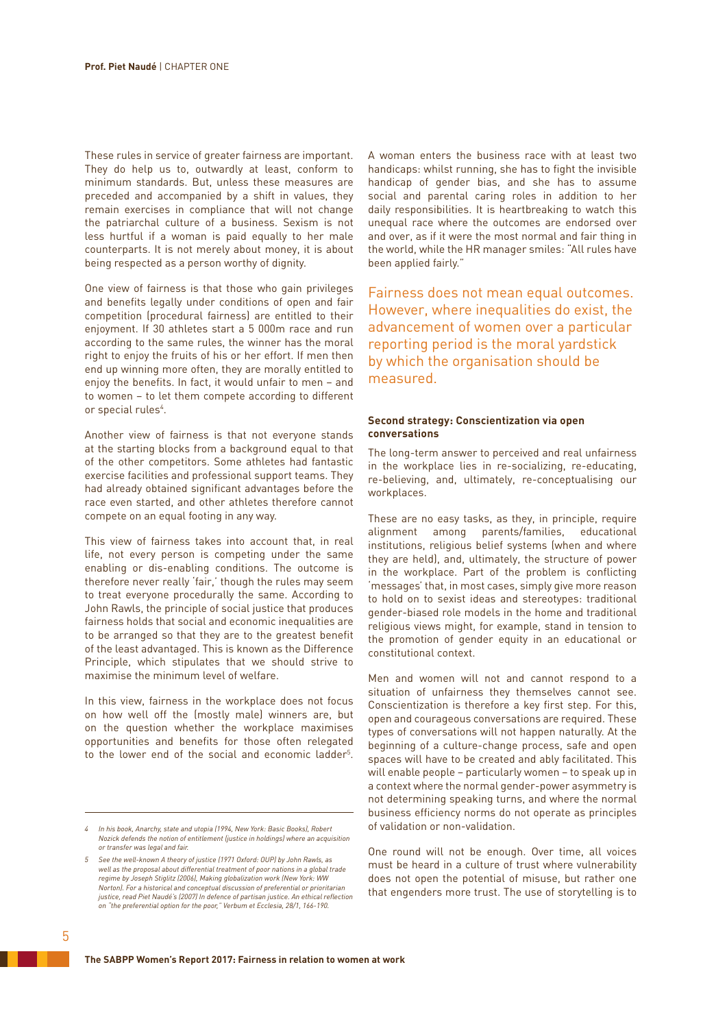These rules in service of greater fairness are important. They do help us to, outwardly at least, conform to minimum standards. But, unless these measures are preceded and accompanied by a shift in values, they remain exercises in compliance that will not change the patriarchal culture of a business. Sexism is not less hurtful if a woman is paid equally to her male counterparts. It is not merely about money, it is about being respected as a person worthy of dignity.

One view of fairness is that those who gain privileges and benefits legally under conditions of open and fair competition (procedural fairness) are entitled to their enjoyment. If 30 athletes start a 5 000m race and run according to the same rules, the winner has the moral right to enjoy the fruits of his or her effort. If men then end up winning more often, they are morally entitled to enjoy the benefits. In fact, it would unfair to men – and to women – to let them compete according to different or special rules<sup>4</sup>.

Another view of fairness is that not everyone stands at the starting blocks from a background equal to that of the other competitors. Some athletes had fantastic exercise facilities and professional support teams. They had already obtained significant advantages before the race even started, and other athletes therefore cannot compete on an equal footing in any way.

This view of fairness takes into account that, in real life, not every person is competing under the same enabling or dis-enabling conditions. The outcome is therefore never really 'fair,' though the rules may seem to treat everyone procedurally the same. According to John Rawls, the principle of social justice that produces fairness holds that social and economic inequalities are to be arranged so that they are to the greatest benefit of the least advantaged. This is known as the Difference Principle, which stipulates that we should strive to maximise the minimum level of welfare.

In this view, fairness in the workplace does not focus on how well off the (mostly male) winners are, but on the question whether the workplace maximises opportunities and benefits for those often relegated to the lower end of the social and economic ladder<sup>5</sup>.

A woman enters the business race with at least two handicaps: whilst running, she has to fight the invisible handicap of gender bias, and she has to assume social and parental caring roles in addition to her daily responsibilities. It is heartbreaking to watch this unequal race where the outcomes are endorsed over and over, as if it were the most normal and fair thing in the world, while the HR manager smiles: "All rules have been applied fairly."

Fairness does not mean equal outcomes. However, where inequalities do exist, the advancement of women over a particular reporting period is the moral yardstick by which the organisation should be measured.

## **Second strategy: Conscientization via open conversations**

The long-term answer to perceived and real unfairness in the workplace lies in re-socializing, re-educating, re-believing, and, ultimately, re-conceptualising our workplaces.

These are no easy tasks, as they, in principle, require alignment among parents/families, educational institutions, religious belief systems (when and where they are held), and, ultimately, the structure of power in the workplace. Part of the problem is conflicting 'messages' that, in most cases, simply give more reason to hold on to sexist ideas and stereotypes: traditional gender-biased role models in the home and traditional religious views might, for example, stand in tension to the promotion of gender equity in an educational or constitutional context.

Men and women will not and cannot respond to a situation of unfairness they themselves cannot see. Conscientization is therefore a key first step. For this, open and courageous conversations are required. These types of conversations will not happen naturally. At the beginning of a culture-change process, safe and open spaces will have to be created and ably facilitated. This will enable people – particularly women – to speak up in a context where the normal gender-power asymmetry is not determining speaking turns, and where the normal business efficiency norms do not operate as principles of validation or non-validation.

One round will not be enough. Over time, all voices must be heard in a culture of trust where vulnerability does not open the potential of misuse, but rather one that engenders more trust. The use of storytelling is to

*<sup>4</sup> In his book, Anarchy, state and utopia (1994, New York: Basic Books), Robert Nozick defends the notion of entitlement (justice in holdings) where an acquisition or transfer was legal and fair.*

*<sup>5</sup> See the well-known A theory of justice (1971 Oxford: OUP) by John Rawls, as well as the proposal about differential treatment of poor nations in a global trade regime by Joseph Stiglitz (2006), Making globalization work (New York: WW Norton). For a historical and conceptual discussion of preferential or prioritarian justice, read Piet Naudé's (2007) In defence of partisan justice. An ethical reflection on "the preferential option for the poor," Verbum et Ecclesia, 28/1, 166-190.*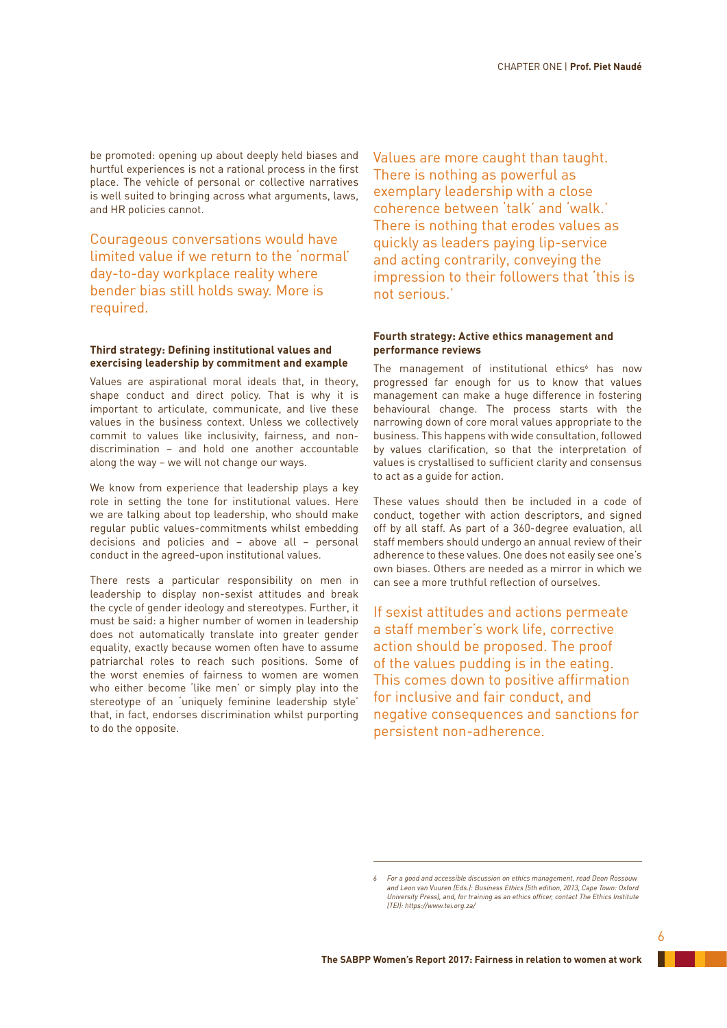be promoted: opening up about deeply held biases and hurtful experiences is not a rational process in the first place. The vehicle of personal or collective narratives is well suited to bringing across what arguments, laws, and HR policies cannot.

Courageous conversations would have limited value if we return to the 'normal' day-to-day workplace reality where bender bias still holds sway. More is required.

## **Third strategy: Defining institutional values and exercising leadership by commitment and example**

Values are aspirational moral ideals that, in theory, shape conduct and direct policy. That is why it is important to articulate, communicate, and live these values in the business context. Unless we collectively commit to values like inclusivity, fairness, and nondiscrimination – and hold one another accountable along the way – we will not change our ways.

We know from experience that leadership plays a key role in setting the tone for institutional values. Here we are talking about top leadership, who should make regular public values-commitments whilst embedding decisions and policies and – above all – personal conduct in the agreed-upon institutional values.

There rests a particular responsibility on men in leadership to display non-sexist attitudes and break the cycle of gender ideology and stereotypes. Further, it must be said: a higher number of women in leadership does not automatically translate into greater gender equality, exactly because women often have to assume patriarchal roles to reach such positions. Some of the worst enemies of fairness to women are women who either become 'like men' or simply play into the stereotype of an 'uniquely feminine leadership style' that, in fact, endorses discrimination whilst purporting to do the opposite.

Values are more caught than taught. There is nothing as powerful as exemplary leadership with a close coherence between 'talk' and 'walk.' There is nothing that erodes values as quickly as leaders paying lip-service and acting contrarily, conveying the impression to their followers that 'this is not serious.'

## **Fourth strategy: Active ethics management and performance reviews**

The management of institutional ethics $6$  has now progressed far enough for us to know that values management can make a huge difference in fostering behavioural change. The process starts with the narrowing down of core moral values appropriate to the business. This happens with wide consultation, followed by values clarification, so that the interpretation of values is crystallised to sufficient clarity and consensus to act as a guide for action.

These values should then be included in a code of conduct, together with action descriptors, and signed off by all staff. As part of a 360-degree evaluation, all staff members should undergo an annual review of their adherence to these values. One does not easily see one's own biases. Others are needed as a mirror in which we can see a more truthful reflection of ourselves.

If sexist attitudes and actions permeate a staff member's work life, corrective action should be proposed. The proof of the values pudding is in the eating. This comes down to positive affirmation for inclusive and fair conduct, and negative consequences and sanctions for persistent non-adherence.

*<sup>6</sup> For a good and accessible discussion on ethics management, read Deon Rossouw and Leon van Vuuren (Eds.): Business Ethics (5th edition, 2013, Cape Town: Oxford University Press), and, for training as an ethics officer, contact The Ethics Institute (TEI): https://www.tei.org.za/*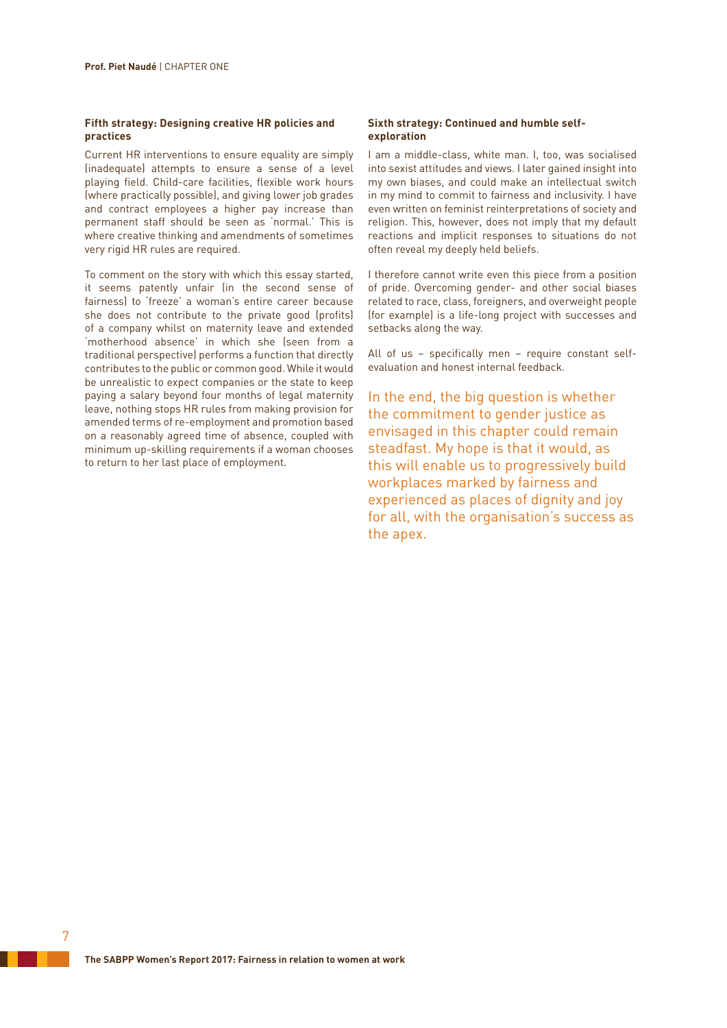## **Fifth strategy: Designing creative HR policies and practices**

Current HR interventions to ensure equality are simply (inadequate) attempts to ensure a sense of a level playing field. Child-care facilities, flexible work hours (where practically possible), and giving lower job grades and contract employees a higher pay increase than permanent staff should be seen as 'normal.' This is where creative thinking and amendments of sometimes very rigid HR rules are required.

To comment on the story with which this essay started, it seems patently unfair (in the second sense of fairness) to 'freeze' a woman's entire career because she does not contribute to the private good (profits) of a company whilst on maternity leave and extended 'motherhood absence' in which she (seen from a traditional perspective) performs a function that directly contributes to the public or common good. While it would be unrealistic to expect companies or the state to keep paying a salary beyond four months of legal maternity leave, nothing stops HR rules from making provision for amended terms of re-employment and promotion based on a reasonably agreed time of absence, coupled with minimum up-skilling requirements if a woman chooses to return to her last place of employment.

## **Sixth strategy: Continued and humble selfexploration**

I am a middle-class, white man. I, too, was socialised into sexist attitudes and views. I later gained insight into my own biases, and could make an intellectual switch in my mind to commit to fairness and inclusivity. I have even written on feminist reinterpretations of society and religion. This, however, does not imply that my default reactions and implicit responses to situations do not often reveal my deeply held beliefs.

I therefore cannot write even this piece from a position of pride. Overcoming gender- and other social biases related to race, class, foreigners, and overweight people (for example) is a life-long project with successes and setbacks along the way.

All of us – specifically men – require constant selfevaluation and honest internal feedback.

In the end, the big question is whether the commitment to gender justice as envisaged in this chapter could remain steadfast. My hope is that it would, as this will enable us to progressively build workplaces marked by fairness and experienced as places of dignity and joy for all, with the organisation's success as the apex.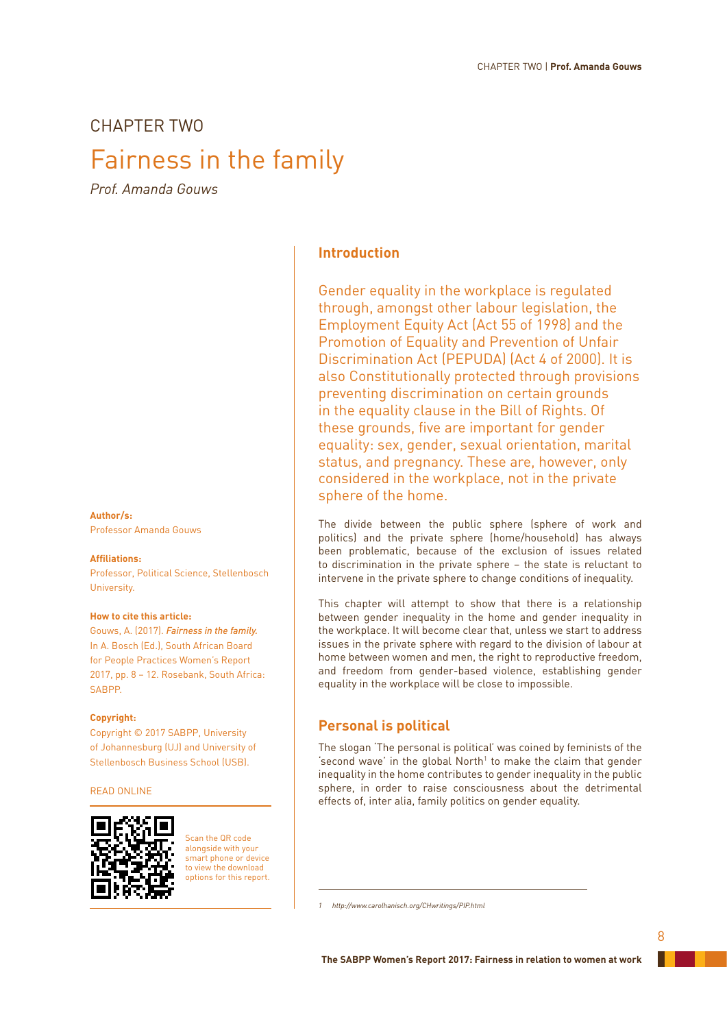# CHAPTER TWO

# Fairness in the family

*Prof. Amanda Gouws*

# **Author/s:**

Professor Amanda Gouws

### **Affiliations:**

Professor, Political Science, Stellenbosch University.

## **How to cite this article:**

Gouws, A. (2017). *Fairness in the family.* In A. Bosch (Ed.), South African Board for People Practices Women's Report 2017, pp. 8 – 12. Rosebank, South Africa: SABPP.

## **Copyright:**

Copyright © 2017 SABPP, University of Johannesburg (UJ) and University of Stellenbosch Business School (USB).

## READ ONLINE



Scan the QR code alongside with your smart phone or device to view the download options for this report.

# **Introduction**

Gender equality in the workplace is regulated through, amongst other labour legislation, the Employment Equity Act (Act 55 of 1998) and the Promotion of Equality and Prevention of Unfair Discrimination Act (PEPUDA) (Act 4 of 2000). It is also Constitutionally protected through provisions preventing discrimination on certain grounds in the equality clause in the Bill of Rights. Of these grounds, five are important for gender equality: sex, gender, sexual orientation, marital status, and pregnancy. These are, however, only considered in the workplace, not in the private sphere of the home.

The divide between the public sphere (sphere of work and politics) and the private sphere (home/household) has always been problematic, because of the exclusion of issues related to discrimination in the private sphere – the state is reluctant to intervene in the private sphere to change conditions of inequality.

This chapter will attempt to show that there is a relationship between gender inequality in the home and gender inequality in the workplace. It will become clear that, unless we start to address issues in the private sphere with regard to the division of labour at home between women and men, the right to reproductive freedom, and freedom from gender-based violence, establishing gender equality in the workplace will be close to impossible.

# **Personal is political**

The slogan 'The personal is political' was coined by feminists of the 'second wave' in the global North $1$  to make the claim that gender inequality in the home contributes to gender inequality in the public sphere, in order to raise consciousness about the detrimental effects of, inter alia, family politics on gender equality.

*<sup>1</sup> http://www.carolhanisch.org/CHwritings/PIP.html*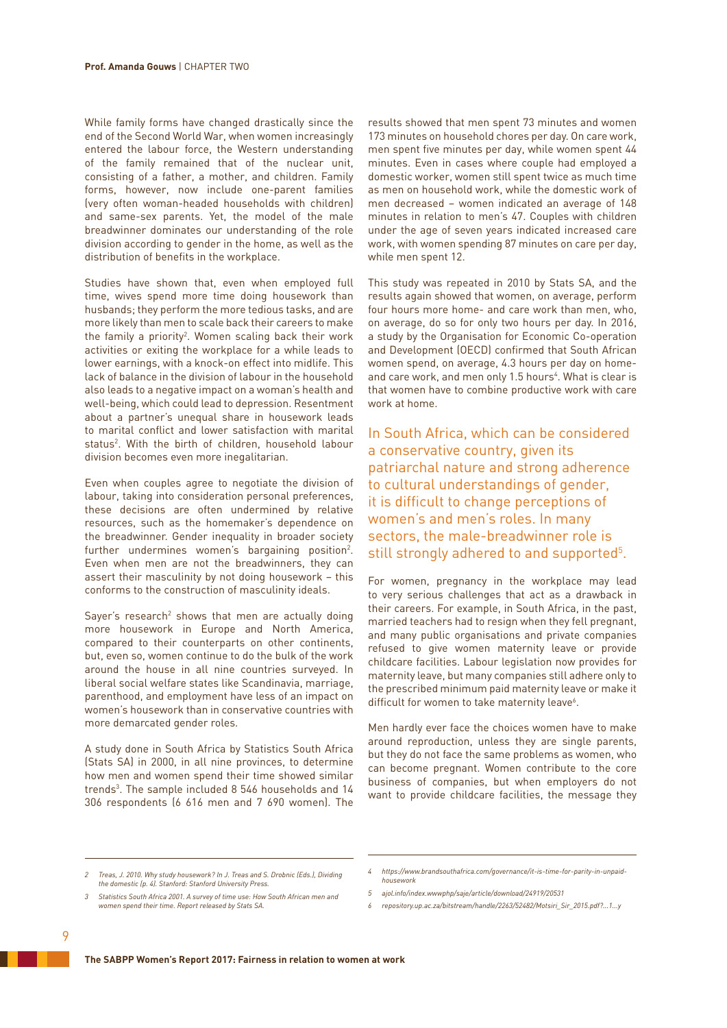While family forms have changed drastically since the end of the Second World War, when women increasingly entered the labour force, the Western understanding of the family remained that of the nuclear unit, consisting of a father, a mother, and children. Family forms, however, now include one-parent families (very often woman-headed households with children) and same-sex parents. Yet, the model of the male breadwinner dominates our understanding of the role division according to gender in the home, as well as the distribution of benefits in the workplace.

Studies have shown that, even when employed full time, wives spend more time doing housework than husbands; they perform the more tedious tasks, and are more likely than men to scale back their careers to make the family a priority2 . Women scaling back their work activities or exiting the workplace for a while leads to lower earnings, with a knock-on effect into midlife. This lack of balance in the division of labour in the household also leads to a negative impact on a woman's health and well-being, which could lead to depression. Resentment about a partner's unequal share in housework leads to marital conflict and lower satisfaction with marital status2 . With the birth of children, household labour division becomes even more inegalitarian.

Even when couples agree to negotiate the division of labour, taking into consideration personal preferences, these decisions are often undermined by relative resources, such as the homemaker's dependence on the breadwinner. Gender inequality in broader society further undermines women's bargaining position<sup>2</sup>. Even when men are not the breadwinners, they can assert their masculinity by not doing housework – this conforms to the construction of masculinity ideals.

Sayer's research<sup>2</sup> shows that men are actually doing more housework in Europe and North America, compared to their counterparts on other continents, but, even so, women continue to do the bulk of the work around the house in all nine countries surveyed. In liberal social welfare states like Scandinavia, marriage, parenthood, and employment have less of an impact on women's housework than in conservative countries with more demarcated gender roles.

A study done in South Africa by Statistics South Africa (Stats SA) in 2000, in all nine provinces, to determine how men and women spend their time showed similar trends3 . The sample included 8 546 households and 14 306 respondents (6 616 men and 7 690 women). The

results showed that men spent 73 minutes and women 173 minutes on household chores per day. On care work, men spent five minutes per day, while women spent 44 minutes. Even in cases where couple had employed a domestic worker, women still spent twice as much time as men on household work, while the domestic work of men decreased – women indicated an average of 148 minutes in relation to men's 47. Couples with children under the age of seven years indicated increased care work, with women spending 87 minutes on care per day, while men spent 12.

This study was repeated in 2010 by Stats SA, and the results again showed that women, on average, perform four hours more home- and care work than men, who, on average, do so for only two hours per day. In 2016, a study by the Organisation for Economic Co-operation and Development (OECD) confirmed that South African women spend, on average, 4.3 hours per day on homeand care work, and men only 1.5 hours<sup>4</sup>. What is clear is that women have to combine productive work with care work at home.

In South Africa, which can be considered a conservative country, given its patriarchal nature and strong adherence to cultural understandings of gender, it is difficult to change perceptions of women's and men's roles. In many sectors, the male-breadwinner role is still strongly adhered to and supported<sup>5</sup>.

For women, pregnancy in the workplace may lead to very serious challenges that act as a drawback in their careers. For example, in South Africa, in the past, married teachers had to resign when they fell pregnant, and many public organisations and private companies refused to give women maternity leave or provide childcare facilities. Labour legislation now provides for maternity leave, but many companies still adhere only to the prescribed minimum paid maternity leave or make it difficult for women to take maternity leave<sup>6</sup>.

Men hardly ever face the choices women have to make around reproduction, unless they are single parents, but they do not face the same problems as women, who can become pregnant. Women contribute to the core business of companies, but when employers do not want to provide childcare facilities, the message they

*<sup>2</sup> Treas, J. 2010. Why study housework? In J. Treas and S. Drobnic (Eds.), Dividing the domestic (p. 4). Stanford: Stanford University Press.*

*<sup>3</sup> Statistics South Africa 2001. A survey of time use: How South African men and women spend their time. Report released by Stats SA.*

*<sup>4</sup> https://www.brandsouthafrica.com/governance/it-is-time-for-parity-in-unpaidhousework*

*<sup>5</sup> ajol.info/index.wwwphp/saje/article/download/24919/20531*

*<sup>6</sup> repository.up.ac.za/bitstream/handle/2263/52482/Motsiri\_Sir\_2015.pdf?...1...y*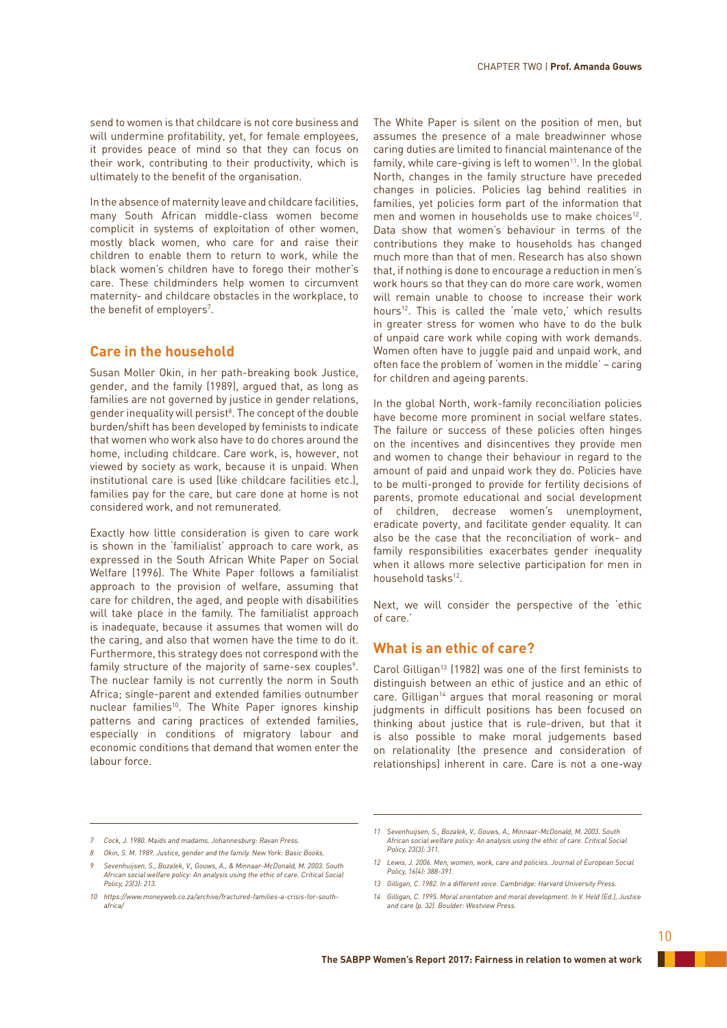send to women is that childcare is not core business and will undermine profitability, yet, for female employees, it provides peace of mind so that they can focus on their work, contributing to their productivity, which is ultimately to the benefit of the organisation.

In the absence of maternity leave and childcare facilities, many South African middle-class women become complicit in systems of exploitation of other women, mostly black women, who care for and raise their children to enable them to return to work, while the black women's children have to forego their mother's care. These childminders help women to circumvent maternity- and childcare obstacles in the workplace, to the benefit of employers<sup>7</sup>.

# **Care in the household**

Susan Moller Okin, in her path-breaking book Justice, gender, and the family (1989), argued that, as long as families are not governed by justice in gender relations, gender inequality will persist<sup>8</sup>. The concept of the double burden/shift has been developed by feminists to indicate that women who work also have to do chores around the home, including childcare. Care work, is, however, not viewed by society as work, because it is unpaid. When institutional care is used (like childcare facilities etc.), families pay for the care, but care done at home is not considered work, and not remunerated.

Exactly how little consideration is given to care work is shown in the 'familialist' approach to care work, as expressed in the South African White Paper on Social Welfare (1996). The White Paper follows a familialist approach to the provision of welfare, assuming that care for children, the aged, and people with disabilities will take place in the family. The familialist approach is inadequate, because it assumes that women will do the caring, and also that women have the time to do it. Furthermore, this strategy does not correspond with the family structure of the majority of same-sex couples<sup>9</sup>. The nuclear family is not currently the norm in South Africa; single-parent and extended families outnumber nuclear families<sup>10</sup>. The White Paper ignores kinship patterns and caring practices of extended families, especially in conditions of migratory labour and economic conditions that demand that women enter the labour force.

The White Paper is silent on the position of men, but assumes the presence of a male breadwinner whose caring duties are limited to financial maintenance of the family, while care-giving is left to women<sup>11</sup>. In the global North, changes in the family structure have preceded changes in policies. Policies lag behind realities in families, yet policies form part of the information that men and women in households use to make choices<sup>12</sup>. Data show that women's behaviour in terms of the contributions they make to households has changed much more than that of men. Research has also shown that, if nothing is done to encourage a reduction in men's work hours so that they can do more care work, women will remain unable to choose to increase their work hours<sup>12</sup>. This is called the 'male veto,' which results in greater stress for women who have to do the bulk of unpaid care work while coping with work demands. Women often have to juggle paid and unpaid work, and often face the problem of 'women in the middle' – caring for children and ageing parents.

In the global North, work-family reconciliation policies have become more prominent in social welfare states. The failure or success of these policies often hinges on the incentives and disincentives they provide men and women to change their behaviour in regard to the amount of paid and unpaid work they do. Policies have to be multi-pronged to provide for fertility decisions of parents, promote educational and social development of children, decrease women's unemployment, eradicate poverty, and facilitate gender equality. It can also be the case that the reconciliation of work- and family responsibilities exacerbates gender inequality when it allows more selective participation for men in household tasks<sup>12</sup>.

Next, we will consider the perspective of the 'ethic of care.'

# **What is an ethic of care?**

Carol Gilligan<sup>13</sup> (1982) was one of the first feminists to distinguish between an ethic of justice and an ethic of care. Gilligan<sup>14</sup> argues that moral reasoning or moral judgments in difficult positions has been focused on thinking about justice that is rule-driven, but that it is also possible to make moral judgements based on relationality (the presence and consideration of relationships) inherent in care. Care is not a one-way

*<sup>7</sup> Cock, J. 1980. Maids and madams. Johannesburg: Ravan Press.*

*<sup>8</sup> Okin, S. M. 1989. Justice, gender and the family. New York: Basic Books.*

*<sup>9</sup> Sevenhuijsen, S., Bozalek, V., Gouws, A., & Minnaar-McDonald, M. 2003. South African social welfare policy: An analysis using the ethic of care. Critical Social Policy, 23(3): 213.*

*<sup>10</sup> https://www.moneyweb.co.za/archive/fractured-families-a-crisis-for-southafrica/*

*<sup>11</sup> Sevenhuijsen, S., Bozalek, V., Gouws, A., Minnaar-McDonald, M. 2003. South African social welfare policy: An analysis using the ethic of care. Critical Social Policy, 23(3): 311.*

*<sup>12</sup> Lewis, J. 2006. Men, women, work, care and policies. Journal of European Social Policy, 16(4): 388-391.*

*<sup>13</sup> Gilligan, C. 1982. In a different voice. Cambridge: Harvard University Press.*

*<sup>14</sup> Gilligan, C. 1995. Moral orientation and moral development. In V. Held (Ed.), Justice and care (p. 32). Boulder: Westview Press.*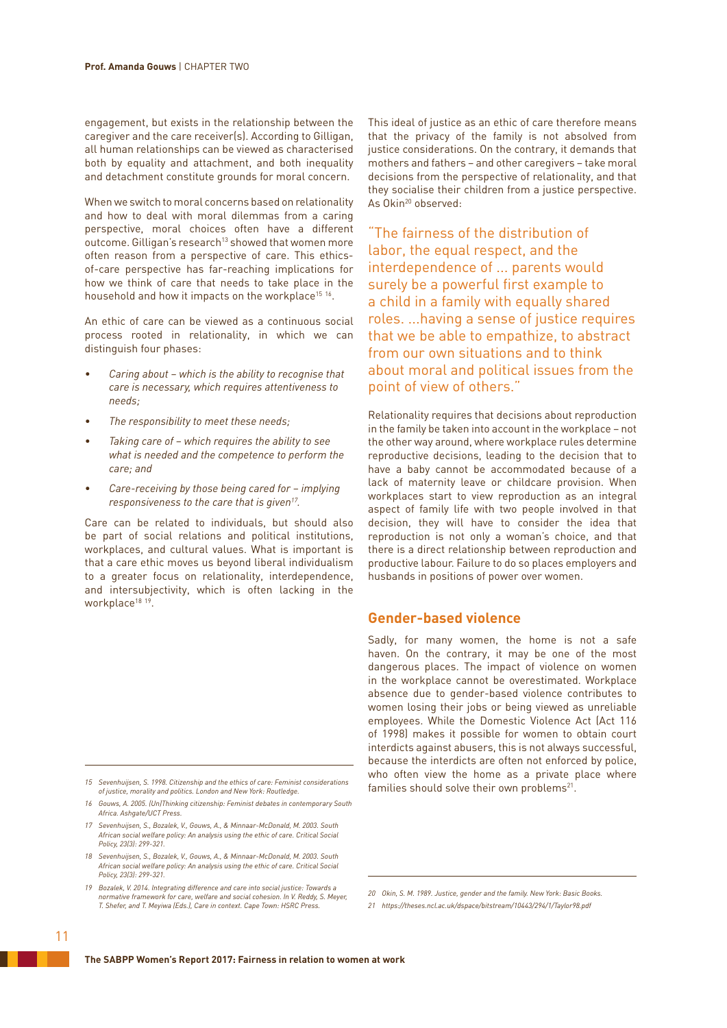engagement, but exists in the relationship between the caregiver and the care receiver(s). According to Gilligan, all human relationships can be viewed as characterised both by equality and attachment, and both inequality and detachment constitute grounds for moral concern.

When we switch to moral concerns based on relationality and how to deal with moral dilemmas from a caring perspective, moral choices often have a different outcome. Gilligan's research<sup>13</sup> showed that women more often reason from a perspective of care. This ethicsof-care perspective has far-reaching implications for how we think of care that needs to take place in the household and how it impacts on the workplace<sup>15 16</sup>.

An ethic of care can be viewed as a continuous social process rooted in relationality, in which we can distinguish four phases:

- *• Caring about which is the ability to recognise that care is necessary, which requires attentiveness to needs;*
- *• The responsibility to meet these needs;*
- *• Taking care of which requires the ability to see what is needed and the competence to perform the care; and*
- *• Care-receiving by those being cared for implying responsiveness to the care that is given17.*

Care can be related to individuals, but should also be part of social relations and political institutions, workplaces, and cultural values. What is important is that a care ethic moves us beyond liberal individualism to a greater focus on relationality, interdependence, and intersubjectivity, which is often lacking in the workplace<sup>18 19</sup>.

- *17 Sevenhuijsen, S., Bozalek, V., Gouws, A., & Minnaar-McDonald, M. 2003. South African social welfare policy: An analysis using the ethic of care. Critical Social Policy, 23(3): 299-321.*
- *18 Sevenhuijsen, S., Bozalek, V., Gouws, A., & Minnaar-McDonald, M. 2003. South African social welfare policy: An analysis using the ethic of care. Critical Social Policy, 23(3): 299-321.*
- *19 Bozalek, V. 2014. Integrating difference and care into social justice: Towards a normative framework for care, welfare and social cohesion. In V. Reddy, S. Meyer, T. Shefer, and T. Meyiwa (Eds.), Care in context. Cape Town: HSRC Press.*

This ideal of justice as an ethic of care therefore means that the privacy of the family is not absolved from justice considerations. On the contrary, it demands that mothers and fathers – and other caregivers – take moral decisions from the perspective of relationality, and that they socialise their children from a justice perspective. As Okin20 observed:

"The fairness of the distribution of labor, the equal respect, and the interdependence of ... parents would surely be a powerful first example to a child in a family with equally shared roles. ...having a sense of justice requires that we be able to empathize, to abstract from our own situations and to think about moral and political issues from the point of view of others."

Relationality requires that decisions about reproduction in the family be taken into account in the workplace – not the other way around, where workplace rules determine reproductive decisions, leading to the decision that to have a baby cannot be accommodated because of a lack of maternity leave or childcare provision. When workplaces start to view reproduction as an integral aspect of family life with two people involved in that decision, they will have to consider the idea that reproduction is not only a woman's choice, and that there is a direct relationship between reproduction and productive labour. Failure to do so places employers and husbands in positions of power over women.

# **Gender-based violence**

Sadly, for many women, the home is not a safe haven. On the contrary, it may be one of the most dangerous places. The impact of violence on women in the workplace cannot be overestimated. Workplace absence due to gender-based violence contributes to women losing their jobs or being viewed as unreliable employees. While the Domestic Violence Act (Act 116 of 1998) makes it possible for women to obtain court interdicts against abusers, this is not always successful, because the interdicts are often not enforced by police, who often view the home as a private place where families should solve their own problems<sup>21</sup>.

*<sup>15</sup> Sevenhuijsen, S. 1998. Citizenship and the ethics of care: Feminist considerations of justice, morality and politics. London and New York: Routledge.*

*<sup>16</sup> Gouws, A. 2005. (Un)Thinking citizenship: Feminist debates in contemporary South Africa. Ashgate/UCT Press.*

*<sup>20</sup> Okin, S. M. 1989. Justice, gender and the family. New York: Basic Books.*

*<sup>21</sup> https://theses.ncl.ac.uk/dspace/bitstream/10443/294/1/Taylor98.pdf*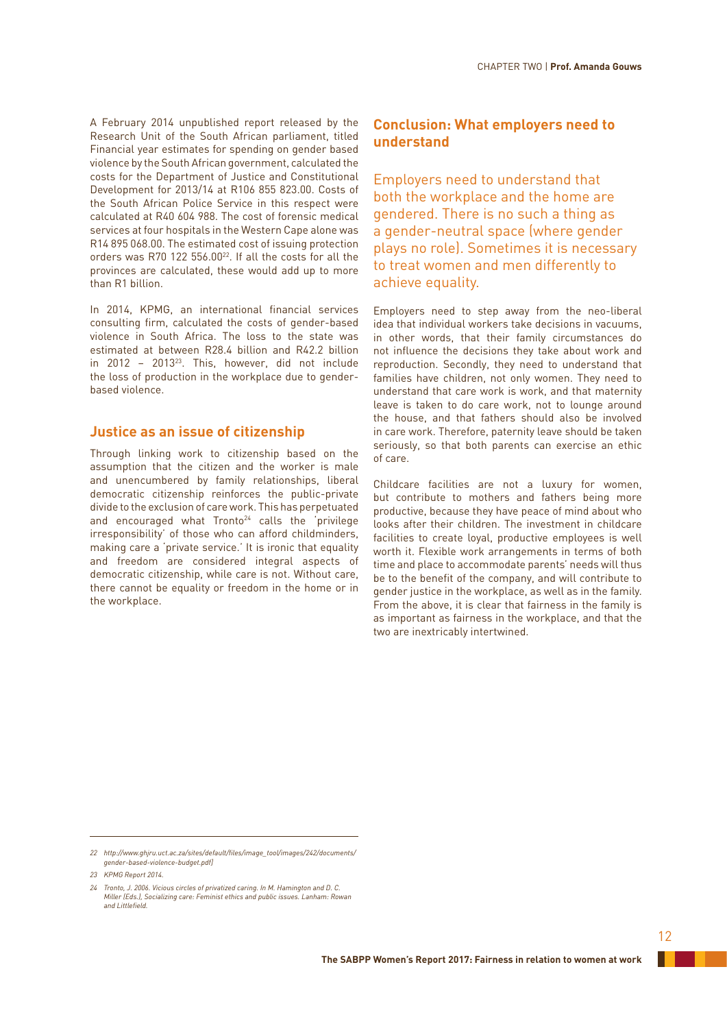A February 2014 unpublished report released by the Research Unit of the South African parliament, titled Financial year estimates for spending on gender based violence by the South African government, calculated the costs for the Department of Justice and Constitutional Development for 2013/14 at R106 855 823.00. Costs of the South African Police Service in this respect were calculated at R40 604 988. The cost of forensic medical services at four hospitals in the Western Cape alone was R14 895 068.00. The estimated cost of issuing protection orders was R70 122 556.0022. If all the costs for all the provinces are calculated, these would add up to more than R1 billion.

In 2014, KPMG, an international financial services consulting firm, calculated the costs of gender-based violence in South Africa. The loss to the state was estimated at between R28.4 billion and R42.2 billion in 2012 – 201323. This, however, did not include the loss of production in the workplace due to genderbased violence.

# **Justice as an issue of citizenship**

Through linking work to citizenship based on the assumption that the citizen and the worker is male and unencumbered by family relationships, liberal democratic citizenship reinforces the public-private divide to the exclusion of care work. This has perpetuated and encouraged what Tronto<sup>24</sup> calls the 'privilege irresponsibility' of those who can afford childminders, making care a 'private service.' It is ironic that equality and freedom are considered integral aspects of democratic citizenship, while care is not. Without care, there cannot be equality or freedom in the home or in the workplace.

# **Conclusion: What employers need to understand**

Employers need to understand that both the workplace and the home are gendered. There is no such a thing as a gender-neutral space (where gender plays no role). Sometimes it is necessary to treat women and men differently to achieve equality.

Employers need to step away from the neo-liberal idea that individual workers take decisions in vacuums, in other words, that their family circumstances do not influence the decisions they take about work and reproduction. Secondly, they need to understand that families have children, not only women. They need to understand that care work is work, and that maternity leave is taken to do care work, not to lounge around the house, and that fathers should also be involved in care work. Therefore, paternity leave should be taken seriously, so that both parents can exercise an ethic of care.

Childcare facilities are not a luxury for women, but contribute to mothers and fathers being more productive, because they have peace of mind about who looks after their children. The investment in childcare facilities to create loyal, productive employees is well worth it. Flexible work arrangements in terms of both time and place to accommodate parents' needs will thus be to the benefit of the company, and will contribute to gender justice in the workplace, as well as in the family. From the above, it is clear that fairness in the family is as important as fairness in the workplace, and that the two are inextricably intertwined.

*<sup>22</sup> http://www.ghjru.uct.ac.za/sites/default/files/image\_tool/images/242/documents/ gender-based-violence-budget.pdf]*

*<sup>23</sup> KPMG Report 2014.*

*<sup>24</sup> Tronto, J. 2006. Vicious circles of privatized caring. In M. Hamington and D. C. Miller (Eds.), Socializing care: Feminist ethics and public issues. Lanham: Rowan and Littlefield.*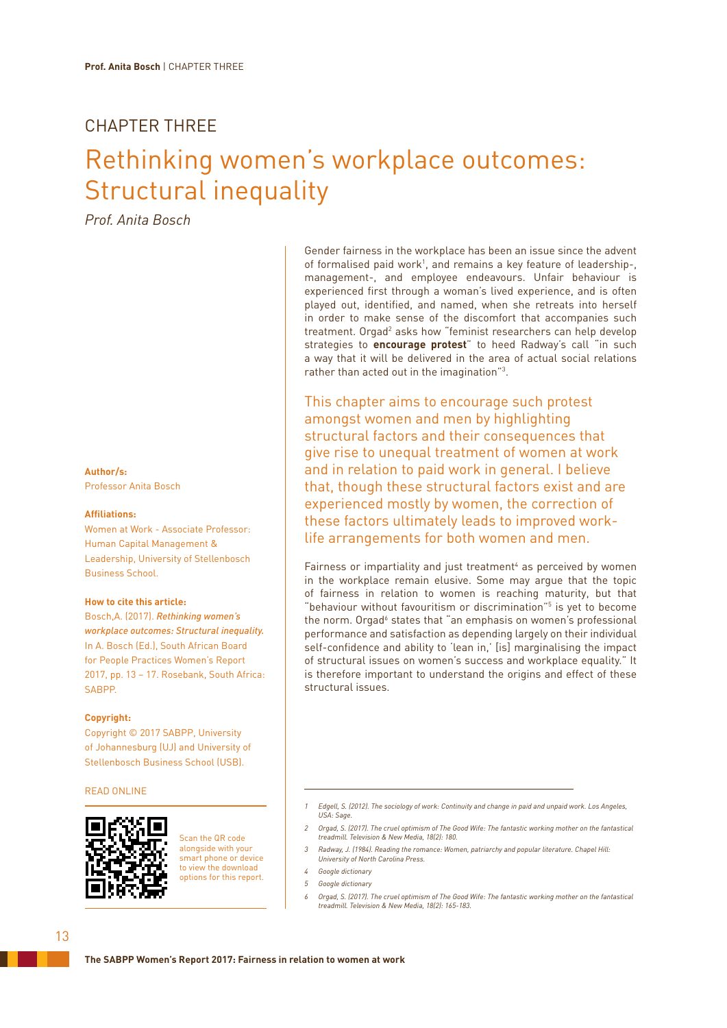# CHAPTER THREE

# Rethinking women's workplace outcomes: Structural inequality

*Prof. Anita Bosch*

**Author/s:**

Professor Anita Bosch

## **Affiliations:**

Women at Work - Associate Professor: Human Capital Management & Leadership, University of Stellenbosch Business School.

## **How to cite this article:**

Bosch,A. (2017). *Rethinking women's workplace outcomes: Structural inequality.* In A. Bosch (Ed.), South African Board for People Practices Women's Report 2017, pp. 13 – 17. Rosebank, South Africa: SABPP.

## **Copyright:**

Copyright © 2017 SABPP, University of Johannesburg (UJ) and University of Stellenbosch Business School (USB).

## READ ONLINE



Scan the QR code alongside with your smart phone or device to view the download options for this report.

Gender fairness in the workplace has been an issue since the advent of formalised paid work<sup>1</sup>, and remains a key feature of leadership-, management-, and employee endeavours. Unfair behaviour is experienced first through a woman's lived experience, and is often played out, identified, and named, when she retreats into herself in order to make sense of the discomfort that accompanies such treatment. Orgad<sup>2</sup> asks how "feminist researchers can help develop strategies to **encourage protest**" to heed Radway's call "in such a way that it will be delivered in the area of actual social relations rather than acted out in the imagination"<sup>3</sup>.

This chapter aims to encourage such protest amongst women and men by highlighting structural factors and their consequences that give rise to unequal treatment of women at work and in relation to paid work in general. I believe that, though these structural factors exist and are experienced mostly by women, the correction of these factors ultimately leads to improved worklife arrangements for both women and men.

Fairness or impartiality and just treatment<sup>4</sup> as perceived by women in the workplace remain elusive. Some may argue that the topic of fairness in relation to women is reaching maturity, but that "behaviour without favouritism or discrimination"<sup>5</sup> is yet to become the norm. Orgad<sup>6</sup> states that "an emphasis on women's professional performance and satisfaction as depending largely on their individual self-confidence and ability to 'lean in,' [is] marginalising the impact of structural issues on women's success and workplace equality." It is therefore important to understand the origins and effect of these structural issues.

- *2 Orgad, S. (2017). The cruel optimism of The Good Wife: The fantastic working mother on the fantastical treadmill. Television & New Media, 18(2): 180.*
- *3 Radway, J. (1984). Reading the romance: Women, patriarchy and popular literature. Chapel Hill: University of North Carolina Press.*
- *4 Google dictionary*
- *5 Google dictionary*
- *6 Orgad, S. (2017). The cruel optimism of The Good Wife: The fantastic working mother on the fantastical treadmill. Television & New Media, 18(2): 165-183.*

*<sup>1</sup> Edgell, S. (2012). The sociology of work: Continuity and change in paid and unpaid work. Los Angeles, USA: Sage.*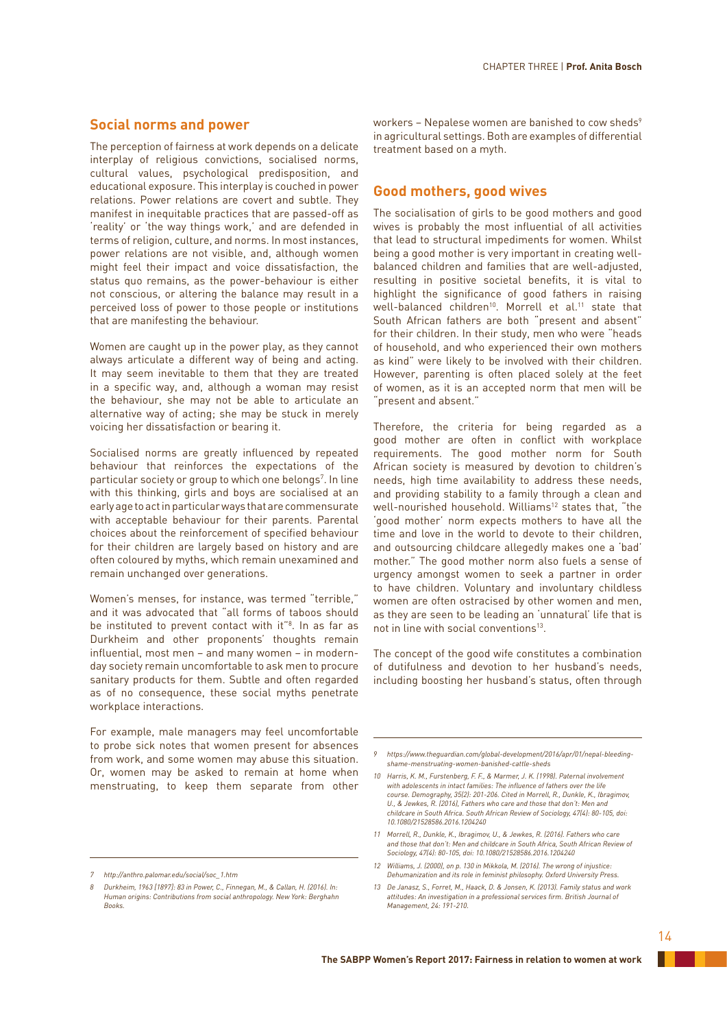# **Social norms and power**

The perception of fairness at work depends on a delicate interplay of religious convictions, socialised norms, cultural values, psychological predisposition, and educational exposure. This interplay is couched in power relations. Power relations are covert and subtle. They manifest in inequitable practices that are passed-off as 'reality' or 'the way things work,' and are defended in terms of religion, culture, and norms. In most instances, power relations are not visible, and, although women might feel their impact and voice dissatisfaction, the status quo remains, as the power-behaviour is either not conscious, or altering the balance may result in a perceived loss of power to those people or institutions that are manifesting the behaviour.

Women are caught up in the power play, as they cannot always articulate a different way of being and acting. It may seem inevitable to them that they are treated in a specific way, and, although a woman may resist the behaviour, she may not be able to articulate an alternative way of acting; she may be stuck in merely voicing her dissatisfaction or bearing it.

Socialised norms are greatly influenced by repeated behaviour that reinforces the expectations of the particular society or group to which one belongs<sup>7</sup>. In line with this thinking, girls and boys are socialised at an early age to act in particular ways that are commensurate with acceptable behaviour for their parents. Parental choices about the reinforcement of specified behaviour for their children are largely based on history and are often coloured by myths, which remain unexamined and remain unchanged over generations.

Women's menses, for instance, was termed "terrible," and it was advocated that "all forms of taboos should be instituted to prevent contact with it"<sup>8</sup>. In as far as Durkheim and other proponents' thoughts remain influential, most men – and many women – in modernday society remain uncomfortable to ask men to procure sanitary products for them. Subtle and often regarded as of no consequence, these social myths penetrate workplace interactions.

For example, male managers may feel uncomfortable to probe sick notes that women present for absences from work, and some women may abuse this situation. Or, women may be asked to remain at home when menstruating, to keep them separate from other

workers - Nepalese women are banished to cow sheds<sup>9</sup> in agricultural settings. Both are examples of differential treatment based on a myth.

## **Good mothers, good wives**

The socialisation of girls to be good mothers and good wives is probably the most influential of all activities that lead to structural impediments for women. Whilst being a good mother is very important in creating wellbalanced children and families that are well-adjusted, resulting in positive societal benefits, it is vital to highlight the significance of good fathers in raising well-balanced children<sup>10</sup>. Morrell et al.<sup>11</sup> state that South African fathers are both "present and absent" for their children. In their study, men who were "heads of household, and who experienced their own mothers as kind" were likely to be involved with their children. However, parenting is often placed solely at the feet of women, as it is an accepted norm that men will be "present and absent."

Therefore, the criteria for being regarded as a good mother are often in conflict with workplace requirements. The good mother norm for South African society is measured by devotion to children's needs, high time availability to address these needs, and providing stability to a family through a clean and well-nourished household. Williams<sup>12</sup> states that, "the 'good mother' norm expects mothers to have all the time and love in the world to devote to their children, and outsourcing childcare allegedly makes one a 'bad' mother." The good mother norm also fuels a sense of urgency amongst women to seek a partner in order to have children. Voluntary and involuntary childless women are often ostracised by other women and men, as they are seen to be leading an 'unnatural' life that is not in line with social conventions13.

The concept of the good wife constitutes a combination of dutifulness and devotion to her husband's needs, including boosting her husband's status, often through

*<sup>7</sup> http://anthro.palomar.edu/social/soc\_1.htm*

*<sup>8</sup> Durkheim, 1963 [1897]: 83 in Power, C., Finnegan, M., & Callan, H. (2016). In: Human origins: Contributions from social anthropology. New York: Berghahn Books.*

*<sup>9</sup> https://www.theguardian.com/global-development/2016/apr/01/nepal-bleedingshame-menstruating-women-banished-cattle-sheds*

*<sup>10</sup> Harris, K. M., Furstenberg, F. F., & Marmer, J. K. (1998). Paternal involvement*  with adolescents in intact families: The influence of fathers over the life *course. Demography, 35(2): 201-206. Cited in Morrell, R., Dunkle, K., Ibragimov, U., & Jewkes, R. (2016), Fathers who care and those that don't: Men and childcare in South Africa. South African Review of Sociology, 47(4): 80-105, doi: 10.1080/21528586.2016.1204240*

*<sup>11</sup> Morrell, R., Dunkle, K., Ibragimov, U., & Jewkes, R. (2016). Fathers who care and those that don't: Men and childcare in South Africa, South African Review of Sociology, 47(4): 80-105, doi: 10.1080/21528586.2016.1204240*

*<sup>12</sup> Williams, J. (2000), on p. 130 in Mikkola, M. (2016). The wrong of injustice: Dehumanization and its role in feminist philosophy. Oxford University Press.*

*<sup>13</sup> De Janasz, S., Forret, M., Haack, D. & Jonsen, K. (2013). Family status and work attitudes: An investigation in a professional services firm. British Journal of Management, 24: 191-210.*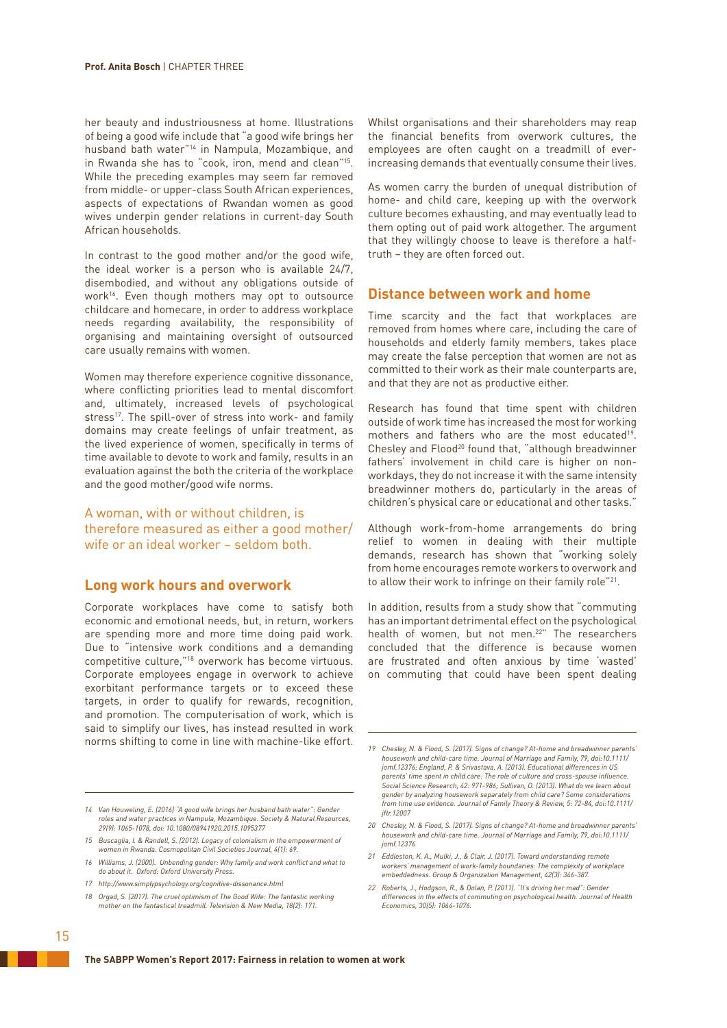her beauty and industriousness at home. Illustrations of being a good wife include that "a good wife brings her husband bath water"14 in Nampula, Mozambique, and in Rwanda she has to "cook, iron, mend and clean"15. While the preceding examples may seem far removed from middle- or upper-class South African experiences, aspects of expectations of Rwandan women as good wives underpin gender relations in current-day South African households.

In contrast to the good mother and/or the good wife, the ideal worker is a person who is available 24/7, disembodied, and without any obligations outside of work<sup>16</sup>. Even though mothers may opt to outsource childcare and homecare, in order to address workplace needs regarding availability, the responsibility of organising and maintaining oversight of outsourced care usually remains with women.

Women may therefore experience cognitive dissonance, where conflicting priorities lead to mental discomfort and, ultimately, increased levels of psychological stress<sup>17</sup>. The spill-over of stress into work- and family domains may create feelings of unfair treatment, as the lived experience of women, specifically in terms of time available to devote to work and family, results in an evaluation against the both the criteria of the workplace and the good mother/good wife norms.

# A woman, with or without children, is therefore measured as either a good mother/ wife or an ideal worker – seldom both.

# **Long work hours and overwork**

Corporate workplaces have come to satisfy both economic and emotional needs, but, in return, workers are spending more and more time doing paid work. Due to "intensive work conditions and a demanding competitive culture,"18 overwork has become virtuous. Corporate employees engage in overwork to achieve exorbitant performance targets or to exceed these targets, in order to qualify for rewards, recognition, and promotion. The computerisation of work, which is said to simplify our lives, has instead resulted in work norms shifting to come in line with machine-like effort.

*17 http://www.simplypsychology.org/cognitive-dissonance.html*

Whilst organisations and their shareholders may reap the financial benefits from overwork cultures, the employees are often caught on a treadmill of everincreasing demands that eventually consume their lives.

As women carry the burden of unequal distribution of home- and child care, keeping up with the overwork culture becomes exhausting, and may eventually lead to them opting out of paid work altogether. The argument that they willingly choose to leave is therefore a halftruth – they are often forced out.

# **Distance between work and home**

Time scarcity and the fact that workplaces are removed from homes where care, including the care of households and elderly family members, takes place may create the false perception that women are not as committed to their work as their male counterparts are, and that they are not as productive either.

Research has found that time spent with children outside of work time has increased the most for working mothers and fathers who are the most educated<sup>19</sup>. Chesley and Flood20 found that, "although breadwinner fathers' involvement in child care is higher on nonworkdays, they do not increase it with the same intensity breadwinner mothers do, particularly in the areas of children's physical care or educational and other tasks."

Although work-from-home arrangements do bring relief to women in dealing with their multiple demands, research has shown that "working solely from home encourages remote workers to overwork and to allow their work to infringe on their family role"21.

In addition, results from a study show that "commuting has an important detrimental effect on the psychological health of women, but not men.<sup>22"</sup> The researchers concluded that the difference is because women are frustrated and often anxious by time 'wasted' on commuting that could have been spent dealing

- *21 Eddleston, K. A., Mulki, J., & Clair, J. (2017). Toward understanding remote workers' management of work-family boundaries: The complexity of workplace embeddedness. Group & Organization Management, 42(3): 346-387.*
- *22 Roberts, J., Hodgson, R., & Dolan, P. (2011). "It's driving her mad": Gender differences in the effects of commuting on psychological health. Journal of Health Economics, 30(5): 1064-1076.*

*<sup>14</sup> Van Houweling, E. (2016) "A good wife brings her husband bath water": Gender roles and water practices in Nampula, Mozambique. Society & Natural Resources, 29(9): 1065-1078, doi: 10.1080/08941920.2015.1095377*

*<sup>15</sup> Buscaglia, I. & Randell, S. (2012). Legacy of colonialism in the empowerment of women in Rwanda. Cosmopolitan Civil Societies Journal, 4(1): 69.* 

*<sup>16</sup> Williams, J. (2000). Unbending gender: Why family and work conflict and what to do about it. Oxford: Oxford University Press.*

*<sup>18</sup> Orgad, S. (2017). The cruel optimism of The Good Wife: The fantastic working mother on the fantastical treadmill. Television & New Media, 18(2): 171.*

*<sup>19</sup> Chesley, N. & Flood, S. (2017). Signs of change? At-home and breadwinner parents' housework and child-care time. Journal of Marriage and Family, 79, doi:10.1111/ jomf.12376; England, P. & Srivastava, A. (2013). Educational differences in US*  parents' time spent in child care: The role of culture and cross-spouse influence.<br>Social Science Research, 42: 971-986; Sullivan, O. (2013). What do we learn about *gender by analyzing housework separately from child care? Some considerations from time use evidence. Journal of Family Theory & Review, 5: 72-84, doi:10.1111/ jftr.12007*

*<sup>20</sup> Chesley, N. & Flood, S. (2017). Signs of change? At-home and breadwinner parents' housework and child-care time. Journal of Marriage and Family, 79, doi:10.1111/ jomf.12376*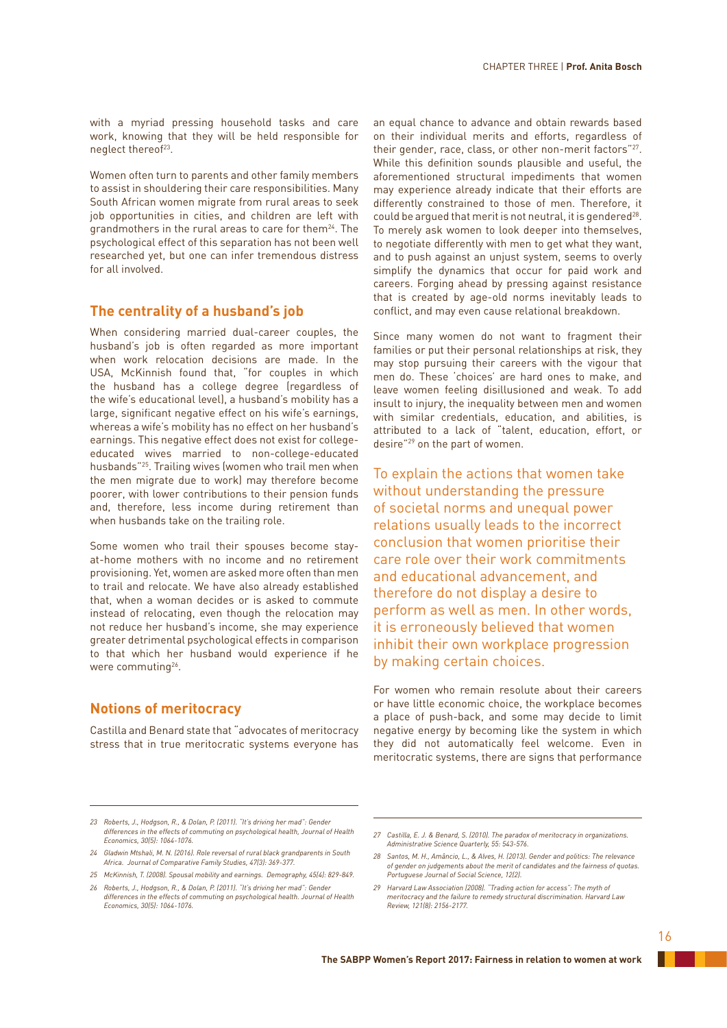with a myriad pressing household tasks and care work, knowing that they will be held responsible for neglect thereof<sup>23</sup>.

Women often turn to parents and other family members to assist in shouldering their care responsibilities. Many South African women migrate from rural areas to seek job opportunities in cities, and children are left with grandmothers in the rural areas to care for them<sup>24</sup>. The psychological effect of this separation has not been well researched yet, but one can infer tremendous distress for all involved.

# **The centrality of a husband's job**

When considering married dual-career couples, the husband's job is often regarded as more important when work relocation decisions are made. In the USA, McKinnish found that, "for couples in which the husband has a college degree (regardless of the wife's educational level), a husband's mobility has a large, significant negative effect on his wife's earnings, whereas a wife's mobility has no effect on her husband's earnings. This negative effect does not exist for collegeeducated wives married to non-college-educated husbands"25. Trailing wives (women who trail men when the men migrate due to work) may therefore become poorer, with lower contributions to their pension funds and, therefore, less income during retirement than when husbands take on the trailing role.

Some women who trail their spouses become stayat-home mothers with no income and no retirement provisioning. Yet, women are asked more often than men to trail and relocate. We have also already established that, when a woman decides or is asked to commute instead of relocating, even though the relocation may not reduce her husband's income, she may experience greater detrimental psychological effects in comparison to that which her husband would experience if he were commuting<sup>26</sup>.

# **Notions of meritocracy**

Castilla and Benard state that "advocates of meritocracy stress that in true meritocratic systems everyone has an equal chance to advance and obtain rewards based on their individual merits and efforts, regardless of their gender, race, class, or other non-merit factors"27. While this definition sounds plausible and useful, the aforementioned structural impediments that women may experience already indicate that their efforts are differently constrained to those of men. Therefore, it could be argued that merit is not neutral, it is gendered<sup>28</sup>. To merely ask women to look deeper into themselves, to negotiate differently with men to get what they want, and to push against an unjust system, seems to overly simplify the dynamics that occur for paid work and careers. Forging ahead by pressing against resistance that is created by age-old norms inevitably leads to conflict, and may even cause relational breakdown.

Since many women do not want to fragment their families or put their personal relationships at risk, they may stop pursuing their careers with the vigour that men do. These 'choices' are hard ones to make, and leave women feeling disillusioned and weak. To add insult to injury, the inequality between men and women with similar credentials, education, and abilities, is attributed to a lack of "talent, education, effort, or desire"29 on the part of women.

To explain the actions that women take without understanding the pressure of societal norms and unequal power relations usually leads to the incorrect conclusion that women prioritise their care role over their work commitments and educational advancement, and therefore do not display a desire to perform as well as men. In other words, it is erroneously believed that women inhibit their own workplace progression by making certain choices.

For women who remain resolute about their careers or have little economic choice, the workplace becomes a place of push-back, and some may decide to limit negative energy by becoming like the system in which they did not automatically feel welcome. Even in meritocratic systems, there are signs that performance

*<sup>23</sup> Roberts, J., Hodgson, R., & Dolan, P. (2011). "It's driving her mad": Gender differences in the effects of commuting on psychological health, Journal of Health Economics, 30(5): 1064-1076.*

*<sup>24</sup> Gladwin Mtshali, M. N. (2016). Role reversal of rural black grandparents in South Africa. Journal of Comparative Family Studies, 47(3): 369-377.*

*<sup>25</sup> McKinnish, T. (2008). Spousal mobility and earnings. Demography, 45(4): 829-849. 26 Roberts, J., Hodgson, R., & Dolan, P. (2011). "It's driving her mad": Gender* 

*differences in the effects of commuting on psychological health. Journal of Health Economics, 30(5): 1064-1076.*

*<sup>27</sup> Castilla, E. J. & Benard, S. (2010). The paradox of meritocracy in organizations. Administrative Science Quarterly, 55: 543-576.*

*<sup>28</sup> Santos, M. H., Amâncio, L., & Alves, H. (2013). Gender and politics: The relevance of gender on judgements about the merit of candidates and the fairness of quotas. Portuguese Journal of Social Science, 12(2).* 

*<sup>29</sup> Harvard Law Association (2008). "Trading action for access": The myth of meritocracy and the failure to remedy structural discrimination. Harvard Law Review, 121(8): 2156-2177.*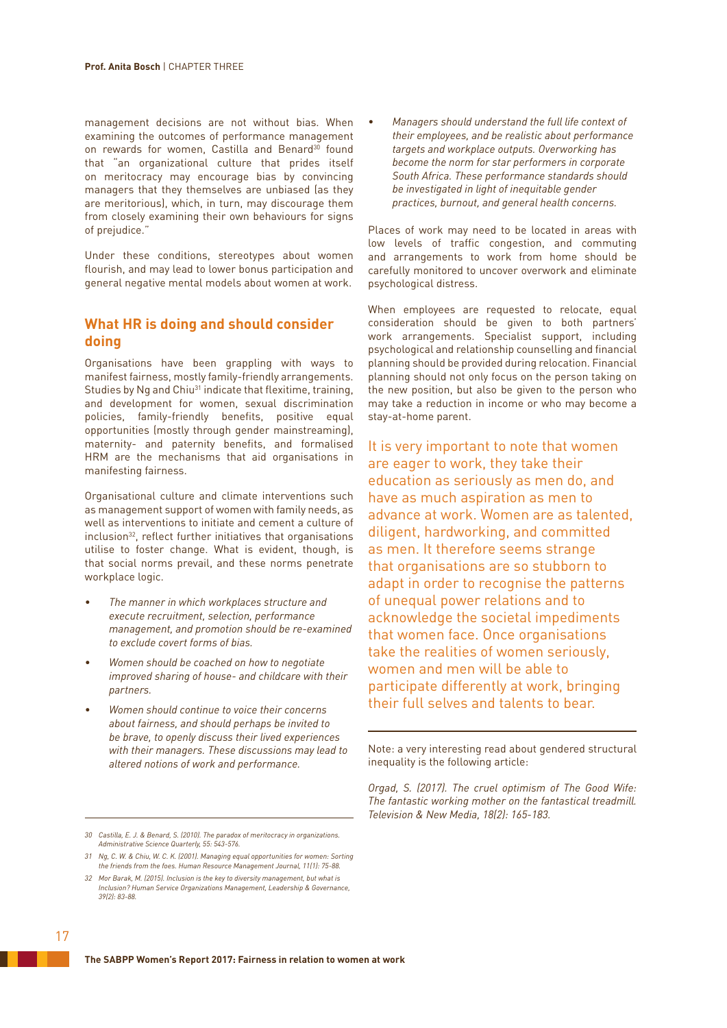management decisions are not without bias. When examining the outcomes of performance management on rewards for women, Castilla and Benard<sup>30</sup> found that "an organizational culture that prides itself on meritocracy may encourage bias by convincing managers that they themselves are unbiased (as they are meritorious), which, in turn, may discourage them from closely examining their own behaviours for signs of prejudice."

Under these conditions, stereotypes about women flourish, and may lead to lower bonus participation and general negative mental models about women at work.

# **What HR is doing and should consider doing**

Organisations have been grappling with ways to manifest fairness, mostly family-friendly arrangements. Studies by Ng and Chiu<sup>31</sup> indicate that flexitime, training, and development for women, sexual discrimination policies, family-friendly benefits, positive equal opportunities (mostly through gender mainstreaming), maternity- and paternity benefits, and formalised HRM are the mechanisms that aid organisations in manifesting fairness.

Organisational culture and climate interventions such as management support of women with family needs, as well as interventions to initiate and cement a culture of inclusion<sup>32</sup>, reflect further initiatives that organisations utilise to foster change. What is evident, though, is that social norms prevail, and these norms penetrate workplace logic.

- *• The manner in which workplaces structure and execute recruitment, selection, performance management, and promotion should be re-examined to exclude covert forms of bias.*
- *• Women should be coached on how to negotiate improved sharing of house- and childcare with their partners.*
- *• Women should continue to voice their concerns about fairness, and should perhaps be invited to be brave, to openly discuss their lived experiences with their managers. These discussions may lead to altered notions of work and performance.*

*• Managers should understand the full life context of their employees, and be realistic about performance targets and workplace outputs. Overworking has become the norm for star performers in corporate South Africa. These performance standards should be investigated in light of inequitable gender practices, burnout, and general health concerns.*

Places of work may need to be located in areas with low levels of traffic congestion, and commuting and arrangements to work from home should be carefully monitored to uncover overwork and eliminate psychological distress.

When employees are requested to relocate, equal consideration should be given to both partners' work arrangements. Specialist support, including psychological and relationship counselling and financial planning should be provided during relocation. Financial planning should not only focus on the person taking on the new position, but also be given to the person who may take a reduction in income or who may become a stay-at-home parent.

It is very important to note that women are eager to work, they take their education as seriously as men do, and have as much aspiration as men to advance at work. Women are as talented, diligent, hardworking, and committed as men. It therefore seems strange that organisations are so stubborn to adapt in order to recognise the patterns of unequal power relations and to acknowledge the societal impediments that women face. Once organisations take the realities of women seriously, women and men will be able to participate differently at work, bringing their full selves and talents to bear.

Note: a very interesting read about gendered structural inequality is the following article:

*Orgad, S. (2017). The cruel optimism of The Good Wife: The fantastic working mother on the fantastical treadmill. Television & New Media, 18(2): 165-183.*

*<sup>30</sup> Castilla, E. J. & Benard, S. (2010). The paradox of meritocracy in organizations. Administrative Science Quarterly, 55: 543-576.*

*<sup>31</sup> Ng, C. W. & Chiu, W. C. K. (2001). Managing equal opportunities for women: Sorting the friends from the foes. Human Resource Management Journal, 11(1): 75-88.*

*<sup>32</sup> Mor Barak, M. (2015). Inclusion is the key to diversity management, but what is Inclusion? Human Service Organizations Management, Leadership & Governance, 39(2): 83-88.*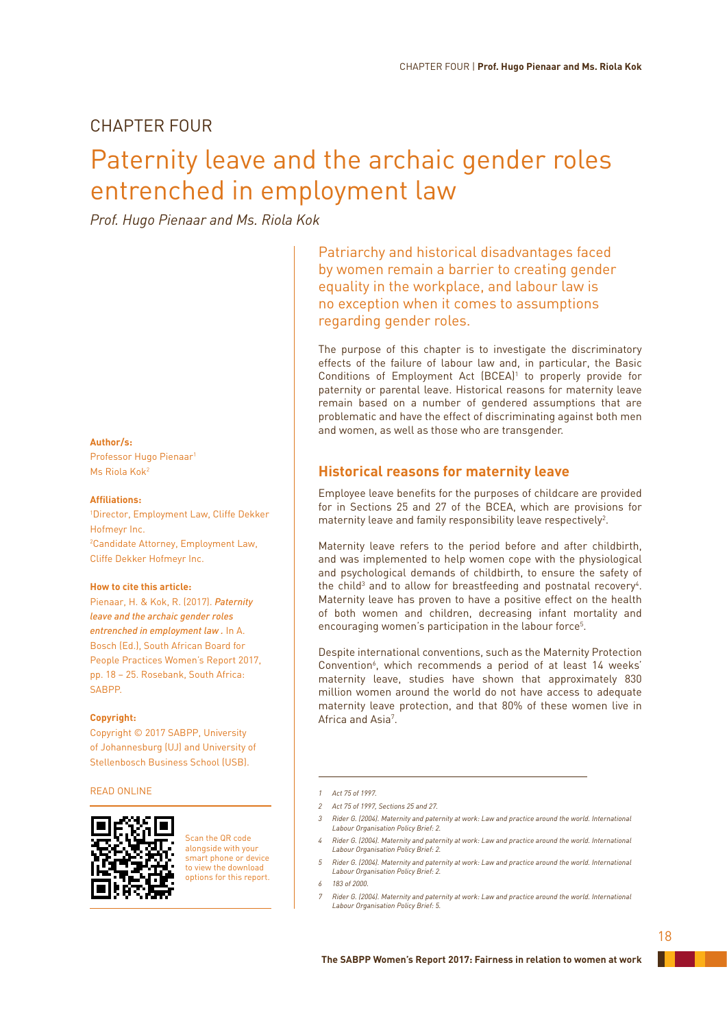# CHAPTER FOUR

# Paternity leave and the archaic gender roles entrenched in employment law

*Prof. Hugo Pienaar and Ms. Riola Kok*

### **Author/s:**

Professor Hugo Pienaar1 Ms Riola Kok2

## **Affiliations:**

1 Director, Employment Law, Cliffe Dekker Hofmeyr Inc. 2 Candidate Attorney, Employment Law, Cliffe Dekker Hofmeyr Inc.

## **How to cite this article:**

Pienaar, H. & Kok, R. (2017). *Paternity leave and the archaic gender roles entrenched in employment law .* In A. Bosch (Ed.), South African Board for People Practices Women's Report 2017, pp. 18 – 25. Rosebank, South Africa: SABPP.

### **Copyright:**

Copyright © 2017 SABPP, University of Johannesburg (UJ) and University of Stellenbosch Business School (USB).

## READ ONLINE



Scan the QR code alongside with your smart phone or device to view the download options for this report. Patriarchy and historical disadvantages faced by women remain a barrier to creating gender equality in the workplace, and labour law is no exception when it comes to assumptions regarding gender roles.

The purpose of this chapter is to investigate the discriminatory effects of the failure of labour law and, in particular, the Basic Conditions of Employment Act (BCEA)<sup>1</sup> to properly provide for paternity or parental leave. Historical reasons for maternity leave remain based on a number of gendered assumptions that are problematic and have the effect of discriminating against both men and women, as well as those who are transgender.

# **Historical reasons for maternity leave**

Employee leave benefits for the purposes of childcare are provided for in Sections 25 and 27 of the BCEA, which are provisions for maternity leave and family responsibility leave respectively $^2$ .

Maternity leave refers to the period before and after childbirth, and was implemented to help women cope with the physiological and psychological demands of childbirth, to ensure the safety of the child<sup>3</sup> and to allow for breastfeeding and postnatal recovery<sup>4</sup>. Maternity leave has proven to have a positive effect on the health of both women and children, decreasing infant mortality and encouraging women's participation in the labour force<sup>5</sup>.

Despite international conventions, such as the Maternity Protection Convention<sup>6</sup>, which recommends a period of at least 14 weeks' maternity leave, studies have shown that approximately 830 million women around the world do not have access to adequate maternity leave protection, and that 80% of these women live in Africa and Asia<sup>7</sup>.

- *3 Rider G. (2004). Maternity and paternity at work: Law and practice around the world. International Labour Organisation Policy Brief: 2.*
- *4 Rider G. (2004). Maternity and paternity at work: Law and practice around the world. International Labour Organisation Policy Brief: 2.*
- *5 Rider G. (2004). Maternity and paternity at work: Law and practice around the world. International Labour Organisation Policy Brief: 2.*
- *6 183 of 2000.*
- *7 Rider G. (2004). Maternity and paternity at work: Law and practice around the world. International Labour Organisation Policy Brief: 5.*

*<sup>1</sup> Act 75 of 1997.*

*<sup>2</sup> Act 75 of 1997, Sections 25 and 27.*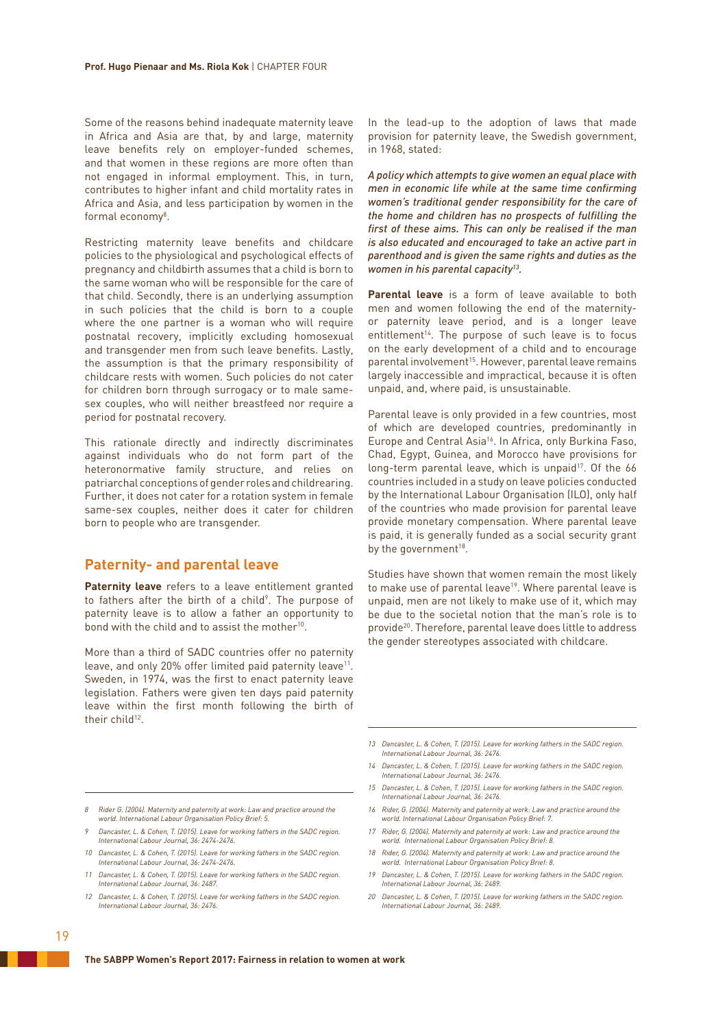Some of the reasons behind inadequate maternity leave in Africa and Asia are that, by and large, maternity leave benefits rely on employer-funded schemes, and that women in these regions are more often than not engaged in informal employment. This, in turn, contributes to higher infant and child mortality rates in Africa and Asia, and less participation by women in the formal economy8 .

Restricting maternity leave benefits and childcare policies to the physiological and psychological effects of pregnancy and childbirth assumes that a child is born to the same woman who will be responsible for the care of that child. Secondly, there is an underlying assumption in such policies that the child is born to a couple where the one partner is a woman who will require postnatal recovery, implicitly excluding homosexual and transgender men from such leave benefits. Lastly, the assumption is that the primary responsibility of childcare rests with women. Such policies do not cater for children born through surrogacy or to male samesex couples, who will neither breastfeed nor require a period for postnatal recovery.

This rationale directly and indirectly discriminates against individuals who do not form part of the heteronormative family structure, and relies on patriarchal conceptions of gender roles and childrearing. Further, it does not cater for a rotation system in female same-sex couples, neither does it cater for children born to people who are transgender.

# **Paternity- and parental leave**

**Paternity leave** refers to a leave entitlement granted to fathers after the birth of a child<sup>9</sup>. The purpose of paternity leave is to allow a father an opportunity to bond with the child and to assist the mother<sup>10</sup>.

More than a third of SADC countries offer no paternity leave, and only 20% offer limited paid paternity leave<sup>11</sup>. Sweden, in 1974, was the first to enact paternity leave legislation. Fathers were given ten days paid paternity leave within the first month following the birth of their child<sup>12</sup>

In the lead-up to the adoption of laws that made provision for paternity leave, the Swedish government, in 1968, stated:

*A policy which attempts to give women an equal place with men in economic life while at the same time confirming women's traditional gender responsibility for the care of the home and children has no prospects of fulfilling the first of these aims. This can only be realised if the man is also educated and encouraged to take an active part in parenthood and is given the same rights and duties as the women in his parental capacity13.*

**Parental leave** is a form of leave available to both men and women following the end of the maternityor paternity leave period, and is a longer leave entitlement<sup>14</sup>. The purpose of such leave is to focus on the early development of a child and to encourage parental involvement<sup>15</sup>. However, parental leave remains largely inaccessible and impractical, because it is often unpaid, and, where paid, is unsustainable.

Parental leave is only provided in a few countries, most of which are developed countries, predominantly in Europe and Central Asia<sup>16</sup>. In Africa, only Burkina Faso, Chad, Egypt, Guinea, and Morocco have provisions for long-term parental leave, which is unpaid<sup>17</sup>. Of the 66 countries included in a study on leave policies conducted by the International Labour Organisation (ILO), only half of the countries who made provision for parental leave provide monetary compensation. Where parental leave is paid, it is generally funded as a social security grant by the government<sup>18</sup>.

Studies have shown that women remain the most likely to make use of parental leave<sup>19</sup>. Where parental leave is unpaid, men are not likely to make use of it, which may be due to the societal notion that the man's role is to provide20. Therefore, parental leave does little to address the gender stereotypes associated with childcare.

- *13 Dancaster, L. & Cohen, T. (2015). Leave for working fathers in the SADC region. International Labour Journal, 36: 2476.*
- *14 Dancaster, L. & Cohen, T. (2015). Leave for working fathers in the SADC region. International Labour Journal, 36: 2476.*
- *15 Dancaster, L. & Cohen, T. (2015). Leave for working fathers in the SADC region. International Labour Journal, 36: 2476.*
- *16 Rider, G. (2004). Maternity and paternity at work: Law and practice around the world. International Labour Organisation Policy Brief: 7.*
- *17 Rider, G. (2004). Maternity and paternity at work: Law and practice around the world. International Labour Organisation Policy Brief: 8.*
- *18 Rider, G. (2004). Maternity and paternity at work: Law and practice around the world. International Labour Organisation Policy Brief: 8.*
- *19 Dancaster, L. & Cohen, T. (2015). Leave for working fathers in the SADC region. International Labour Journal, 36: 2489.*
- *20 Dancaster, L. & Cohen, T. (2015). Leave for working fathers in the SADC region. International Labour Journal, 36: 2489.*

### *8 Rider G. (2004). Maternity and paternity at work: Law and practice around the world. International Labour Organisation Policy Brief: 5.*

- *9 Dancaster, L. & Cohen, T. (2015). Leave for working fathers in the SADC region. International Labour Journal, 36: 2474-2476.*
- *10 Dancaster, L. & Cohen, T. (2015). Leave for working fathers in the SADC region. International Labour Journal, 36: 2474-2476.*
- *11 Dancaster, L. & Cohen, T. (2015). Leave for working fathers in the SADC region. International Labour Journal, 36: 2487.*
- *12 Dancaster, L. & Cohen, T. (2015). Leave for working fathers in the SADC region. International Labour Journal, 36: 2476.*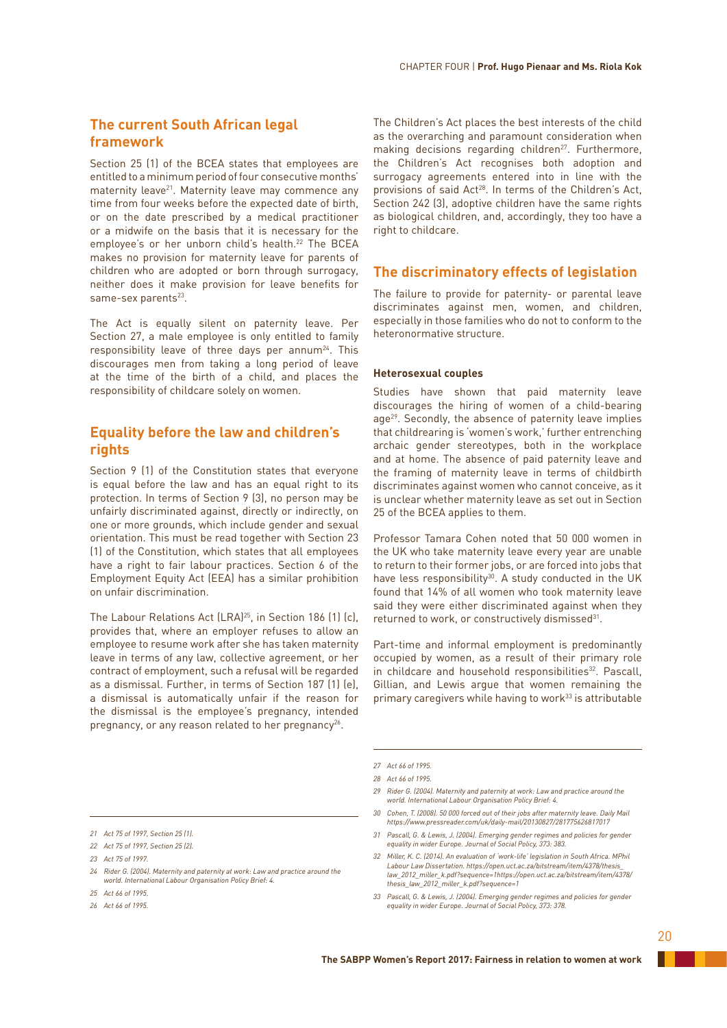# **The current South African legal framework**

Section 25 (1) of the BCEA states that employees are entitled to a minimum period of four consecutive months' maternity leave<sup>21</sup>. Maternity leave may commence any time from four weeks before the expected date of birth, or on the date prescribed by a medical practitioner or a midwife on the basis that it is necessary for the employee's or her unborn child's health.<sup>22</sup> The BCEA makes no provision for maternity leave for parents of children who are adopted or born through surrogacy, neither does it make provision for leave benefits for same-sex parents<sup>23</sup>.

The Act is equally silent on paternity leave. Per Section 27, a male employee is only entitled to family responsibility leave of three days per annum<sup>24</sup>. This discourages men from taking a long period of leave at the time of the birth of a child, and places the responsibility of childcare solely on women.

# **Equality before the law and children's rights**

Section 9 (1) of the Constitution states that everyone is equal before the law and has an equal right to its protection. In terms of Section 9 (3), no person may be unfairly discriminated against, directly or indirectly, on one or more grounds, which include gender and sexual orientation. This must be read together with Section 23 (1) of the Constitution, which states that all employees have a right to fair labour practices. Section 6 of the Employment Equity Act (EEA) has a similar prohibition on unfair discrimination.

The Labour Relations Act (LRA)<sup>25</sup>, in Section 186 (1) (c), provides that, where an employer refuses to allow an employee to resume work after she has taken maternity leave in terms of any law, collective agreement, or her contract of employment, such a refusal will be regarded as a dismissal. Further, in terms of Section 187 (1) (e), a dismissal is automatically unfair if the reason for the dismissal is the employee's pregnancy, intended pregnancy, or any reason related to her pregnancy<sup>26</sup>.

The Children's Act places the best interests of the child as the overarching and paramount consideration when making decisions regarding children<sup>27</sup>. Furthermore, the Children's Act recognises both adoption and surrogacy agreements entered into in line with the provisions of said Act<sup>28</sup>. In terms of the Children's Act, Section 242 (3), adoptive children have the same rights as biological children, and, accordingly, they too have a right to childcare.

# **The discriminatory effects of legislation**

The failure to provide for paternity- or parental leave discriminates against men, women, and children, especially in those families who do not to conform to the heteronormative structure.

## **Heterosexual couples**

Studies have shown that paid maternity leave discourages the hiring of women of a child-bearing age<sup>29</sup>. Secondly, the absence of paternity leave implies that childrearing is 'women's work,' further entrenching archaic gender stereotypes, both in the workplace and at home. The absence of paid paternity leave and the framing of maternity leave in terms of childbirth discriminates against women who cannot conceive, as it is unclear whether maternity leave as set out in Section 25 of the BCEA applies to them.

Professor Tamara Cohen noted that 50 000 women in the UK who take maternity leave every year are unable to return to their former jobs, or are forced into jobs that have less responsibility<sup>30</sup>. A study conducted in the UK found that 14% of all women who took maternity leave said they were either discriminated against when they returned to work, or constructively dismissed<sup>31</sup>.

Part-time and informal employment is predominantly occupied by women, as a result of their primary role in childcare and household responsibilities<sup>32</sup>. Pascall, Gillian, and Lewis argue that women remaining the primary caregivers while having to work<sup>33</sup> is attributable

- *29 Rider G. (2004). Maternity and paternity at work: Law and practice around the world. International Labour Organisation Policy Brief: 4.*
- *30 Cohen, T. (2008). 50 000 forced out of their jobs after maternity leave. Daily Mail https://www.pressreader.com/uk/daily-mail/20130827/281775626817017*
- *31 Pascall, G. & Lewis, J. (2004). Emerging gender regimes and policies for gender equality in wider Europe. Journal of Social Policy, 373: 383.*
- *32 Miller, K. C. (2014). An evaluation of 'work-life' legislation in South Africa. MPhil Labour Law Dissertation. https://open.uct.ac.za/bitstream/item/4378/thesis\_ law\_2012\_miller\_k.pdf?sequence=1https://open.uct.ac.za/bitstream/item/4378/ thesis\_law\_2012\_miller\_k.pdf?sequence=1*
- *33 Pascall, G. & Lewis, J. (2004). Emerging gender regimes and policies for gender equality in wider Europe. Journal of Social Policy, 373: 378.*

*<sup>27</sup> Act 66 of 1995.*

*<sup>28</sup> Act 66 of 1995.*

*<sup>21</sup> Act 75 of 1997, Section 25 (1).*

*<sup>22</sup> Act 75 of 1997, Section 25 (2).*

*<sup>23</sup> Act 75 of 1997.*

*<sup>24</sup> Rider G. (2004). Maternity and paternity at work: Law and practice around the world. International Labour Organisation Policy Brief: 4.*

*<sup>25</sup> Act 66 of 1995.*

*<sup>26</sup> Act 66 of 1995.*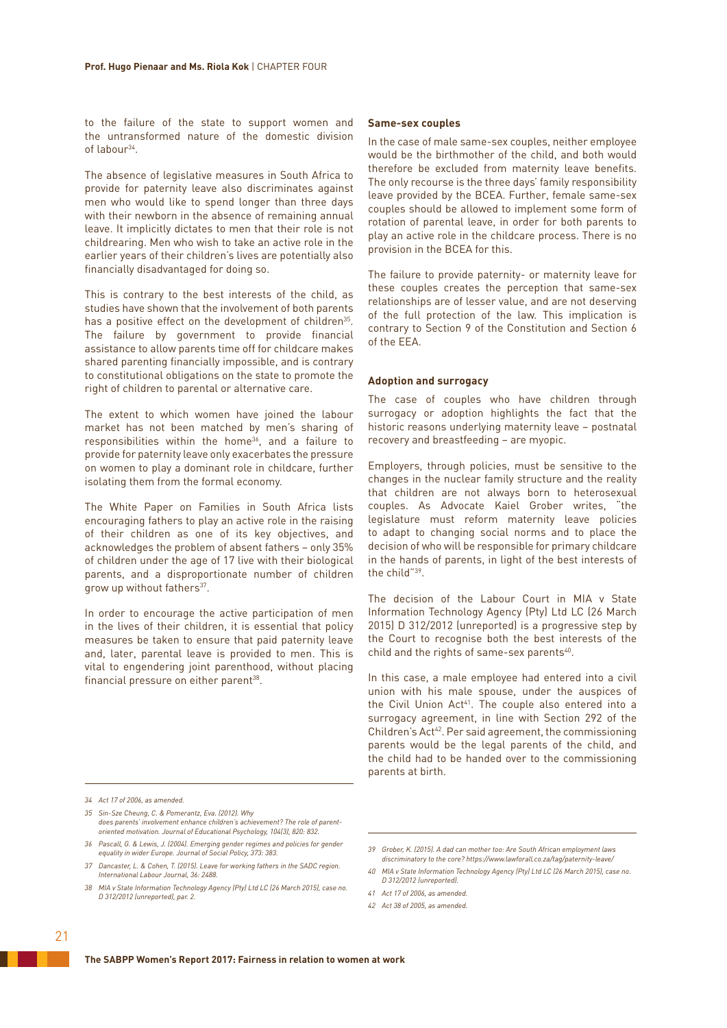to the failure of the state to support women and the untransformed nature of the domestic division of labour34.

The absence of legislative measures in South Africa to provide for paternity leave also discriminates against men who would like to spend longer than three days with their newborn in the absence of remaining annual leave. It implicitly dictates to men that their role is not childrearing. Men who wish to take an active role in the earlier years of their children's lives are potentially also financially disadvantaged for doing so.

This is contrary to the best interests of the child, as studies have shown that the involvement of both parents has a positive effect on the development of children<sup>35</sup>. The failure by government to provide financial assistance to allow parents time off for childcare makes shared parenting financially impossible, and is contrary to constitutional obligations on the state to promote the right of children to parental or alternative care.

The extent to which women have joined the labour market has not been matched by men's sharing of responsibilities within the home<sup>36</sup>, and a failure to provide for paternity leave only exacerbates the pressure on women to play a dominant role in childcare, further isolating them from the formal economy.

The White Paper on Families in South Africa lists encouraging fathers to play an active role in the raising of their children as one of its key objectives, and acknowledges the problem of absent fathers – only 35% of children under the age of 17 live with their biological parents, and a disproportionate number of children grow up without fathers<sup>37</sup>.

In order to encourage the active participation of men in the lives of their children, it is essential that policy measures be taken to ensure that paid paternity leave and, later, parental leave is provided to men. This is vital to engendering joint parenthood, without placing financial pressure on either parent<sup>38</sup>.

### **Same-sex couples**

In the case of male same-sex couples, neither employee would be the birthmother of the child, and both would therefore be excluded from maternity leave benefits. The only recourse is the three days' family responsibility leave provided by the BCEA. Further, female same-sex couples should be allowed to implement some form of rotation of parental leave, in order for both parents to play an active role in the childcare process. There is no provision in the BCEA for this.

The failure to provide paternity- or maternity leave for these couples creates the perception that same-sex relationships are of lesser value, and are not deserving of the full protection of the law. This implication is contrary to Section 9 of the Constitution and Section 6 of the EEA.

## **Adoption and surrogacy**

The case of couples who have children through surrogacy or adoption highlights the fact that the historic reasons underlying maternity leave – postnatal recovery and breastfeeding – are myopic.

Employers, through policies, must be sensitive to the changes in the nuclear family structure and the reality that children are not always born to heterosexual couples. As Advocate Kaiel Grober writes, "the legislature must reform maternity leave policies to adapt to changing social norms and to place the decision of who will be responsible for primary childcare in the hands of parents, in light of the best interests of the child"39.

The decision of the Labour Court in MIA v State Information Technology Agency (Pty) Ltd LC (26 March 2015) D 312/2012 (unreported) is a progressive step by the Court to recognise both the best interests of the child and the rights of same-sex parents<sup>40</sup>.

In this case, a male employee had entered into a civil union with his male spouse, under the auspices of the Civil Union Act<sup>41</sup>. The couple also entered into a surrogacy agreement, in line with Section 292 of the Children's Act<sup>42</sup>. Per said agreement, the commissioning parents would be the legal parents of the child, and the child had to be handed over to the commissioning parents at birth.

- *35 Sin-Sze Cheung, C. & Pomerantz, Eva. (2012). Why does parents' involvement enhance children's achievement? The role of parentoriented motivation. Journal of Educational Psychology, 104(3), 820: 832.*
- *36 Pascall, G. & Lewis, J. (2004). Emerging gender regimes and policies for gender equality in wider Europe. Journal of Social Policy, 373: 383.*
- *37 Dancaster, L. & Cohen, T. (2015). Leave for working fathers in the SADC region. International Labour Journal, 36: 2488.*
- *38 MIA v State Information Technology Agency (Pty) Ltd LC (26 March 2015), case no. D 312/2012 (unreported), par. 2.*

*<sup>34</sup> Act 17 of 2006, as amended.*

*<sup>39</sup> Grober, K. (2015). A dad can mother too: Are South African employment laws discriminatory to the core? https://www.lawforall.co.za/tag/paternity-leave/*

*<sup>40</sup> MIA v State Information Technology Agency (Pty) Ltd LC (26 March 2015), case no. D 312/2012 (unreported).*

*<sup>41</sup> Act 17 of 2006, as amended.*

*<sup>42</sup> Act 38 of 2005, as amended.*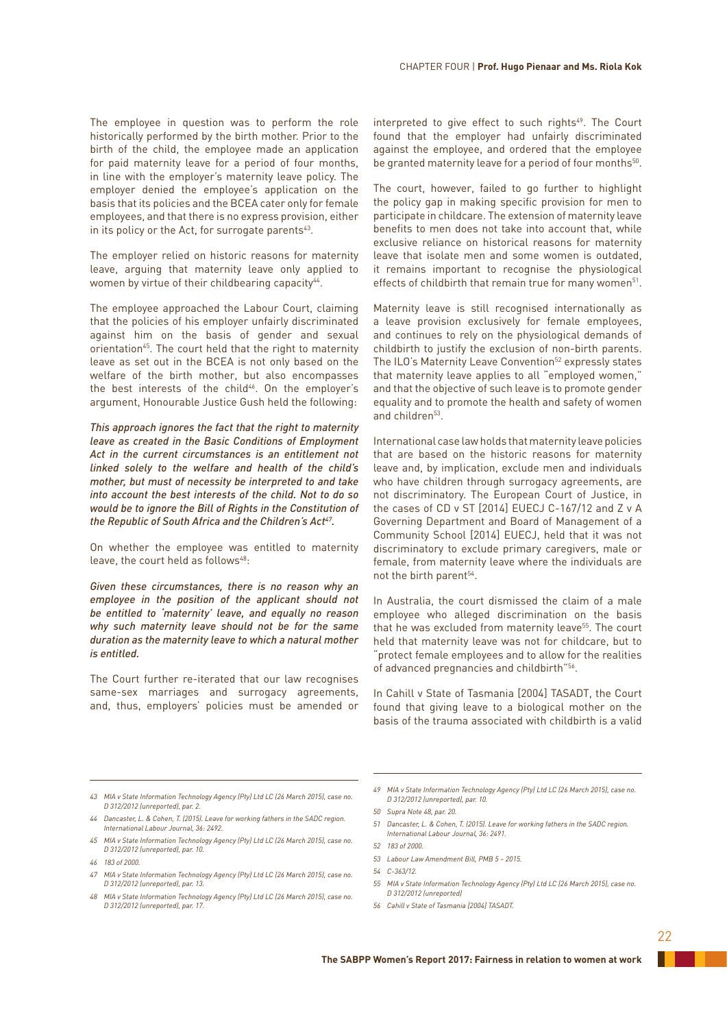The employee in question was to perform the role historically performed by the birth mother. Prior to the birth of the child, the employee made an application for paid maternity leave for a period of four months, in line with the employer's maternity leave policy. The employer denied the employee's application on the basis that its policies and the BCEA cater only for female employees, and that there is no express provision, either in its policy or the Act, for surrogate parents<sup>43</sup>.

The employer relied on historic reasons for maternity leave, arguing that maternity leave only applied to women by virtue of their childbearing capacity<sup>44</sup>.

The employee approached the Labour Court, claiming that the policies of his employer unfairly discriminated against him on the basis of gender and sexual orientation<sup>45</sup>. The court held that the right to maternity leave as set out in the BCEA is not only based on the welfare of the birth mother, but also encompasses the best interests of the child<sup>46</sup>. On the employer's argument, Honourable Justice Gush held the following:

*This approach ignores the fact that the right to maternity leave as created in the Basic Conditions of Employment Act in the current circumstances is an entitlement not linked solely to the welfare and health of the child's mother, but must of necessity be interpreted to and take into account the best interests of the child. Not to do so would be to ignore the Bill of Rights in the Constitution of*  the Republic of South Africa and the Children's Act<sup>47</sup>.

On whether the employee was entitled to maternity leave, the court held as follows $48$ :

*Given these circumstances, there is no reason why an employee in the position of the applicant should not be entitled to 'maternity' leave, and equally no reason why such maternity leave should not be for the same duration as the maternity leave to which a natural mother is entitled.*

The Court further re-iterated that our law recognises same-sex marriages and surrogacy agreements, and, thus, employers' policies must be amended or interpreted to give effect to such rights<sup>49</sup>. The Court found that the employer had unfairly discriminated against the employee, and ordered that the employee be granted maternity leave for a period of four months<sup>50</sup>.

The court, however, failed to go further to highlight the policy gap in making specific provision for men to participate in childcare. The extension of maternity leave benefits to men does not take into account that, while exclusive reliance on historical reasons for maternity leave that isolate men and some women is outdated, it remains important to recognise the physiological effects of childbirth that remain true for many women<sup>51</sup>.

Maternity leave is still recognised internationally as a leave provision exclusively for female employees, and continues to rely on the physiological demands of childbirth to justify the exclusion of non-birth parents. The ILO's Maternity Leave Convention<sup>52</sup> expressly states that maternity leave applies to all "employed women," and that the objective of such leave is to promote gender equality and to promote the health and safety of women and children<sup>53</sup>.

International case law holds that maternity leave policies that are based on the historic reasons for maternity leave and, by implication, exclude men and individuals who have children through surrogacy agreements, are not discriminatory. The European Court of Justice, in the cases of CD v ST [2014] EUECJ C-167/12 and Z v A Governing Department and Board of Management of a Community School [2014] EUECJ, held that it was not discriminatory to exclude primary caregivers, male or female, from maternity leave where the individuals are not the birth parent<sup>54</sup>.

In Australia, the court dismissed the claim of a male employee who alleged discrimination on the basis that he was excluded from maternity leave<sup>55</sup>. The court held that maternity leave was not for childcare, but to "protect female employees and to allow for the realities of advanced pregnancies and childbirth"56.

In Cahill v State of Tasmania [2004] TASADT, the Court found that giving leave to a biological mother on the basis of the trauma associated with childbirth is a valid

*49 MIA v State Information Technology Agency (Pty) Ltd LC (26 March 2015), case no. D 312/2012 (unreported), par. 10.*

- *51 Dancaster, L. & Cohen, T. (2015). Leave for working fathers in the SADC region. International Labour Journal, 36: 2491.*
- *52 183 of 2000.*
- *53 Labour Law Amendment Bill, PMB 5 2015.*
- *54 C-363/12.*
- *55 MIA v State Information Technology Agency (Pty) Ltd LC (26 March 2015), case no. D 312/2012 (unreported)*
- *56 Cahill v State of Tasmania [2004] TASADT.*

*<sup>43</sup> MIA v State Information Technology Agency (Pty) Ltd LC (26 March 2015), case no. D 312/2012 (unreported), par. 2.*

*<sup>44</sup> Dancaster, L. & Cohen, T. (2015). Leave for working fathers in the SADC region. International Labour Journal, 36: 2492.*

*<sup>45</sup> MIA v State Information Technology Agency (Pty) Ltd LC (26 March 2015), case no. D 312/2012 (unreported), par. 10.*

*<sup>46</sup> 183 of 2000.*

*<sup>47</sup> MIA v State Information Technology Agency (Pty) Ltd LC (26 March 2015), case no. D 312/2012 (unreported), par. 13.*

*<sup>48</sup> MIA v State Information Technology Agency (Pty) Ltd LC (26 March 2015), case no. D 312/2012 (unreported), par. 17.*

*<sup>50</sup> Supra Note 48, par. 20.*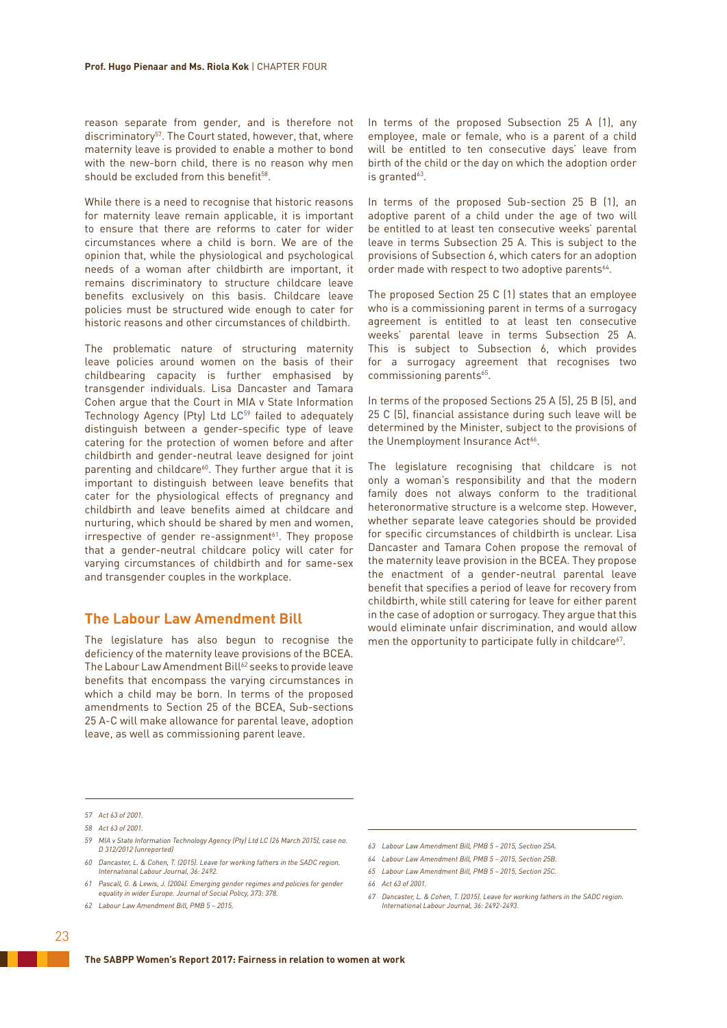reason separate from gender, and is therefore not discriminatory<sup>57</sup>. The Court stated, however, that, where maternity leave is provided to enable a mother to bond with the new-born child, there is no reason why men should be excluded from this benefit<sup>58</sup>.

While there is a need to recognise that historic reasons for maternity leave remain applicable, it is important to ensure that there are reforms to cater for wider circumstances where a child is born. We are of the opinion that, while the physiological and psychological needs of a woman after childbirth are important, it remains discriminatory to structure childcare leave benefits exclusively on this basis. Childcare leave policies must be structured wide enough to cater for historic reasons and other circumstances of childbirth.

The problematic nature of structuring maternity leave policies around women on the basis of their childbearing capacity is further emphasised by transgender individuals. Lisa Dancaster and Tamara Cohen argue that the Court in MIA v State Information Technology Agency (Pty) Ltd LC<sup>59</sup> failed to adequately distinguish between a gender-specific type of leave catering for the protection of women before and after childbirth and gender-neutral leave designed for joint parenting and childcare<sup>60</sup>. They further argue that it is important to distinguish between leave benefits that cater for the physiological effects of pregnancy and childbirth and leave benefits aimed at childcare and nurturing, which should be shared by men and women,  $irrespective of gender re-assignment<sup>61</sup>. They propose$ that a gender-neutral childcare policy will cater for varying circumstances of childbirth and for same-sex and transgender couples in the workplace.

# **The Labour Law Amendment Bill**

The legislature has also begun to recognise the deficiency of the maternity leave provisions of the BCEA. The Labour Law Amendment Bill<sup>62</sup> seeks to provide leave benefits that encompass the varying circumstances in which a child may be born. In terms of the proposed amendments to Section 25 of the BCEA, Sub-sections 25 A-C will make allowance for parental leave, adoption leave, as well as commissioning parent leave.

In terms of the proposed Subsection 25 A (1), any employee, male or female, who is a parent of a child will be entitled to ten consecutive days' leave from birth of the child or the day on which the adoption order is granted $63$ .

In terms of the proposed Sub-section 25 B (1), an adoptive parent of a child under the age of two will be entitled to at least ten consecutive weeks' parental leave in terms Subsection 25 A. This is subject to the provisions of Subsection 6, which caters for an adoption order made with respect to two adoptive parents<sup>64</sup>.

The proposed Section 25 C (1) states that an employee who is a commissioning parent in terms of a surrogacy agreement is entitled to at least ten consecutive weeks' parental leave in terms Subsection 25 A. This is subject to Subsection 6, which provides for a surrogacy agreement that recognises two commissioning parents<sup>65</sup>.

In terms of the proposed Sections 25 A (5), 25 B (5), and 25 C (5), financial assistance during such leave will be determined by the Minister, subject to the provisions of the Unemployment Insurance Act<sup>66</sup>.

The legislature recognising that childcare is not only a woman's responsibility and that the modern family does not always conform to the traditional heteronormative structure is a welcome step. However, whether separate leave categories should be provided for specific circumstances of childbirth is unclear. Lisa Dancaster and Tamara Cohen propose the removal of the maternity leave provision in the BCEA. They propose the enactment of a gender-neutral parental leave benefit that specifies a period of leave for recovery from childbirth, while still catering for leave for either parent in the case of adoption or surrogacy. They argue that this would eliminate unfair discrimination, and would allow men the opportunity to participate fully in childcare<sup>67</sup>.

*62 Labour Law Amendment Bill, PMB 5 – 2015.*

- *63 Labour Law Amendment Bill, PMB 5 2015, Section 25A.*
- *64 Labour Law Amendment Bill, PMB 5 2015, Section 25B.*
- *65 Labour Law Amendment Bill, PMB 5 2015, Section 25C.*

*<sup>57</sup> Act 63 of 2001.*

*<sup>58</sup> Act 63 of 2001.*

*<sup>59</sup> MIA v State Information Technology Agency (Pty) Ltd LC (26 March 2015), case no. D 312/2012 (unreported)*

*<sup>60</sup> Dancaster, L. & Cohen, T. (2015). Leave for working fathers in the SADC region. International Labour Journal, 36: 2492.*

*<sup>61</sup> Pascall, G. & Lewis, J. (2004). Emerging gender regimes and policies for gender equality in wider Europe. Journal of Social Policy, 373: 378.*

*<sup>66</sup> Act 63 of 2001.*

*<sup>67</sup> Dancaster, L. & Cohen, T. (2015). Leave for working fathers in the SADC region. International Labour Journal, 36: 2492-2493.*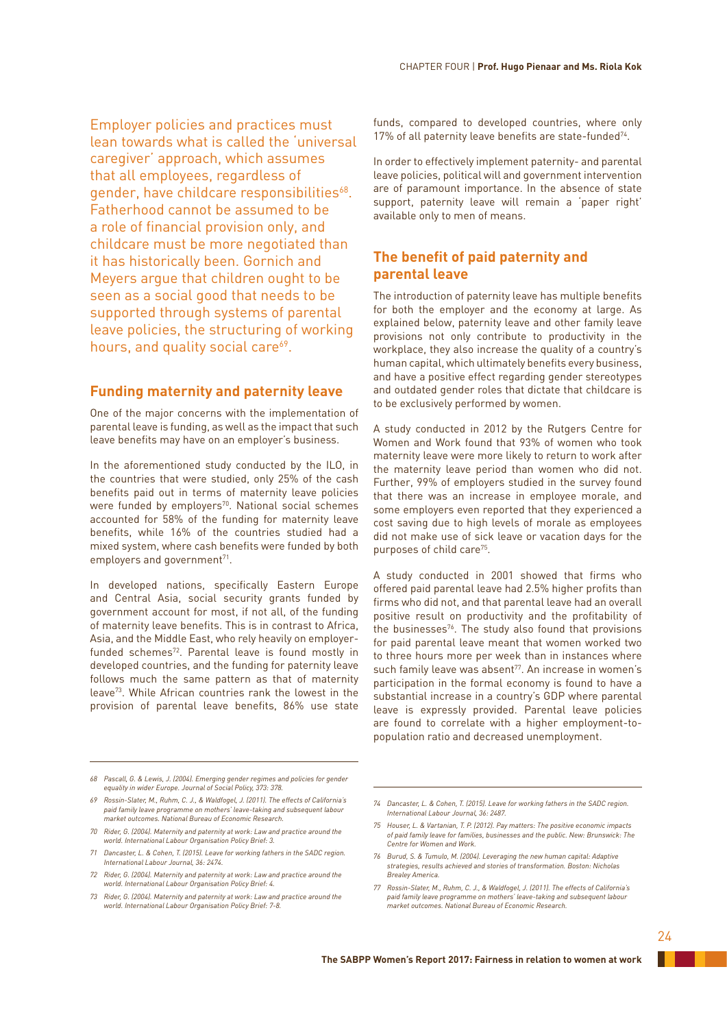Employer policies and practices must lean towards what is called the 'universal caregiver' approach, which assumes that all employees, regardless of gender, have childcare responsibilities<sup>68</sup>. Fatherhood cannot be assumed to be a role of financial provision only, and childcare must be more negotiated than it has historically been. Gornich and Meyers argue that children ought to be seen as a social good that needs to be supported through systems of parental leave policies, the structuring of working hours, and quality social care<sup>69</sup>.

# **Funding maternity and paternity leave**

One of the major concerns with the implementation of parental leave is funding, as well as the impact that such leave benefits may have on an employer's business.

In the aforementioned study conducted by the ILO, in the countries that were studied, only 25% of the cash benefits paid out in terms of maternity leave policies were funded by employers<sup>70</sup>. National social schemes accounted for 58% of the funding for maternity leave benefits, while 16% of the countries studied had a mixed system, where cash benefits were funded by both employers and government<sup>71</sup>.

In developed nations, specifically Eastern Europe and Central Asia, social security grants funded by government account for most, if not all, of the funding of maternity leave benefits. This is in contrast to Africa, Asia, and the Middle East, who rely heavily on employerfunded schemes<sup>72</sup>. Parental leave is found mostly in developed countries, and the funding for paternity leave follows much the same pattern as that of maternity leave73. While African countries rank the lowest in the provision of parental leave benefits, 86% use state

funds, compared to developed countries, where only 17% of all paternity leave benefits are state-funded<sup>74</sup>.

In order to effectively implement paternity- and parental leave policies, political will and government intervention are of paramount importance. In the absence of state support, paternity leave will remain a 'paper right' available only to men of means.

# **The benefit of paid paternity and parental leave**

The introduction of paternity leave has multiple benefits for both the employer and the economy at large. As explained below, paternity leave and other family leave provisions not only contribute to productivity in the workplace, they also increase the quality of a country's human capital, which ultimately benefits every business, and have a positive effect regarding gender stereotypes and outdated gender roles that dictate that childcare is to be exclusively performed by women.

A study conducted in 2012 by the Rutgers Centre for Women and Work found that 93% of women who took maternity leave were more likely to return to work after the maternity leave period than women who did not. Further, 99% of employers studied in the survey found that there was an increase in employee morale, and some employers even reported that they experienced a cost saving due to high levels of morale as employees did not make use of sick leave or vacation days for the purposes of child care<sup>75</sup>.

A study conducted in 2001 showed that firms who offered paid parental leave had 2.5% higher profits than firms who did not, and that parental leave had an overall positive result on productivity and the profitability of the businesses<sup>76</sup>. The study also found that provisions for paid parental leave meant that women worked two to three hours more per week than in instances where such family leave was absent<sup>77</sup>. An increase in women's participation in the formal economy is found to have a substantial increase in a country's GDP where parental leave is expressly provided. Parental leave policies are found to correlate with a higher employment-topopulation ratio and decreased unemployment.

- *70 Rider, G. (2004). Maternity and paternity at work: Law and practice around the world. International Labour Organisation Policy Brief: 3.*
- *71 Dancaster, L. & Cohen, T. (2015). Leave for working fathers in the SADC region. International Labour Journal, 36: 2474.*
- *72 Rider, G. (2004). Maternity and paternity at work: Law and practice around the world. International Labour Organisation Policy Brief: 4.*
- *73 Rider, G. (2004). Maternity and paternity at work: Law and practice around the world. International Labour Organisation Policy Brief: 7-8.*

*74 Dancaster, L. & Cohen, T. (2015). Leave for working fathers in the SADC region. International Labour Journal, 36: 2487.*

- *75 Houser, L. & Vartanian, T. P. (2012). Pay matters: The positive economic impacts of paid family leave for families, businesses and the public. New: Brunswick: The Centre for Women and Work.*
- *76 Burud, S. & Tumulo, M. (2004). Leveraging the new human capital: Adaptive strategies, results achieved and stories of transformation. Boston: Nicholas Brealey America.*
- *77 Rossin-Slater, M., Ruhm, C. J., & Waldfogel, J. (2011). The effects of California's*  paid family leave programme on mothers' leave-taking and subsequent labour *market outcomes. National Bureau of Economic Research.*

*<sup>68</sup> Pascall, G. & Lewis, J. (2004). Emerging gender regimes and policies for gender equality in wider Europe. Journal of Social Policy, 373: 378.*

*<sup>69</sup> Rossin-Slater, M., Ruhm, C. J., & Waldfogel, J. (2011). The effects of California's paid family leave programme on mothers' leave-taking and subsequent labour market outcomes. National Bureau of Economic Research.*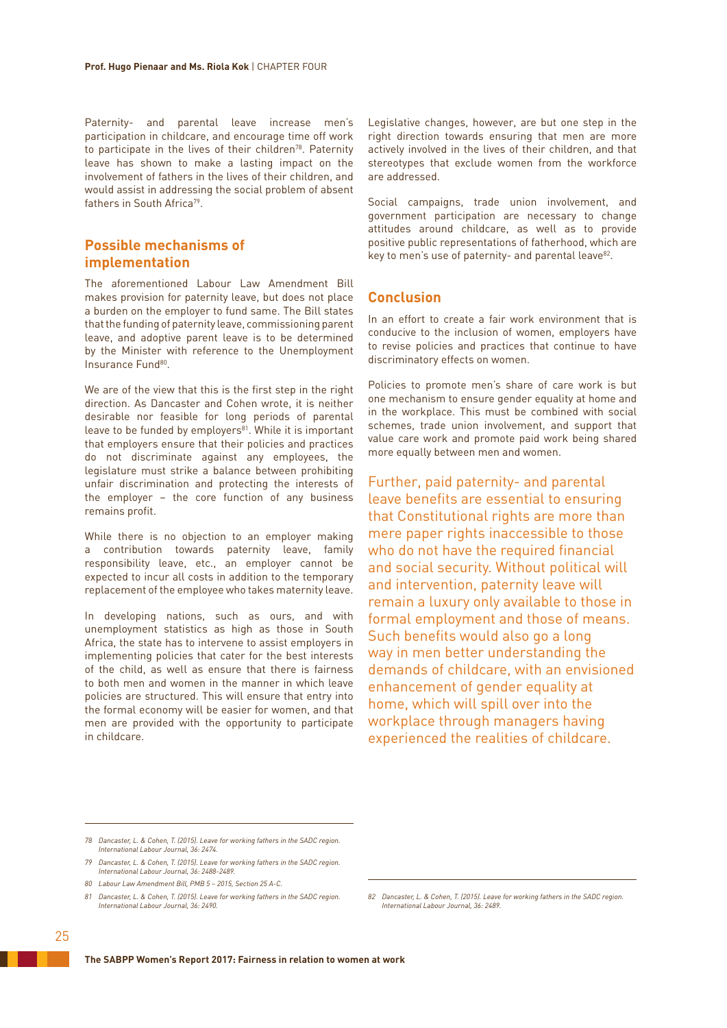Paternity- and parental leave increase men's participation in childcare, and encourage time off work to participate in the lives of their children<sup>78</sup>. Paternity leave has shown to make a lasting impact on the involvement of fathers in the lives of their children, and would assist in addressing the social problem of absent fathers in South Africa<sup>79</sup>.

# **Possible mechanisms of implementation**

The aforementioned Labour Law Amendment Bill makes provision for paternity leave, but does not place a burden on the employer to fund same. The Bill states that the funding of paternity leave, commissioning parent leave, and adoptive parent leave is to be determined by the Minister with reference to the Unemployment Insurance Fund<sup>80</sup>.

We are of the view that this is the first step in the right direction. As Dancaster and Cohen wrote, it is neither desirable nor feasible for long periods of parental leave to be funded by employers<sup>81</sup>. While it is important that employers ensure that their policies and practices do not discriminate against any employees, the legislature must strike a balance between prohibiting unfair discrimination and protecting the interests of the employer – the core function of any business remains profit.

While there is no objection to an employer making a contribution towards paternity leave, family responsibility leave, etc., an employer cannot be expected to incur all costs in addition to the temporary replacement of the employee who takes maternity leave.

In developing nations, such as ours, and with unemployment statistics as high as those in South Africa, the state has to intervene to assist employers in implementing policies that cater for the best interests of the child, as well as ensure that there is fairness to both men and women in the manner in which leave policies are structured. This will ensure that entry into the formal economy will be easier for women, and that men are provided with the opportunity to participate in childcare.

Legislative changes, however, are but one step in the right direction towards ensuring that men are more actively involved in the lives of their children, and that stereotypes that exclude women from the workforce are addressed.

Social campaigns, trade union involvement, and government participation are necessary to change attitudes around childcare, as well as to provide positive public representations of fatherhood, which are key to men's use of paternity- and parental leave<sup>82</sup>.

# **Conclusion**

In an effort to create a fair work environment that is conducive to the inclusion of women, employers have to revise policies and practices that continue to have discriminatory effects on women.

Policies to promote men's share of care work is but one mechanism to ensure gender equality at home and in the workplace. This must be combined with social schemes, trade union involvement, and support that value care work and promote paid work being shared more equally between men and women.

Further, paid paternity- and parental leave benefits are essential to ensuring that Constitutional rights are more than mere paper rights inaccessible to those who do not have the required financial and social security. Without political will and intervention, paternity leave will remain a luxury only available to those in formal employment and those of means. Such benefits would also go a long way in men better understanding the demands of childcare, with an envisioned enhancement of gender equality at home, which will spill over into the workplace through managers having experienced the realities of childcare.

*80 Labour Law Amendment Bill, PMB 5 – 2015, Section 25 A-C.*

*<sup>78</sup> Dancaster, L. & Cohen, T. (2015). Leave for working fathers in the SADC region. International Labour Journal, 36: 2474.*

*<sup>79</sup> Dancaster, L. & Cohen, T. (2015). Leave for working fathers in the SADC region. International Labour Journal, 36: 2488-2489.*

*<sup>81</sup> Dancaster, L. & Cohen, T. (2015). Leave for working fathers in the SADC region. International Labour Journal, 36: 2490.*

*<sup>82</sup> Dancaster, L. & Cohen, T. (2015). Leave for working fathers in the SADC region. International Labour Journal, 36: 2489.*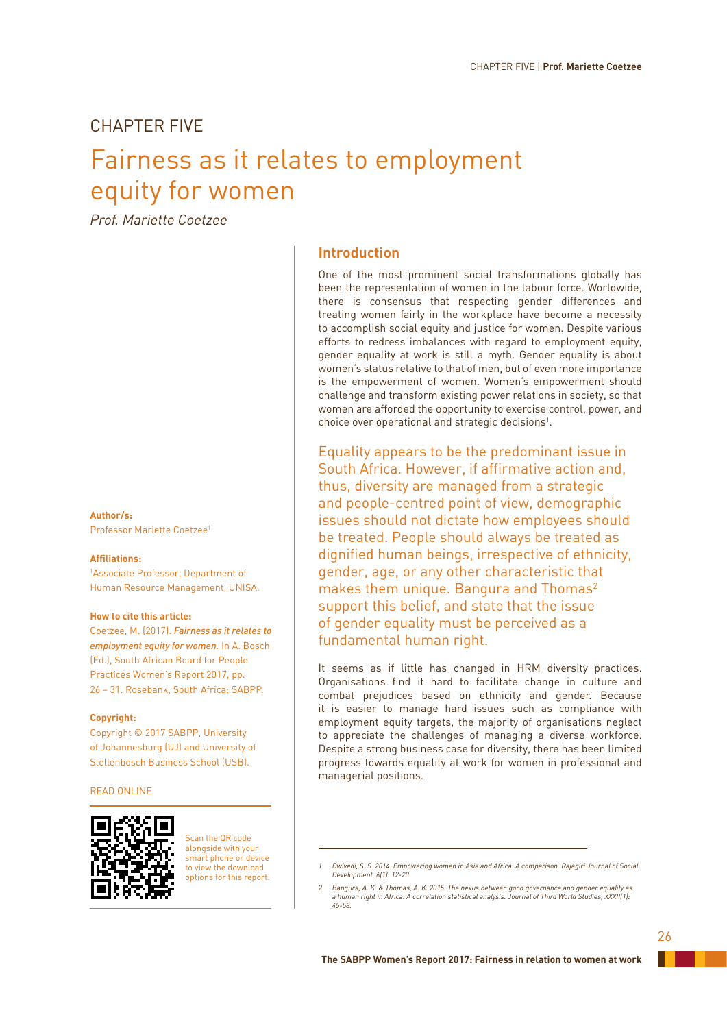# CHAPTER FIVE

# Fairness as it relates to employment equity for women

*Prof. Mariette Coetzee*

## **Author/s:**

Professor Mariette Coetzee1

### **Affiliations:**

1 Associate Professor, Department of Human Resource Management, UNISA.

## **How to cite this article:**

Coetzee, M. (2017). *Fairness as it relates to employment equity for women.* In A. Bosch (Ed.), South African Board for People Practices Women's Report 2017, pp. 26 – 31. Rosebank, South Africa: SABPP.

### **Copyright:**

Copyright © 2017 SABPP, University of Johannesburg (UJ) and University of Stellenbosch Business School (USB).

## READ ONLINE



Scan the QR code alongside with your smart phone or device to view the download options for this report.

# **Introduction**

One of the most prominent social transformations globally has been the representation of women in the labour force. Worldwide, there is consensus that respecting gender differences and treating women fairly in the workplace have become a necessity to accomplish social equity and justice for women. Despite various efforts to redress imbalances with regard to employment equity, gender equality at work is still a myth. Gender equality is about women's status relative to that of men, but of even more importance is the empowerment of women. Women's empowerment should challenge and transform existing power relations in society, so that women are afforded the opportunity to exercise control, power, and choice over operational and strategic decisions<sup>1</sup>.

Equality appears to be the predominant issue in South Africa. However, if affirmative action and, thus, diversity are managed from a strategic and people-centred point of view, demographic issues should not dictate how employees should be treated. People should always be treated as dignified human beings, irrespective of ethnicity, gender, age, or any other characteristic that makes them unique. Bangura and Thomas<sup>2</sup> support this belief, and state that the issue of gender equality must be perceived as a fundamental human right.

It seems as if little has changed in HRM diversity practices. Organisations find it hard to facilitate change in culture and combat prejudices based on ethnicity and gender. Because it is easier to manage hard issues such as compliance with employment equity targets, the majority of organisations neglect to appreciate the challenges of managing a diverse workforce. Despite a strong business case for diversity, there has been limited progress towards equality at work for women in professional and managerial positions.

*<sup>1</sup> Dwivedi, S. S. 2014. Empowering women in Asia and Africa: A comparison. Rajagiri Journal of Social Development, 6(1): 12-20.*

*<sup>2</sup> Bangura, A. K. & Thomas, A. K. 2015. The nexus between good governance and gender equality as a human right in Africa: A correlation statistical analysis. Journal of Third World Studies, XXXII(1): 45-58.*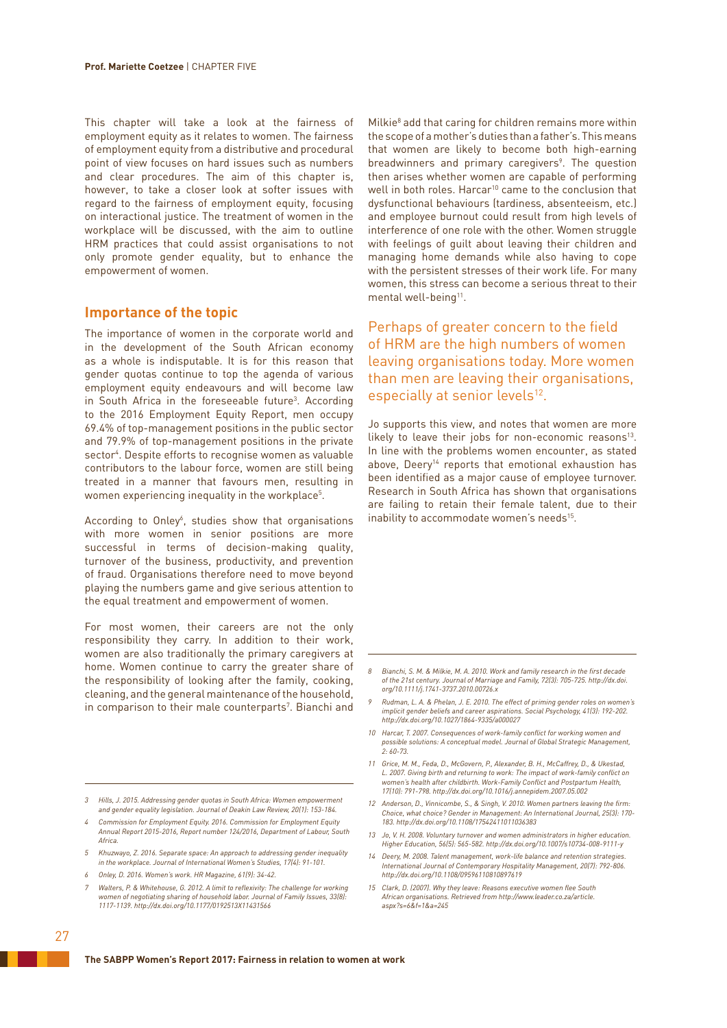This chapter will take a look at the fairness of employment equity as it relates to women. The fairness of employment equity from a distributive and procedural point of view focuses on hard issues such as numbers and clear procedures. The aim of this chapter is, however, to take a closer look at softer issues with regard to the fairness of employment equity, focusing on interactional justice. The treatment of women in the workplace will be discussed, with the aim to outline HRM practices that could assist organisations to not only promote gender equality, but to enhance the empowerment of women.

# **Importance of the topic**

The importance of women in the corporate world and in the development of the South African economy as a whole is indisputable. It is for this reason that gender quotas continue to top the agenda of various employment equity endeavours and will become law in South Africa in the foreseeable future<sup>3</sup>. According to the 2016 Employment Equity Report, men occupy 69.4% of top-management positions in the public sector and 79.9% of top-management positions in the private sector4 . Despite efforts to recognise women as valuable contributors to the labour force, women are still being treated in a manner that favours men, resulting in women experiencing inequality in the workplace $^5\!$ .

According to Onley<sup>6</sup>, studies show that organisations with more women in senior positions are more successful in terms of decision-making quality, turnover of the business, productivity, and prevention of fraud. Organisations therefore need to move beyond playing the numbers game and give serious attention to the equal treatment and empowerment of women.

For most women, their careers are not the only responsibility they carry. In addition to their work, women are also traditionally the primary caregivers at home. Women continue to carry the greater share of the responsibility of looking after the family, cooking, cleaning, and the general maintenance of the household, in comparison to their male counterparts<sup>7</sup>. Bianchi and

- *3 Hills, J. 2015. Addressing gender quotas in South Africa: Women empowerment and gender equality legislation. Journal of Deakin Law Review, 20(1): 153-184.*
- *4 Commission for Employment Equity. 2016. Commission for Employment Equity Annual Report 2015-2016, Report number 124/2016, Department of Labour, South Africa.*
- *5 Khuzwayo, Z. 2016. Separate space: An approach to addressing gender inequality in the workplace. Journal of International Women's Studies, 17(4): 91-101.*
- *6 Onley, D. 2016. Women's work. HR Magazine, 61(9): 34-42.*
- *7 Walters, P. & Whitehouse, G. 2012. A limit to reflexivity: The challenge for working women of negotiating sharing of household labor. Journal of Family Issues, 33(8): 1117-1139. http://dx.doi.org/10.1177/0192513X11431566*

Milkie8 add that caring for children remains more within the scope of a mother's duties than a father's. This means that women are likely to become both high-earning breadwinners and primary caregivers<sup>9</sup>. The question then arises whether women are capable of performing well in both roles. Harcar<sup>10</sup> came to the conclusion that dysfunctional behaviours (tardiness, absenteeism, etc.) and employee burnout could result from high levels of interference of one role with the other. Women struggle with feelings of guilt about leaving their children and managing home demands while also having to cope with the persistent stresses of their work life. For many women, this stress can become a serious threat to their mental well-being<sup>11</sup>.

Perhaps of greater concern to the field of HRM are the high numbers of women leaving organisations today. More women than men are leaving their organisations, especially at senior levels<sup>12</sup>.

Jo supports this view, and notes that women are more likely to leave their jobs for non-economic reasons<sup>13</sup>. In line with the problems women encounter, as stated above, Deery<sup>14</sup> reports that emotional exhaustion has been identified as a major cause of employee turnover. Research in South Africa has shown that organisations are failing to retain their female talent, due to their inability to accommodate women's needs<sup>15</sup>.

- *8 Bianchi, S. M. & Milkie, M. A. 2010. Work and family research in the first decade of the 21st century. Journal of Marriage and Family, 72(3): 705-725. http://dx.doi. org/10.1111/j.1741-3737.2010.00726.x*
- *9 Rudman, L. A. & Phelan, J. E. 2010. The effect of priming gender roles on women's implicit gender beliefs and career aspirations. Social Psychology, 41(3): 192-202. http://dx.doi.org/10.1027/1864-9335/a000027*
- *10 Harcar, T. 2007. Consequences of work-family conflict for working women and possible solutions: A conceptual model. Journal of Global Strategic Management, 2: 60-73.*
- *11 Grice, M. M., Feda, D., McGovern, P., Alexander, B. H., McCaffrey, D., & Ukestad, L. 2007. Giving birth and returning to work: The impact of work-family conflict on women's health after childbirth. Work-Family Conflict and Postpartum Health, 17(10): 791-798. http://dx.doi.org/10.1016/j.annepidem.2007.05.002*
- *12 Anderson, D., Vinnicombe, S., & Singh, V. 2010. Women partners leaving the firm: Choice, what choice? Gender in Management: An International Journal, 25(3): 170- 183. http://dx.doi.org/10.1108/17542411011036383*
- *13 Jo, V. H. 2008. Voluntary turnover and women administrators in higher education. Higher Education, 56(5): 565-582. http://dx.doi.org/10.1007/s10734-008-9111-y*
- *14 Deery, M. 2008. Talent management, work-life balance and retention strategies. International Journal of Contemporary Hospitality Management, 20(7): 792-806. http://dx.doi.org/10.1108/09596110810897619*
- *15 Clark, D. (2007). Why they leave: Reasons executive women flee South African organisations. Retrieved from http://www.leader.co.za/article. aspx?s=6&f=1&a=245*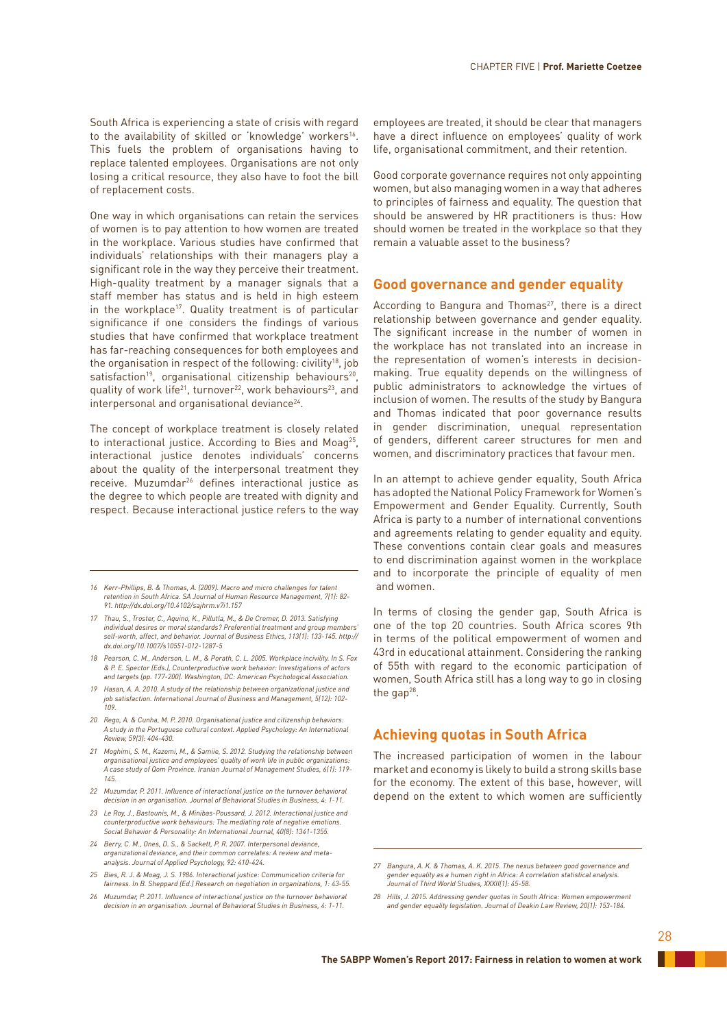South Africa is experiencing a state of crisis with regard to the availability of skilled or 'knowledge' workers<sup>16</sup>. This fuels the problem of organisations having to replace talented employees. Organisations are not only losing a critical resource, they also have to foot the bill of replacement costs.

One way in which organisations can retain the services of women is to pay attention to how women are treated in the workplace. Various studies have confirmed that individuals' relationships with their managers play a significant role in the way they perceive their treatment. High-quality treatment by a manager signals that a staff member has status and is held in high esteem in the workplace<sup>17</sup>. Quality treatment is of particular significance if one considers the findings of various studies that have confirmed that workplace treatment has far-reaching consequences for both employees and the organisation in respect of the following: civility<sup>18</sup>, job satisfaction<sup>19</sup>, organisational citizenship behaviours<sup>20</sup>, quality of work life<sup>21</sup>, turnover<sup>22</sup>, work behaviours<sup>23</sup>, and interpersonal and organisational deviance<sup>24</sup>.

The concept of workplace treatment is closely related to interactional justice. According to Bies and Moag<sup>25</sup>, interactional justice denotes individuals' concerns about the quality of the interpersonal treatment they receive. Muzumdar<sup>26</sup> defines interactional justice as the degree to which people are treated with dignity and respect. Because interactional justice refers to the way

- *16 Kerr-Phillips, B. & Thomas, A. (2009). Macro and micro challenges for talent retention in South Africa. SA Journal of Human Resource Management, 7(1): 82- 91. http://dx.doi.org/10.4102/sajhrm.v7i1.157*
- *17 Thau, S., Troster, C., Aquino, K., Pillutla, M., & De Cremer, D. 2013. Satisfying individual desires or moral standards? Preferential treatment and group members' self-worth, affect, and behavior. Journal of Business Ethics, 113(1): 133-145. http:// dx.doi.org/10.1007/s10551-012-1287-5*
- *18 Pearson, C. M., Anderson, L. M., & Porath, C. L. 2005. Workplace incivility. In S. Fox & P. E. Spector (Eds.), Counterproductive work behavior: Investigations of actors and targets (pp. 177-200). Washington, DC: American Psychological Association.*
- *19 Hasan, A. A. 2010. A study of the relationship between organizational justice and job satisfaction. International Journal of Business and Management, 5(12): 102- 109.*
- *20 Rego, A. & Cunha, M. P. 2010. Organisational justice and citizenship behaviors: A study in the Portuguese cultural context. Applied Psychology: An International Review, 59(3): 404-430.*
- *21 Moghimi, S. M., Kazemi, M., & Samiie, S. 2012. Studying the relationship between organisational justice and employees' quality of work life in public organizations: A case study of Qom Province. Iranian Journal of Management Studies, 6(1): 119- 145.*
- *22 Muzumdar, P. 2011. Influence of interactional justice on the turnover behavioral decision in an organisation. Journal of Behavioral Studies in Business, 4: 1-11.*
- *23 Le Roy, J., Bastounis, M., & Minibas-Poussard, J. 2012. Interactional justice and counterproductive work behaviours: The mediating role of negative emotions. Social Behavior & Personality: An International Journal, 40(8): 1341-1355.*
- *24 Berry, C. M., Ones, D. S., & Sackett, P. R. 2007. Interpersonal deviance, organizational deviance, and their common correlates: A review and metaanalysis. Journal of Applied Psychology, 92: 410-424.*
- *25 Bies, R. J. & Moag, J. S. 1986. Interactional justice: Communication criteria for fairness. In B. Sheppard (Ed.) Research on negotiation in organizations, 1: 43-55.*
- *26 Muzumdar, P. 2011. Influence of interactional justice on the turnover behavioral decision in an organisation. Journal of Behavioral Studies in Business, 4: 1-11.*

employees are treated, it should be clear that managers have a direct influence on employees' quality of work life, organisational commitment, and their retention.

Good corporate governance requires not only appointing women, but also managing women in a way that adheres to principles of fairness and equality. The question that should be answered by HR practitioners is thus: How should women be treated in the workplace so that they remain a valuable asset to the business?

# **Good governance and gender equality**

According to Bangura and Thomas<sup>27</sup>, there is a direct relationship between governance and gender equality. The significant increase in the number of women in the workplace has not translated into an increase in the representation of women's interests in decisionmaking. True equality depends on the willingness of public administrators to acknowledge the virtues of inclusion of women. The results of the study by Bangura and Thomas indicated that poor governance results in gender discrimination, unequal representation of genders, different career structures for men and women, and discriminatory practices that favour men.

In an attempt to achieve gender equality, South Africa has adopted the National Policy Framework for Women's Empowerment and Gender Equality. Currently, South Africa is party to a number of international conventions and agreements relating to gender equality and equity. These conventions contain clear goals and measures to end discrimination against women in the workplace and to incorporate the principle of equality of men and women.

In terms of closing the gender gap, South Africa is one of the top 20 countries. South Africa scores 9th in terms of the political empowerment of women and 43rd in educational attainment. Considering the ranking of 55th with regard to the economic participation of women, South Africa still has a long way to go in closing the  $qap^{28}$ .

# **Achieving quotas in South Africa**

The increased participation of women in the labour market and economy is likely to build a strong skills base for the economy. The extent of this base, however, will depend on the extent to which women are sufficiently

*<sup>27</sup> Bangura, A. K. & Thomas, A. K. 2015. The nexus between good governance and gender equality as a human right in Africa: A correlation statistical analysis. Journal of Third World Studies, XXXII(1): 45-58.*

*<sup>28</sup> Hills, J. 2015. Addressing gender quotas in South Africa: Women empowerment and gender equality legislation. Journal of Deakin Law Review, 20(1): 153-184.*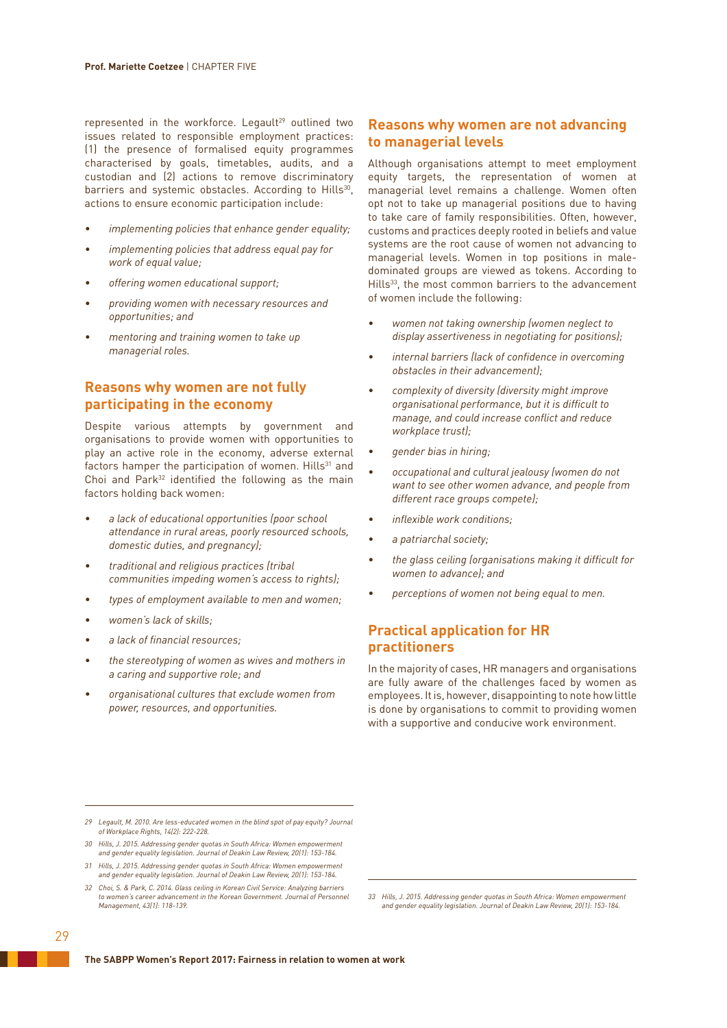represented in the workforce. Legault<sup>29</sup> outlined two issues related to responsible employment practices: (1) the presence of formalised equity programmes characterised by goals, timetables, audits, and a custodian and (2) actions to remove discriminatory barriers and systemic obstacles. According to Hills<sup>30</sup>, actions to ensure economic participation include:

- *• implementing policies that enhance gender equality;*
- *• implementing policies that address equal pay for work of equal value;*
- *• offering women educational support;*
- *• providing women with necessary resources and opportunities; and*
- *• mentoring and training women to take up managerial roles.*

# **Reasons why women are not fully participating in the economy**

Despite various attempts by government and organisations to provide women with opportunities to play an active role in the economy, adverse external factors hamper the participation of women. Hills<sup>31</sup> and Choi and Park<sup>32</sup> identified the following as the main factors holding back women:

- *• a lack of educational opportunities (poor school attendance in rural areas, poorly resourced schools, domestic duties, and pregnancy);*
- *• traditional and religious practices (tribal communities impeding women's access to rights);*
- *• types of employment available to men and women;*
- *• women's lack of skills;*
- *• a lack of financial resources;*
- *• the stereotyping of women as wives and mothers in a caring and supportive role; and*
- *• organisational cultures that exclude women from power, resources, and opportunities.*

# **Reasons why women are not advancing to managerial levels**

Although organisations attempt to meet employment equity targets, the representation of women at managerial level remains a challenge. Women often opt not to take up managerial positions due to having to take care of family responsibilities. Often, however, customs and practices deeply rooted in beliefs and value systems are the root cause of women not advancing to managerial levels. Women in top positions in maledominated groups are viewed as tokens. According to Hills<sup>33</sup>, the most common barriers to the advancement of women include the following:

- *• women not taking ownership (women neglect to display assertiveness in negotiating for positions);*
- *• internal barriers (lack of confidence in overcoming obstacles in their advancement);*
- *• complexity of diversity (diversity might improve organisational performance, but it is difficult to manage, and could increase conflict and reduce workplace trust);*
- *• gender bias in hiring;*
- *• occupational and cultural jealousy (women do not want to see other women advance, and people from different race groups compete);*
- *• inflexible work conditions;*
- *• a patriarchal society;*
- *• the glass ceiling (organisations making it difficult for women to advance); and*
- *• perceptions of women not being equal to men.*

# **Practical application for HR practitioners**

In the majority of cases, HR managers and organisations are fully aware of the challenges faced by women as employees. It is, however, disappointing to note how little is done by organisations to commit to providing women with a supportive and conducive work environment.

- *29 Legault, M. 2010. Are less-educated women in the blind spot of pay equity? Journal of Workplace Rights, 14(2): 222-228.*
- *30 Hills, J. 2015. Addressing gender quotas in South Africa: Women empowerment and gender equality legislation. Journal of Deakin Law Review, 20(1): 153-184. 31 Hills, J. 2015. Addressing gender quotas in South Africa: Women empowerment*
- *and gender equality legislation. Journal of Deakin Law Review, 20(1): 153-184. 32 Choi, S. & Park, C. 2014. Glass ceiling in Korean Civil Service: Analyzing barriers*
- *to women's career advancement in the Korean Government. Journal of Personnel Management, 43(1): 118-139.*

*<sup>33</sup> Hills, J. 2015. Addressing gender quotas in South Africa: Women empowerment and gender equality legislation. Journal of Deakin Law Review, 20(1): 153-184.*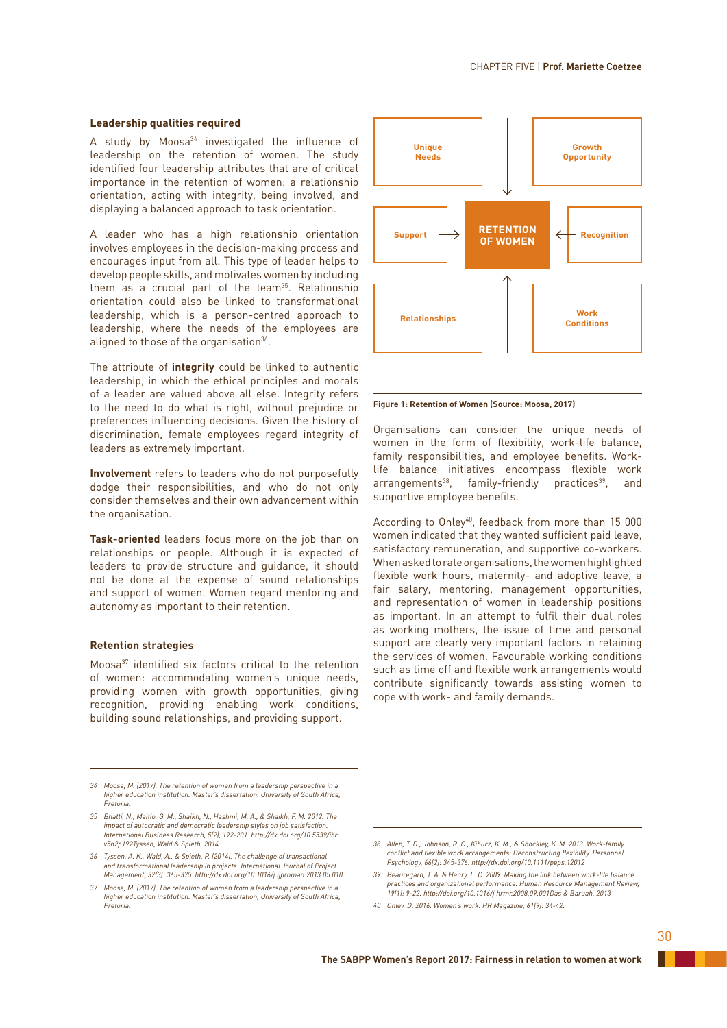### **Leadership qualities required**

A study by Moosa $34$  investigated the influence of leadership on the retention of women. The study identified four leadership attributes that are of critical importance in the retention of women: a relationship orientation, acting with integrity, being involved, and displaying a balanced approach to task orientation.

A leader who has a high relationship orientation involves employees in the decision-making process and encourages input from all. This type of leader helps to develop people skills, and motivates women by including them as a crucial part of the team<sup>35</sup>. Relationship orientation could also be linked to transformational leadership, which is a person-centred approach to leadership, where the needs of the employees are aligned to those of the organisation<sup>36</sup>.

The attribute of **integrity** could be linked to authentic leadership, in which the ethical principles and morals of a leader are valued above all else. Integrity refers to the need to do what is right, without prejudice or preferences influencing decisions. Given the history of discrimination, female employees regard integrity of leaders as extremely important.

**Involvement** refers to leaders who do not purposefully dodge their responsibilities, and who do not only consider themselves and their own advancement within the organisation.

**Task-oriented** leaders focus more on the job than on relationships or people. Although it is expected of leaders to provide structure and guidance, it should not be done at the expense of sound relationships and support of women. Women regard mentoring and autonomy as important to their retention.

### **Retention strategies**

Moosa<sup>37</sup> identified six factors critical to the retention of women: accommodating women's unique needs, providing women with growth opportunities, giving recognition, providing enabling work conditions, building sound relationships, and providing support.

- *34 Moosa, M. (2017). The retention of women from a leadership perspective in a higher education institution. Master's dissertation. University of South Africa, Pretoria.*
- *35 Bhatti, N., Maitlo, G. M., Shaikh, N., Hashmi, M. A., & Shaikh, F. M. 2012. The impact of autocratic and democratic leadership styles on job satisfaction. International Business Research, 5(2), 192-201. http://dx.doi.org/10.5539/ibr. v5n2p192Tyssen, Wald & Spieth, 2014*
- *36 Tyssen, A. K., Wald, A., & Spieth, P. (2014). The challenge of transactional and transformational leadership in projects. International Journal of Project Management, 32(3): 365-375. http://dx.doi.org/10.1016/j.ijproman.2013.05.010*
- *37 Moosa, M. (2017). The retention of women from a leadership perspective in a higher education institution. Master's dissertation, University of South Africa, Pretoria.*



**Figure 1: Retention of Women (Source: Moosa, 2017)**

Organisations can consider the unique needs of women in the form of flexibility, work-life balance, family responsibilities, and employee benefits. Worklife balance initiatives encompass flexible work arrangements<sup>38</sup>, family-friendly practices<sup>39</sup>, and supportive employee benefits.

According to Onley<sup>40</sup>, feedback from more than 15 000 women indicated that they wanted sufficient paid leave, satisfactory remuneration, and supportive co-workers. When asked to rate organisations, the women highlighted flexible work hours, maternity- and adoptive leave, a fair salary, mentoring, management opportunities, and representation of women in leadership positions as important. In an attempt to fulfil their dual roles as working mothers, the issue of time and personal support are clearly very important factors in retaining the services of women. Favourable working conditions such as time off and flexible work arrangements would contribute significantly towards assisting women to cope with work- and family demands.

*<sup>38</sup> Allen, T. D., Johnson, R. C., Kiburz, K. M., & Shockley, K. M. 2013. Work-family conflict and flexible work arrangements: Deconstructing flexibility. Personnel Psychology, 66(2): 345-376. http://dx.doi.org/10.1111/peps.12012*

*<sup>39</sup> Beauregard, T. A. & Henry, L. C. 2009. Making the link between work-life balance practices and organizational performance. Human Resource Management Review, 19(1): 9-22. http://doi.org/10.1016/j.hrmr.2008.09.001Das & Baruah, 2013*

*<sup>40</sup> Onley, D. 2016. Women's work. HR Magazine, 61(9): 34-42.*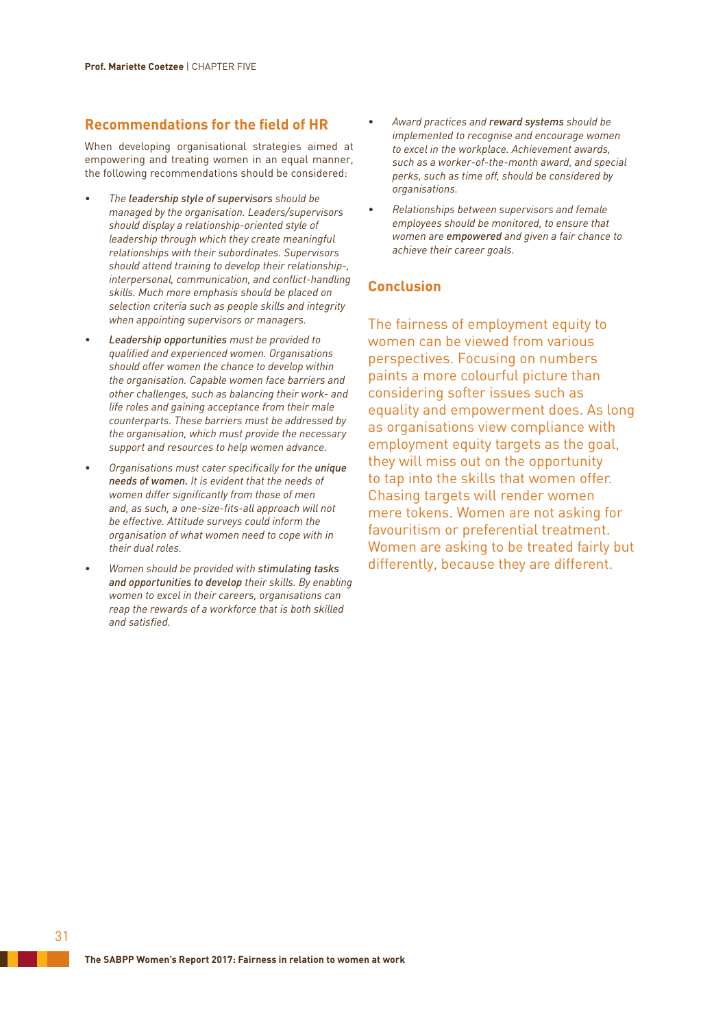# **Recommendations for the field of HR**

When developing organisational strategies aimed at empowering and treating women in an equal manner, the following recommendations should be considered:

- *• The leadership style of supervisors should be managed by the organisation. Leaders/supervisors should display a relationship-oriented style of leadership through which they create meaningful relationships with their subordinates. Supervisors should attend training to develop their relationship-, interpersonal, communication, and conflict-handling skills. Much more emphasis should be placed on selection criteria such as people skills and integrity when appointing supervisors or managers.*
- *• Leadership opportunities must be provided to qualified and experienced women. Organisations should offer women the chance to develop within the organisation. Capable women face barriers and other challenges, such as balancing their work- and life roles and gaining acceptance from their male counterparts. These barriers must be addressed by the organisation, which must provide the necessary support and resources to help women advance.*
- *• Organisations must cater specifically for the unique needs of women. It is evident that the needs of women differ significantly from those of men and, as such, a one-size-fits-all approach will not be effective. Attitude surveys could inform the organisation of what women need to cope with in their dual roles.*
- *• Women should be provided with stimulating tasks and opportunities to develop their skills. By enabling women to excel in their careers, organisations can reap the rewards of a workforce that is both skilled and satisfied.*
- *• Award practices and reward systems should be implemented to recognise and encourage women to excel in the workplace. Achievement awards, such as a worker-of-the-month award, and special perks, such as time off, should be considered by organisations.*
- *• Relationships between supervisors and female employees should be monitored, to ensure that women are empowered and given a fair chance to achieve their career goals.*

# **Conclusion**

The fairness of employment equity to women can be viewed from various perspectives. Focusing on numbers paints a more colourful picture than considering softer issues such as equality and empowerment does. As long as organisations view compliance with employment equity targets as the goal, they will miss out on the opportunity to tap into the skills that women offer. Chasing targets will render women mere tokens. Women are not asking for favouritism or preferential treatment. Women are asking to be treated fairly but differently, because they are different.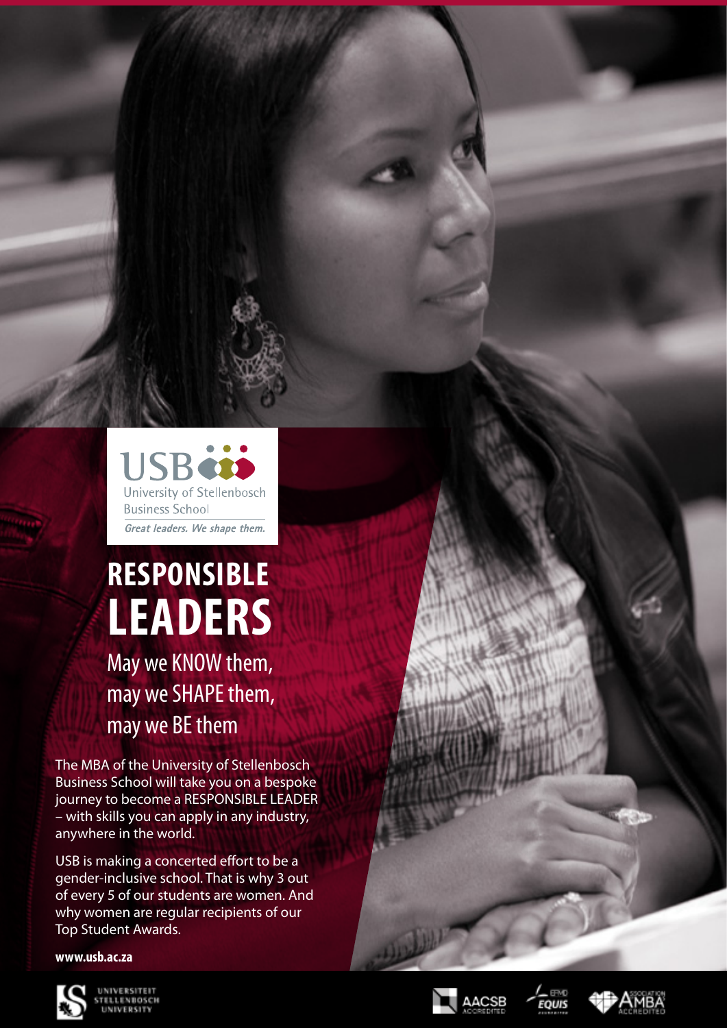**SB** University of Stellenbosch **Business School** Great leaders. We shape them.

# **RESPONSIBLE LEADERS**

May we KNOW them, may we SHAPE them, may we BE them

The MBA of the University of Stellenbosch Business School will take you on a bespoke journey to become a RESPONSIBLE LEADER – with skills you can apply in any industry, anywhere in the world.

USB is making a concerted effort to be a gender-inclusive school. That is why 3 out of every 5 of our students are women. And why women are regular recipients of our Top Student Awards.

# **www.usb.ac.za**







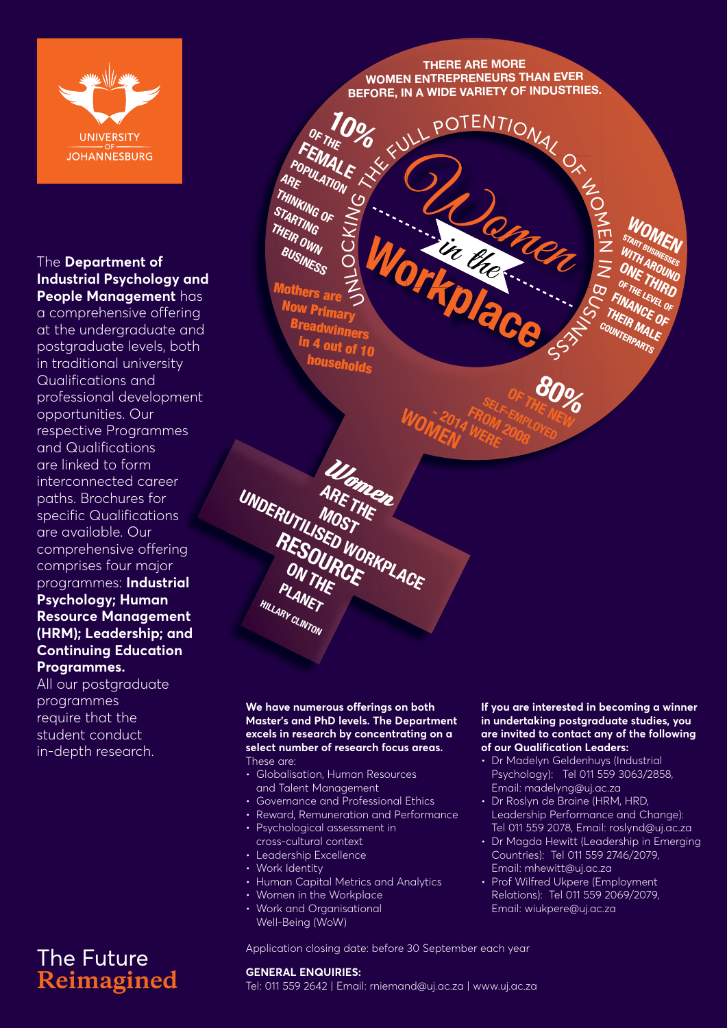

# The **Department of Industrial Psychology and People Management** has

a comprehensive offering at the undergraduate and postgraduate levels, both in traditional university Qualifications and professional development opportunities. Our respective Programmes and Qualifications are linked to form interconnected career paths. Brochures for specific Qualifications are available. Our comprehensive offering comprises four major programmes: **Industrial Psychology; Human Resource Management (HRM); Leadership; and Continuing Education Programmes.**

All our postgraduate programmes require that the student conduct in-depth research.

# The Future **Reimagined**

**THERE ARE MORE WOMEN ENTREPRENEURS THAN EVER BEFORE, IN A WIDE VARIETY OF INDUSTRIES.**

Rency 20

**% WILL POTENTIONAL OF WOMEN** 

Workplace ろ  $\overline{\phantom{a}}$  $\bigcirc$  $\bm{\cup}$ KIN<sub>G</sub> **STARTING**  THEIR OWN **BUSINESS** Mothers are Now Primary Breadwinners in 4 out of  $10^{-11}$ **huseholds** 

OF THE

FEMALE<br><sup>OPULATI</sup>E **POPULATION**<br>ARE LATION

**THINKING OF** 

**10%**

**WOMAT AND A FROM** Ulomen<br>ARETWER **ARE THE**  MOST UNDERUTILISED WORKPLACE **PLANET HILLARY CLINTON**

## **We have numerous offerings on both Master's and PhD levels. The Department excels in research by concentrating on a select number of research focus areas.** These are:

- Globalisation, Human Resources and Talent Management
- Governance and Professional Ethics
- Reward, Remuneration and Performance
- Psychological assessment in cross-cultural context
- Leadership Excellence
- Work Identity
- Human Capital Metrics and Analytics
- Women in the Workplace
- Work and Organisational Well-Being (WoW)

## **If you are interested in becoming a winner in undertaking postgraduate studies, you are invited to contact any of the following of our Qualification Leaders:**

 $\mathsf{L}$  $\mathsf{Z}% _{T}=\mathsf{Z}_{T}\!\left( a,b\right) ,\ \mathsf{Z}_{T}=\mathsf{Z}_{T}\!\left( a,b\right) ,\ \mathsf{Z}_{T}=\mathsf{Z}_{T}\!\left( a,b\right) ,\ \mathsf{Z}_{T}=\mathsf{Z}_{T}\!\left( a,b\right) , \label{eq-qt:Z}%$  $\bar{z}$ 

**ONE THIRD**<br>OF THE LEVEL<br>FINANCE OF FINE LEVEL<br>FINANCE OF<br>THEIR MA, CF<br>Ju, MA, MA,

BUS

NI

<sup>E</sup>SS

OF THE NEW **80%** 

**SELF-EMPLOYED**<br>OM EMPLOYED

FROM <sup>200</sup>8

- Dr Madelyn Geldenhuys (Industrial Psychology): Tel 011 559 3063/2858, Email: madelyng@uj.ac.za
- Dr Roslyn de Braine (HRM, HRD, Leadership Performance and Change): Tel 011 559 2078, Email: roslynd@uj.ac.za
- Dr Magda Hewitt (Leadership in Emerging Countries): Tel 011 559 2746/2079, Email: mhewitt@uj.ac.za
- Prof Wilfred Ukpere (Employment Relations): Tel 011 559 2069/2079, Email: wiukpere@uj.ac.za

Application closing date: before 30 September each year

# **GENERAL ENQUIRIES:**

Tel: 011 559 2642 | Email: rniemand@uj.ac.za | www.uj.ac.za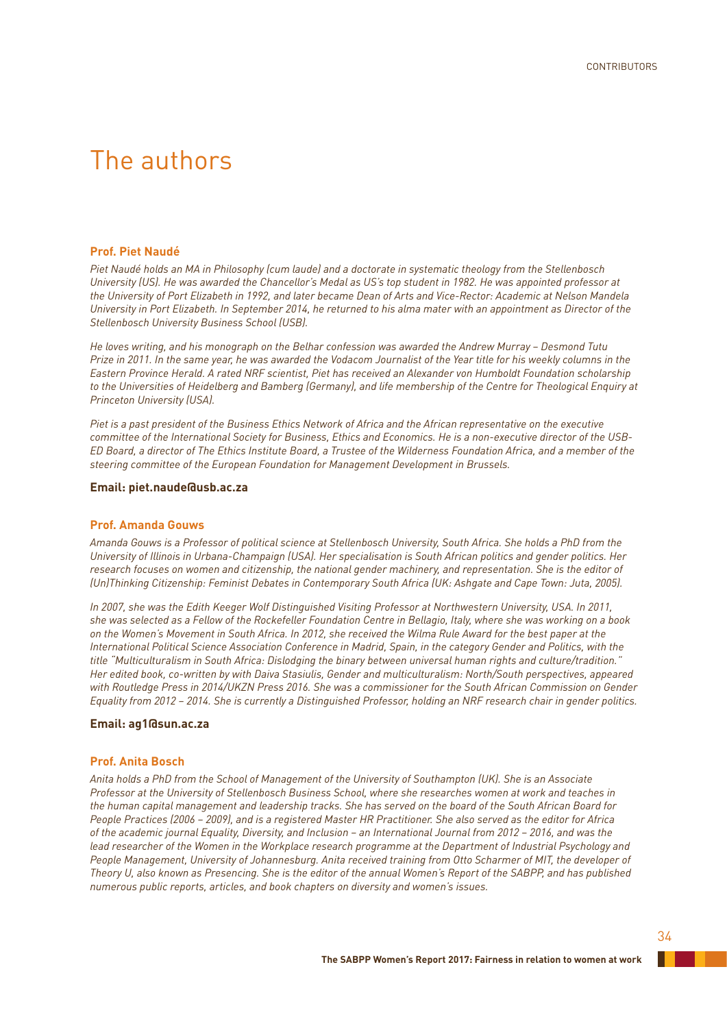# The authors

## **Prof. Piet Naudé**

*Piet Naudé holds an MA in Philosophy (cum laude) and a doctorate in systematic theology from the Stellenbosch*  University (US). He was awarded the Chancellor's Medal as US's top student in 1982. He was appointed professor at *the University of Port Elizabeth in 1992, and later became Dean of Arts and Vice-Rector: Academic at Nelson Mandela University in Port Elizabeth. In September 2014, he returned to his alma mater with an appointment as Director of the Stellenbosch University Business School (USB).* 

*He loves writing, and his monograph on the Belhar confession was awarded the Andrew Murray – Desmond Tutu Prize in 2011. In the same year, he was awarded the Vodacom Journalist of the Year title for his weekly columns in the Eastern Province Herald. A rated NRF scientist, Piet has received an Alexander von Humboldt Foundation scholarship*  to the Universities of Heidelberg and Bamberg (Germany), and life membership of the Centre for Theological Enquiry at *Princeton University (USA).* 

*Piet is a past president of the Business Ethics Network of Africa and the African representative on the executive committee of the International Society for Business, Ethics and Economics. He is a non-executive director of the USB-ED Board, a director of The Ethics Institute Board, a Trustee of the Wilderness Foundation Africa, and a member of the steering committee of the European Foundation for Management Development in Brussels.* 

## **Email: piet.naude@usb.ac.za**

## **Prof. Amanda Gouws**

*Amanda Gouws is a Professor of political science at Stellenbosch University, South Africa. She holds a PhD from the University of Illinois in Urbana-Champaign (USA). Her specialisation is South African politics and gender politics. Her*  research focuses on women and citizenship, the national gender machinery, and representation. She is the editor of *(Un)Thinking Citizenship: Feminist Debates in Contemporary South Africa (UK: Ashgate and Cape Town: Juta, 2005).*

*In 2007, she was the Edith Keeger Wolf Distinguished Visiting Professor at Northwestern University, USA. In 2011, she was selected as a Fellow of the Rockefeller Foundation Centre in Bellagio, Italy, where she was working on a book on the Women's Movement in South Africa. In 2012, she received the Wilma Rule Award for the best paper at the International Political Science Association Conference in Madrid, Spain, in the category Gender and Politics, with the title "Multiculturalism in South Africa: Dislodging the binary between universal human rights and culture/tradition." Her edited book, co-written by with Daiva Stasiulis, Gender and multiculturalism: North/South perspectives, appeared with Routledge Press in 2014/UKZN Press 2016. She was a commissioner for the South African Commission on Gender Equality from 2012 – 2014. She is currently a Distinguished Professor, holding an NRF research chair in gender politics.*

## **Email: ag1@sun.ac.za**

## **Prof. Anita Bosch**

*Anita holds a PhD from the School of Management of the University of Southampton (UK). She is an Associate Professor at the University of Stellenbosch Business School, where she researches women at work and teaches in the human capital management and leadership tracks. She has served on the board of the South African Board for People Practices (2006 – 2009), and is a registered Master HR Practitioner. She also served as the editor for Africa of the academic journal Equality, Diversity, and Inclusion – an International Journal from 2012 – 2016, and was the*  lead researcher of the Women in the Workplace research programme at the Department of Industrial Psychology and *People Management, University of Johannesburg. Anita received training from Otto Scharmer of MIT, the developer of Theory U, also known as Presencing. She is the editor of the annual Women's Report of the SABPP, and has published numerous public reports, articles, and book chapters on diversity and women's issues.*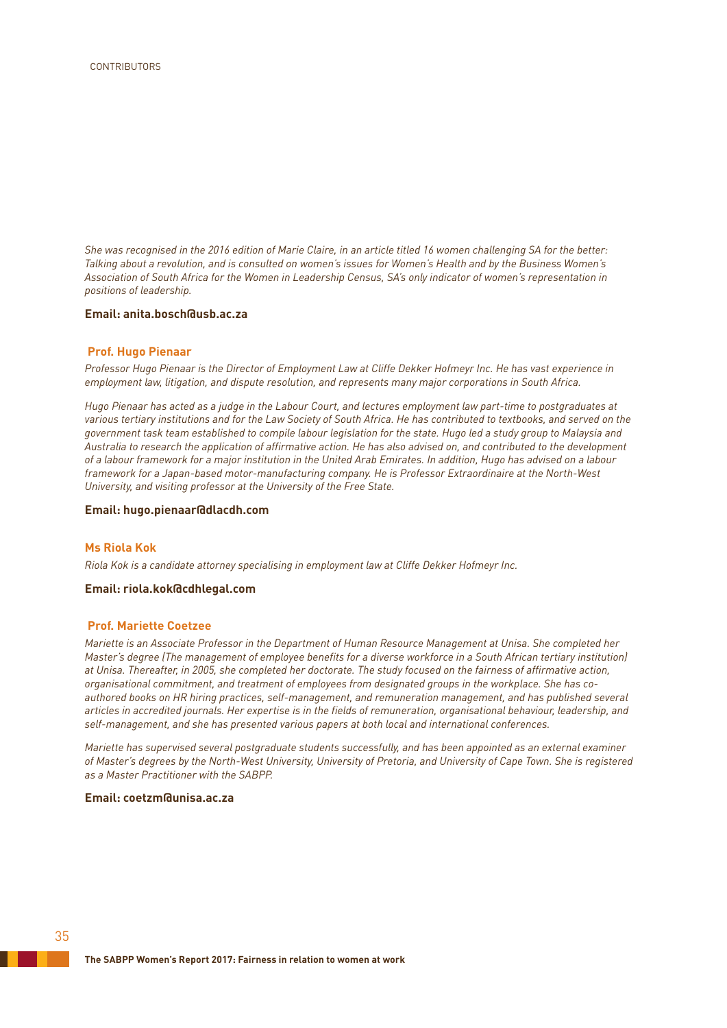*She was recognised in the 2016 edition of Marie Claire, in an article titled 16 women challenging SA for the better: Talking about a revolution, and is consulted on women's issues for Women's Health and by the Business Women's Association of South Africa for the Women in Leadership Census, SA's only indicator of women's representation in positions of leadership.*

## **Email: anita.bosch@usb.ac.za**

## **Prof. Hugo Pienaar**

*Professor Hugo Pienaar is the Director of Employment Law at Cliffe Dekker Hofmeyr Inc. He has vast experience in employment law, litigation, and dispute resolution, and represents many major corporations in South Africa.*

*Hugo Pienaar has acted as a judge in the Labour Court, and lectures employment law part-time to postgraduates at various tertiary institutions and for the Law Society of South Africa. He has contributed to textbooks, and served on the government task team established to compile labour legislation for the state. Hugo led a study group to Malaysia and Australia to research the application of affirmative action. He has also advised on, and contributed to the development of a labour framework for a major institution in the United Arab Emirates. In addition, Hugo has advised on a labour framework for a Japan-based motor-manufacturing company. He is Professor Extraordinaire at the North-West University, and visiting professor at the University of the Free State.*

## **Email: hugo.pienaar@dlacdh.com**

## **Ms Riola Kok**

*Riola Kok is a candidate attorney specialising in employment law at Cliffe Dekker Hofmeyr Inc.* 

## **Email: riola.kok@cdhlegal.com**

## **Prof. Mariette Coetzee**

*Mariette is an Associate Professor in the Department of Human Resource Management at Unisa. She completed her Master's degree (The management of employee benefits for a diverse workforce in a South African tertiary institution) at Unisa. Thereafter, in 2005, she completed her doctorate. The study focused on the fairness of affirmative action, organisational commitment, and treatment of employees from designated groups in the workplace. She has coauthored books on HR hiring practices, self-management, and remuneration management, and has published several articles in accredited journals. Her expertise is in the fields of remuneration, organisational behaviour, leadership, and self-management, and she has presented various papers at both local and international conferences.*

*Mariette has supervised several postgraduate students successfully, and has been appointed as an external examiner of Master's degrees by the North-West University, University of Pretoria, and University of Cape Town. She is registered as a Master Practitioner with the SABPP.*

## **Email: coetzm@unisa.ac.za**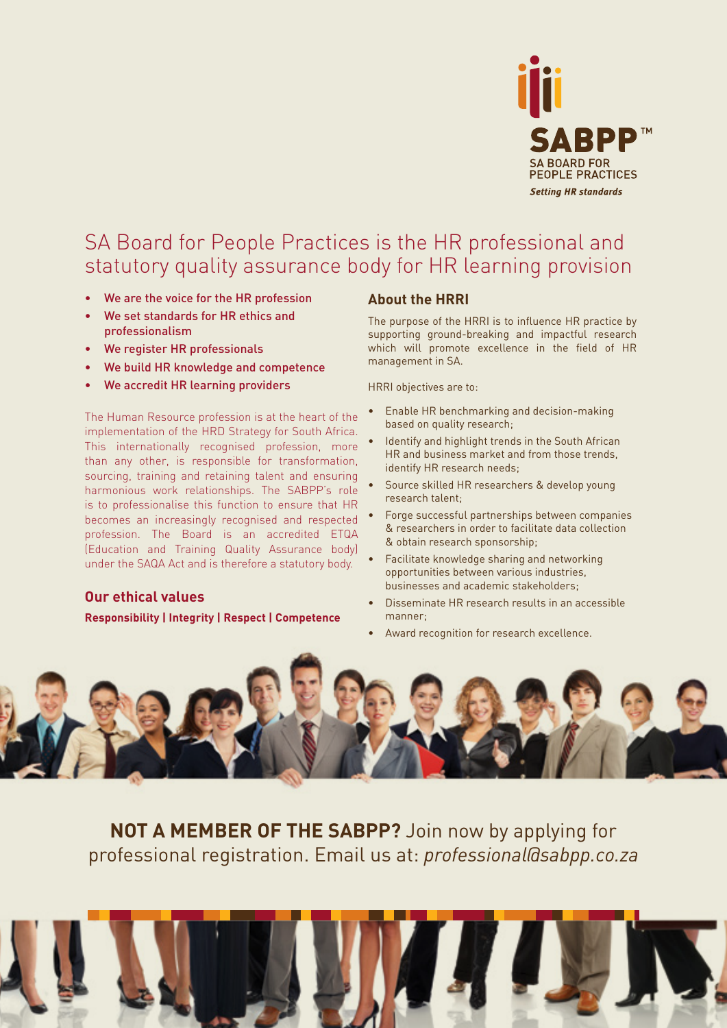

# SA Board for People Practices is the HR professional and statutory quality assurance body for HR learning provision

- We are the voice for the HR profession
- We set standards for HR ethics and professionalism
- We register HR professionals
- We build HR knowledge and competence
- We accredit HR learning providers

The Human Resource profession is at the heart of the implementation of the HRD Strategy for South Africa. This internationally recognised profession, more than any other, is responsible for transformation, sourcing, training and retaining talent and ensuring harmonious work relationships. The SABPP's role is to professionalise this function to ensure that HR becomes an increasingly recognised and respected profession. The Board is an accredited ETQA (Education and Training Quality Assurance body) under the SAQA Act and is therefore a statutory body.

# **Our ethical values**

**Responsibility | Integrity | Respect | Competence**

# **About the HRRI**

The purpose of the HRRI is to influence HR practice by supporting ground-breaking and impactful research which will promote excellence in the field of HR management in SA.

HRRI objectives are to:

- Enable HR benchmarking and decision-making based on quality research;
- Identify and highlight trends in the South African HR and business market and from those trends, identify HR research needs;
- Source skilled HR researchers & develop young research talent;
- Forge successful partnerships between companies & researchers in order to facilitate data collection & obtain research sponsorship;
- Facilitate knowledge sharing and networking opportunities between various industries, businesses and academic stakeholders;
- Disseminate HR research results in an accessible manner;
- Award recognition for research excellence.



**NOT A MEMBER OF THE SABPP?** Join now by applying for professional registration. Email us at: *professional@sabpp.co.za*